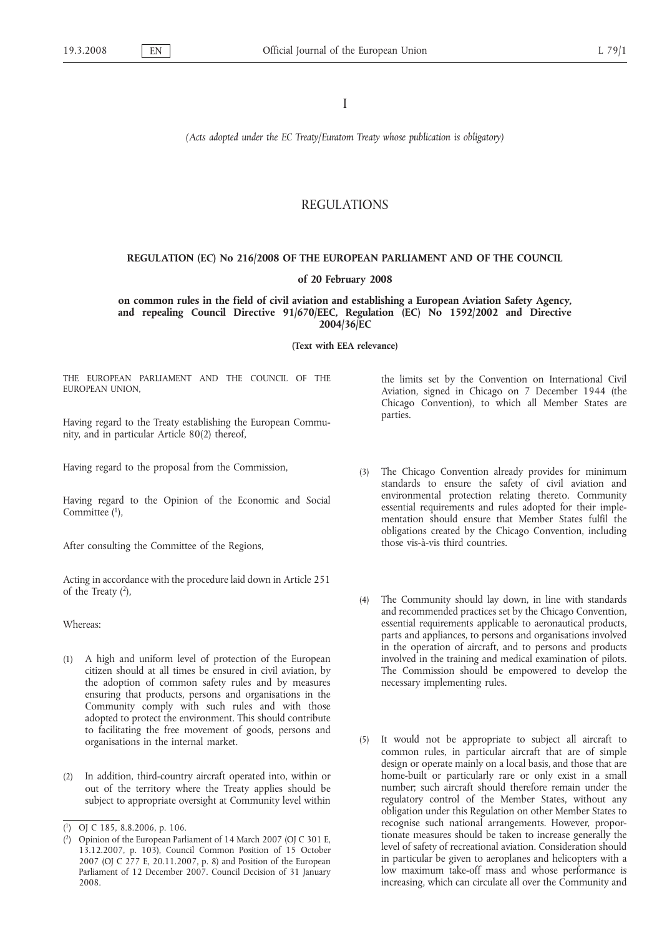I

*(Acts adopted under the EC Treaty/Euratom Treaty whose publication is obligatory)*

# REGULATIONS

## **REGULATION (EC) No 216/2008 OF THE EUROPEAN PARLIAMENT AND OF THE COUNCIL**

### **of 20 February 2008**

**on common rules in the field of civil aviation and establishing a European Aviation Safety Agency, and repealing Council Directive 91/670/EEC, Regulation (EC) No 1592/2002 and Directive 2004/36/EC**

**(Text with EEA relevance)**

THE EUROPEAN PARLIAMENT AND THE COUNCIL OF THE EUROPEAN UNION,

Having regard to the Treaty establishing the European Community, and in particular Article 80(2) thereof,

Having regard to the proposal from the Commission,

Having regard to the Opinion of the Economic and Social Committee  $(1)$ ,

After consulting the Committee of the Regions,

Acting in accordance with the procedure laid down in Article 251 of the Treaty  $(2)$ ,

Whereas:

- (1) A high and uniform level of protection of the European citizen should at all times be ensured in civil aviation, by the adoption of common safety rules and by measures ensuring that products, persons and organisations in the Community comply with such rules and with those adopted to protect the environment. This should contribute to facilitating the free movement of goods, persons and organisations in the internal market.
- (2) In addition, third-country aircraft operated into, within or out of the territory where the Treaty applies should be subject to appropriate oversight at Community level within

the limits set by the Convention on International Civil Aviation, signed in Chicago on 7 December 1944 (the Chicago Convention), to which all Member States are parties.

- (3) The Chicago Convention already provides for minimum standards to ensure the safety of civil aviation and environmental protection relating thereto. Community essential requirements and rules adopted for their implementation should ensure that Member States fulfil the obligations created by the Chicago Convention, including those vis-à-vis third countries.
- (4) The Community should lay down, in line with standards and recommended practices set by the Chicago Convention, essential requirements applicable to aeronautical products, parts and appliances, to persons and organisations involved in the operation of aircraft, and to persons and products involved in the training and medical examination of pilots. The Commission should be empowered to develop the necessary implementing rules.
- (5) It would not be appropriate to subject all aircraft to common rules, in particular aircraft that are of simple design or operate mainly on a local basis, and those that are home-built or particularly rare or only exist in a small number; such aircraft should therefore remain under the regulatory control of the Member States, without any obligation under this Regulation on other Member States to recognise such national arrangements. However, proportionate measures should be taken to increase generally the level of safety of recreational aviation. Consideration should in particular be given to aeroplanes and helicopters with a low maximum take-off mass and whose performance is increasing, which can circulate all over the Community and

<sup>(</sup> 1) OJ C 185, 8.8.2006, p. 106.

<sup>(</sup> 2) Opinion of the European Parliament of 14 March 2007 (OJ C 301 E, 13.12.2007, p. 103), Council Common Position of 15 October 2007 (OJ C 277 E, 20.11.2007, p. 8) and Position of the European Parliament of 12 December 2007. Council Decision of 31 January 2008.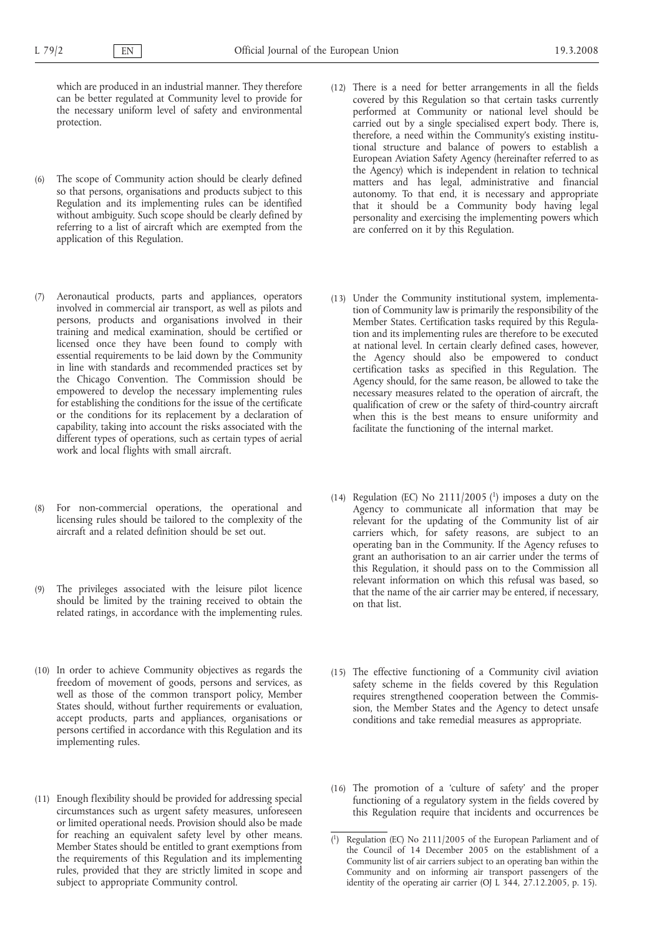which are produced in an industrial manner. They therefore can be better regulated at Community level to provide for the necessary uniform level of safety and environmental protection.

- (6) The scope of Community action should be clearly defined so that persons, organisations and products subject to this Regulation and its implementing rules can be identified without ambiguity. Such scope should be clearly defined by referring to a list of aircraft which are exempted from the application of this Regulation.
- Aeronautical products, parts and appliances, operators involved in commercial air transport, as well as pilots and persons, products and organisations involved in their training and medical examination, should be certified or licensed once they have been found to comply with essential requirements to be laid down by the Community in line with standards and recommended practices set by the Chicago Convention. The Commission should be empowered to develop the necessary implementing rules for establishing the conditions for the issue of the certificate or the conditions for its replacement by a declaration of capability, taking into account the risks associated with the different types of operations, such as certain types of aerial work and local flights with small aircraft.
- For non-commercial operations, the operational and licensing rules should be tailored to the complexity of the aircraft and a related definition should be set out.
- The privileges associated with the leisure pilot licence should be limited by the training received to obtain the related ratings, in accordance with the implementing rules.
- (10) In order to achieve Community objectives as regards the freedom of movement of goods, persons and services, as well as those of the common transport policy, Member States should, without further requirements or evaluation, accept products, parts and appliances, organisations or persons certified in accordance with this Regulation and its implementing rules.
- (11) Enough flexibility should be provided for addressing special circumstances such as urgent safety measures, unforeseen or limited operational needs. Provision should also be made for reaching an equivalent safety level by other means. Member States should be entitled to grant exemptions from the requirements of this Regulation and its implementing rules, provided that they are strictly limited in scope and subject to appropriate Community control.
- (12) There is a need for better arrangements in all the fields covered by this Regulation so that certain tasks currently performed at Community or national level should be carried out by a single specialised expert body. There is, therefore, a need within the Community's existing institutional structure and balance of powers to establish a European Aviation Safety Agency (hereinafter referred to as the Agency) which is independent in relation to technical matters and has legal, administrative and financial autonomy. To that end, it is necessary and appropriate that it should be a Community body having legal personality and exercising the implementing powers which are conferred on it by this Regulation.
- (13) Under the Community institutional system, implementation of Community law is primarily the responsibility of the Member States. Certification tasks required by this Regulation and its implementing rules are therefore to be executed at national level. In certain clearly defined cases, however, the Agency should also be empowered to conduct certification tasks as specified in this Regulation. The Agency should, for the same reason, be allowed to take the necessary measures related to the operation of aircraft, the qualification of crew or the safety of third-country aircraft when this is the best means to ensure uniformity and facilitate the functioning of the internal market.
- (14) Regulation (EC) No  $2111/2005$  (1) imposes a duty on the Agency to communicate all information that may be relevant for the updating of the Community list of air carriers which, for safety reasons, are subject to an operating ban in the Community. If the Agency refuses to grant an authorisation to an air carrier under the terms of this Regulation, it should pass on to the Commission all relevant information on which this refusal was based, so that the name of the air carrier may be entered, if necessary, on that list.
- (15) The effective functioning of a Community civil aviation safety scheme in the fields covered by this Regulation requires strengthened cooperation between the Commission, the Member States and the Agency to detect unsafe conditions and take remedial measures as appropriate.
- (16) The promotion of a 'culture of safety' and the proper functioning of a regulatory system in the fields covered by this Regulation require that incidents and occurrences be

<sup>(</sup> 1) Regulation (EC) No 2111/2005 of the European Parliament and of the Council of 14 December 2005 on the establishment of a Community list of air carriers subject to an operating ban within the Community and on informing air transport passengers of the identity of the operating air carrier (OJ L 344, 27.12.2005, p. 15).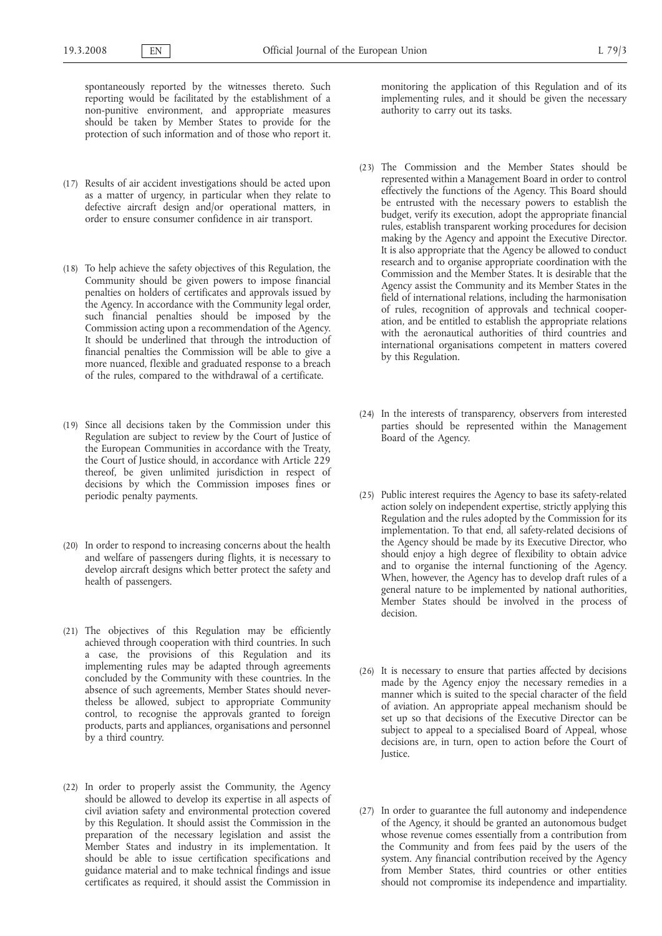spontaneously reported by the witnesses thereto. Such reporting would be facilitated by the establishment of a non-punitive environment, and appropriate measures should be taken by Member States to provide for the protection of such information and of those who report it.

- (17) Results of air accident investigations should be acted upon as a matter of urgency, in particular when they relate to defective aircraft design and/or operational matters, in order to ensure consumer confidence in air transport.
- (18) To help achieve the safety objectives of this Regulation, the Community should be given powers to impose financial penalties on holders of certificates and approvals issued by the Agency. In accordance with the Community legal order, such financial penalties should be imposed by the Commission acting upon a recommendation of the Agency. It should be underlined that through the introduction of financial penalties the Commission will be able to give a more nuanced, flexible and graduated response to a breach of the rules, compared to the withdrawal of a certificate.
- (19) Since all decisions taken by the Commission under this Regulation are subject to review by the Court of Justice of the European Communities in accordance with the Treaty, the Court of Justice should, in accordance with Article 229 thereof, be given unlimited jurisdiction in respect of decisions by which the Commission imposes fines or periodic penalty payments.
- (20) In order to respond to increasing concerns about the health and welfare of passengers during flights, it is necessary to develop aircraft designs which better protect the safety and health of passengers.
- (21) The objectives of this Regulation may be efficiently achieved through cooperation with third countries. In such a case, the provisions of this Regulation and its implementing rules may be adapted through agreements concluded by the Community with these countries. In the absence of such agreements, Member States should nevertheless be allowed, subject to appropriate Community control, to recognise the approvals granted to foreign products, parts and appliances, organisations and personnel by a third country.
- (22) In order to properly assist the Community, the Agency should be allowed to develop its expertise in all aspects of civil aviation safety and environmental protection covered by this Regulation. It should assist the Commission in the preparation of the necessary legislation and assist the Member States and industry in its implementation. It should be able to issue certification specifications and guidance material and to make technical findings and issue certificates as required, it should assist the Commission in

monitoring the application of this Regulation and of its implementing rules, and it should be given the necessary authority to carry out its tasks.

- (23) The Commission and the Member States should be represented within a Management Board in order to control effectively the functions of the Agency. This Board should be entrusted with the necessary powers to establish the budget, verify its execution, adopt the appropriate financial rules, establish transparent working procedures for decision making by the Agency and appoint the Executive Director. It is also appropriate that the Agency be allowed to conduct research and to organise appropriate coordination with the Commission and the Member States. It is desirable that the Agency assist the Community and its Member States in the field of international relations, including the harmonisation of rules, recognition of approvals and technical cooperation, and be entitled to establish the appropriate relations with the aeronautical authorities of third countries and international organisations competent in matters covered by this Regulation.
- (24) In the interests of transparency, observers from interested parties should be represented within the Management Board of the Agency.
- (25) Public interest requires the Agency to base its safety-related action solely on independent expertise, strictly applying this Regulation and the rules adopted by the Commission for its implementation. To that end, all safety-related decisions of the Agency should be made by its Executive Director, who should enjoy a high degree of flexibility to obtain advice and to organise the internal functioning of the Agency. When, however, the Agency has to develop draft rules of a general nature to be implemented by national authorities, Member States should be involved in the process of decision.
- (26) It is necessary to ensure that parties affected by decisions made by the Agency enjoy the necessary remedies in a manner which is suited to the special character of the field of aviation. An appropriate appeal mechanism should be set up so that decisions of the Executive Director can be subject to appeal to a specialised Board of Appeal, whose decisions are, in turn, open to action before the Court of Justice.
- (27) In order to guarantee the full autonomy and independence of the Agency, it should be granted an autonomous budget whose revenue comes essentially from a contribution from the Community and from fees paid by the users of the system. Any financial contribution received by the Agency from Member States, third countries or other entities should not compromise its independence and impartiality.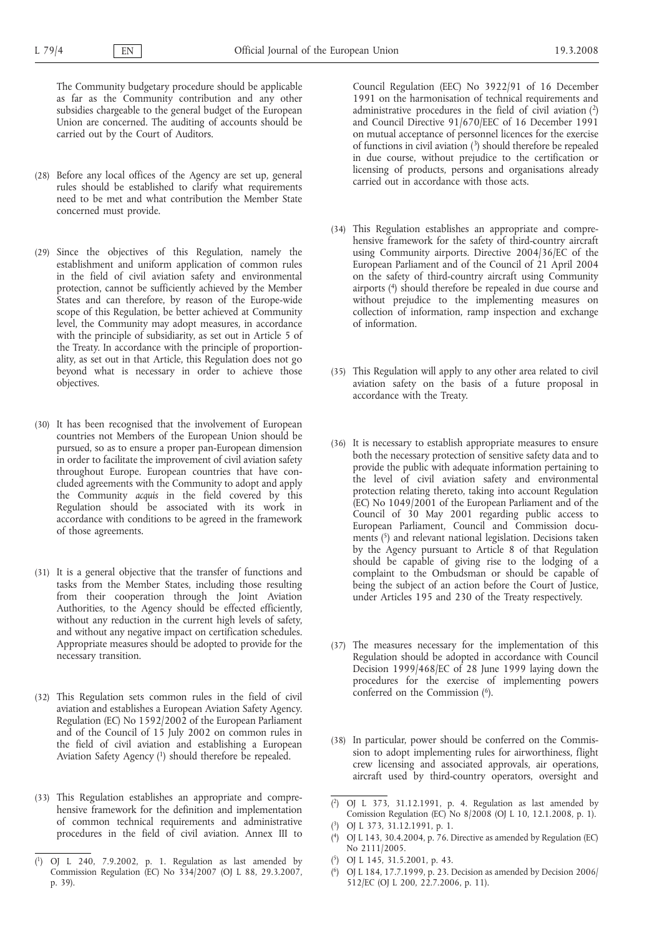The Community budgetary procedure should be applicable as far as the Community contribution and any other subsidies chargeable to the general budget of the European Union are concerned. The auditing of accounts should be carried out by the Court of Auditors.

- (28) Before any local offices of the Agency are set up, general rules should be established to clarify what requirements need to be met and what contribution the Member State concerned must provide.
- (29) Since the objectives of this Regulation, namely the establishment and uniform application of common rules in the field of civil aviation safety and environmental protection, cannot be sufficiently achieved by the Member States and can therefore, by reason of the Europe-wide scope of this Regulation, be better achieved at Community level, the Community may adopt measures, in accordance with the principle of subsidiarity, as set out in Article 5 of the Treaty. In accordance with the principle of proportionality, as set out in that Article, this Regulation does not go beyond what is necessary in order to achieve those objectives.
- (30) It has been recognised that the involvement of European countries not Members of the European Union should be pursued, so as to ensure a proper pan-European dimension in order to facilitate the improvement of civil aviation safety throughout Europe. European countries that have concluded agreements with the Community to adopt and apply the Community *acquis* in the field covered by this Regulation should be associated with its work in accordance with conditions to be agreed in the framework of those agreements.
- (31) It is a general objective that the transfer of functions and tasks from the Member States, including those resulting from their cooperation through the Joint Aviation Authorities, to the Agency should be effected efficiently, without any reduction in the current high levels of safety, and without any negative impact on certification schedules. Appropriate measures should be adopted to provide for the necessary transition.
- (32) This Regulation sets common rules in the field of civil aviation and establishes a European Aviation Safety Agency. Regulation (EC) No 1592/2002 of the European Parliament and of the Council of 15 July 2002 on common rules in the field of civil aviation and establishing a European Aviation Safety Agency (1) should therefore be repealed.
- (33) This Regulation establishes an appropriate and comprehensive framework for the definition and implementation of common technical requirements and administrative procedures in the field of civil aviation. Annex III to

Council Regulation (EEC) No 3922/91 of 16 December 1991 on the harmonisation of technical requirements and administrative procedures in the field of civil aviation  $(2)$ and Council Directive 91/670/EEC of 16 December 1991 on mutual acceptance of personnel licences for the exercise of functions in civil aviation  $(3)$  should therefore be repealed in due course, without prejudice to the certification or licensing of products, persons and organisations already carried out in accordance with those acts.

- (34) This Regulation establishes an appropriate and comprehensive framework for the safety of third-country aircraft using Community airports. Directive 2004/36/EC of the European Parliament and of the Council of 21 April 2004 on the safety of third-country aircraft using Community airports (4) should therefore be repealed in due course and without prejudice to the implementing measures on collection of information, ramp inspection and exchange of information.
- (35) This Regulation will apply to any other area related to civil aviation safety on the basis of a future proposal in accordance with the Treaty.
- (36) It is necessary to establish appropriate measures to ensure both the necessary protection of sensitive safety data and to provide the public with adequate information pertaining to the level of civil aviation safety and environmental protection relating thereto, taking into account Regulation (EC) No 1049/2001 of the European Parliament and of the Council of 30 May 2001 regarding public access to European Parliament, Council and Commission documents  $\binom{5}{7}$  and relevant national legislation. Decisions taken by the Agency pursuant to Article 8 of that Regulation should be capable of giving rise to the lodging of a complaint to the Ombudsman or should be capable of being the subject of an action before the Court of Justice, under Articles 195 and 230 of the Treaty respectively.
- (37) The measures necessary for the implementation of this Regulation should be adopted in accordance with Council Decision 1999/468/EC of 28 June 1999 laying down the procedures for the exercise of implementing powers conferred on the Commission  $(6)$ .
- (38) In particular, power should be conferred on the Commission to adopt implementing rules for airworthiness, flight crew licensing and associated approvals, air operations, aircraft used by third-country operators, oversight and

- ( 5) OJ L 145, 31.5.2001, p. 43.
- $(6)$ 6) OJ L 184, 17.7.1999, p. 23. Decision as amended by Decision 2006/ 512/EC (OJ L 200, 22.7.2006, p. 11).

 $(1)$ 1) OJ L 240, 7.9.2002, p. 1. Regulation as last amended by Commission Regulation (EC) No 334/2007 (OJ L 88, 29.3.2007, p. 39).

<sup>(</sup> 2) OJ L 373, 31.12.1991, p. 4. Regulation as last amended by Comission Regulation (EC) No 8/2008 (OJ L 10, 12.1.2008, p. 1).

<sup>(</sup> 3) OJ L 373, 31.12.1991, p. 1.

<sup>(</sup> 4) OJ L 143, 30.4.2004, p. 76. Directive as amended by Regulation (EC) No 2111/2005.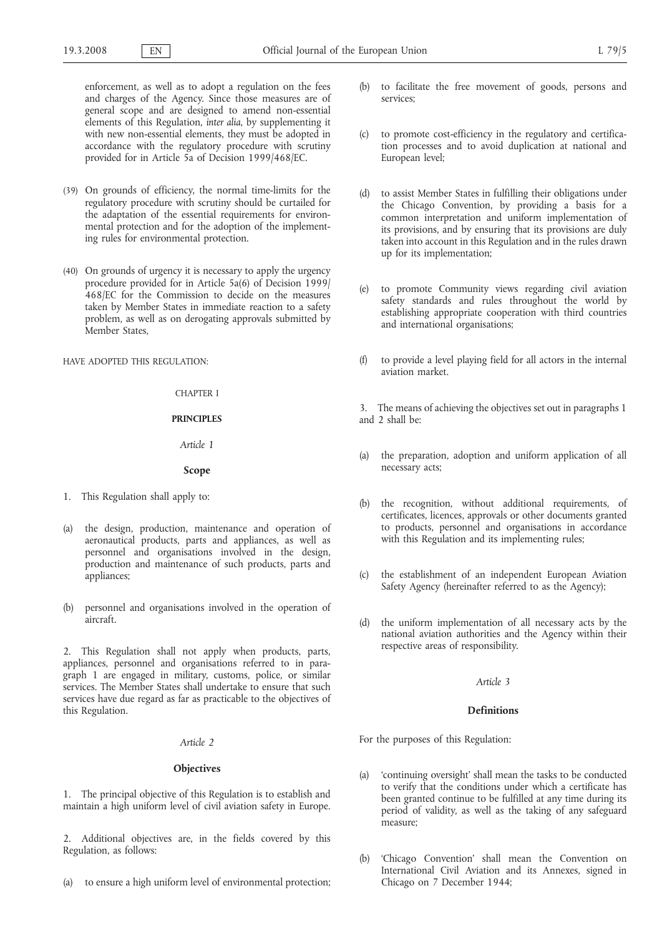enforcement, as well as to adopt a regulation on the fees and charges of the Agency. Since those measures are of general scope and are designed to amend non-essential elements of this Regulation, *inter alia*, by supplementing it with new non-essential elements, they must be adopted in accordance with the regulatory procedure with scrutiny provided for in Article 5a of Decision 1999/468/EC.

- (39) On grounds of efficiency, the normal time-limits for the regulatory procedure with scrutiny should be curtailed for the adaptation of the essential requirements for environmental protection and for the adoption of the implementing rules for environmental protection.
- (40) On grounds of urgency it is necessary to apply the urgency procedure provided for in Article 5a(6) of Decision 1999/ 468/EC for the Commission to decide on the measures taken by Member States in immediate reaction to a safety problem, as well as on derogating approvals submitted by Member States,

HAVE ADOPTED THIS REGULATION:

## CHAPTER I

## **PRINCIPLES**

*Article 1*

#### **Scope**

- 1. This Regulation shall apply to:
- (a) the design, production, maintenance and operation of aeronautical products, parts and appliances, as well as personnel and organisations involved in the design, production and maintenance of such products, parts and appliances;
- (b) personnel and organisations involved in the operation of aircraft.

2. This Regulation shall not apply when products, parts, appliances, personnel and organisations referred to in paragraph 1 are engaged in military, customs, police, or similar services. The Member States shall undertake to ensure that such services have due regard as far as practicable to the objectives of this Regulation.

## *Article 2*

## **Objectives**

1. The principal objective of this Regulation is to establish and maintain a high uniform level of civil aviation safety in Europe.

2. Additional objectives are, in the fields covered by this Regulation, as follows:

(a) to ensure a high uniform level of environmental protection;

- to facilitate the free movement of goods, persons and services;
- (c) to promote cost-efficiency in the regulatory and certification processes and to avoid duplication at national and European level;
- (d) to assist Member States in fulfilling their obligations under the Chicago Convention, by providing a basis for a common interpretation and uniform implementation of its provisions, and by ensuring that its provisions are duly taken into account in this Regulation and in the rules drawn up for its implementation;
- (e) to promote Community views regarding civil aviation safety standards and rules throughout the world by establishing appropriate cooperation with third countries and international organisations;
- (f) to provide a level playing field for all actors in the internal aviation market.

3. The means of achieving the objectives set out in paragraphs 1 and 2 shall be:

- (a) the preparation, adoption and uniform application of all necessary acts;
- (b) the recognition, without additional requirements, of certificates, licences, approvals or other documents granted to products, personnel and organisations in accordance with this Regulation and its implementing rules;
- (c) the establishment of an independent European Aviation Safety Agency (hereinafter referred to as the Agency);
- (d) the uniform implementation of all necessary acts by the national aviation authorities and the Agency within their respective areas of responsibility.

#### *Article 3*

#### **Definitions**

For the purposes of this Regulation:

- (a) 'continuing oversight' shall mean the tasks to be conducted to verify that the conditions under which a certificate has been granted continue to be fulfilled at any time during its period of validity, as well as the taking of any safeguard measure;
- (b) 'Chicago Convention' shall mean the Convention on International Civil Aviation and its Annexes, signed in Chicago on 7 December 1944;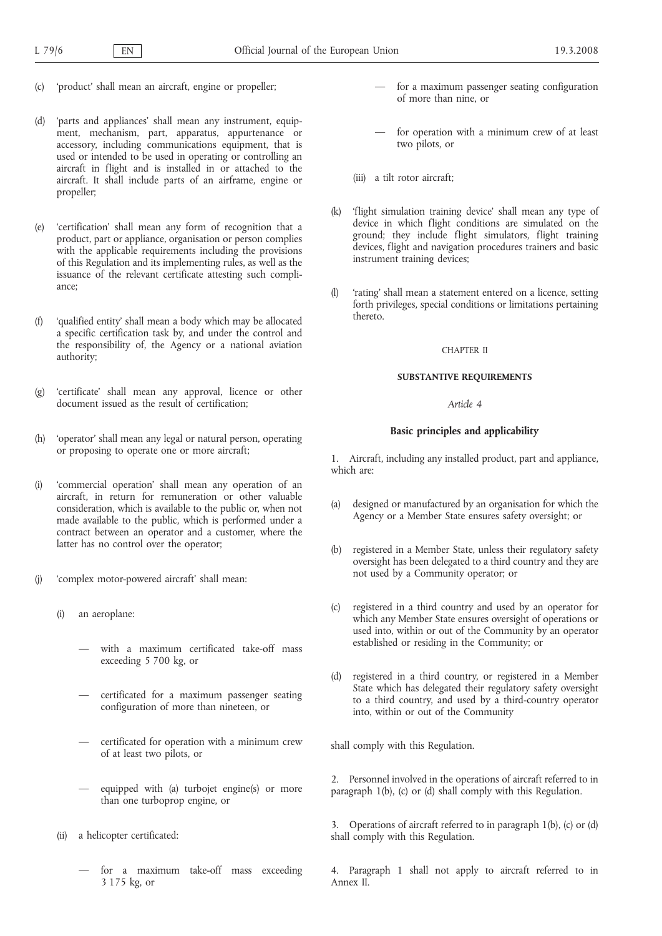- (c) 'product' shall mean an aircraft, engine or propeller;
- (d) 'parts and appliances' shall mean any instrument, equipment, mechanism, part, apparatus, appurtenance or accessory, including communications equipment, that is used or intended to be used in operating or controlling an aircraft in flight and is installed in or attached to the aircraft. It shall include parts of an airframe, engine or propeller;
- (e) 'certification' shall mean any form of recognition that a product, part or appliance, organisation or person complies with the applicable requirements including the provisions of this Regulation and its implementing rules, as well as the issuance of the relevant certificate attesting such compliance;
- (f) 'qualified entity' shall mean a body which may be allocated a specific certification task by, and under the control and the responsibility of, the Agency or a national aviation authority;
- 'certificate' shall mean any approval, licence or other document issued as the result of certification;
- (h) 'operator' shall mean any legal or natural person, operating or proposing to operate one or more aircraft;
- (i) 'commercial operation' shall mean any operation of an aircraft, in return for remuneration or other valuable consideration, which is available to the public or, when not made available to the public, which is performed under a contract between an operator and a customer, where the latter has no control over the operator;
- (j) 'complex motor-powered aircraft' shall mean:
	- (i) an aeroplane:
		- with a maximum certificated take-off mass exceeding 5 700 kg, or
		- certificated for a maximum passenger seating configuration of more than nineteen, or
		- certificated for operation with a minimum crew of at least two pilots, or
		- equipped with (a) turbojet engine(s) or more than one turboprop engine, or
	- (ii) a helicopter certificated:
		- for a maximum take-off mass exceeding 3 175 kg, or
- for a maximum passenger seating configuration of more than nine, or
- for operation with a minimum crew of at least two pilots, or
- (iii) a tilt rotor aircraft;
- (k) 'flight simulation training device' shall mean any type of device in which flight conditions are simulated on the ground; they include flight simulators, flight training devices, flight and navigation procedures trainers and basic instrument training devices;
- (l) 'rating' shall mean a statement entered on a licence, setting forth privileges, special conditions or limitations pertaining thereto.

### CHAPTER II

## **SUBSTANTIVE REQUIREMENTS**

#### *Article 4*

## **Basic principles and applicability**

1. Aircraft, including any installed product, part and appliance, which are:

- (a) designed or manufactured by an organisation for which the Agency or a Member State ensures safety oversight; or
- (b) registered in a Member State, unless their regulatory safety oversight has been delegated to a third country and they are not used by a Community operator; or
- (c) registered in a third country and used by an operator for which any Member State ensures oversight of operations or used into, within or out of the Community by an operator established or residing in the Community; or
- (d) registered in a third country, or registered in a Member State which has delegated their regulatory safety oversight to a third country, and used by a third-country operator into, within or out of the Community

shall comply with this Regulation.

2. Personnel involved in the operations of aircraft referred to in paragraph 1(b), (c) or (d) shall comply with this Regulation.

3. Operations of aircraft referred to in paragraph 1(b), (c) or (d) shall comply with this Regulation.

4. Paragraph 1 shall not apply to aircraft referred to in Annex II.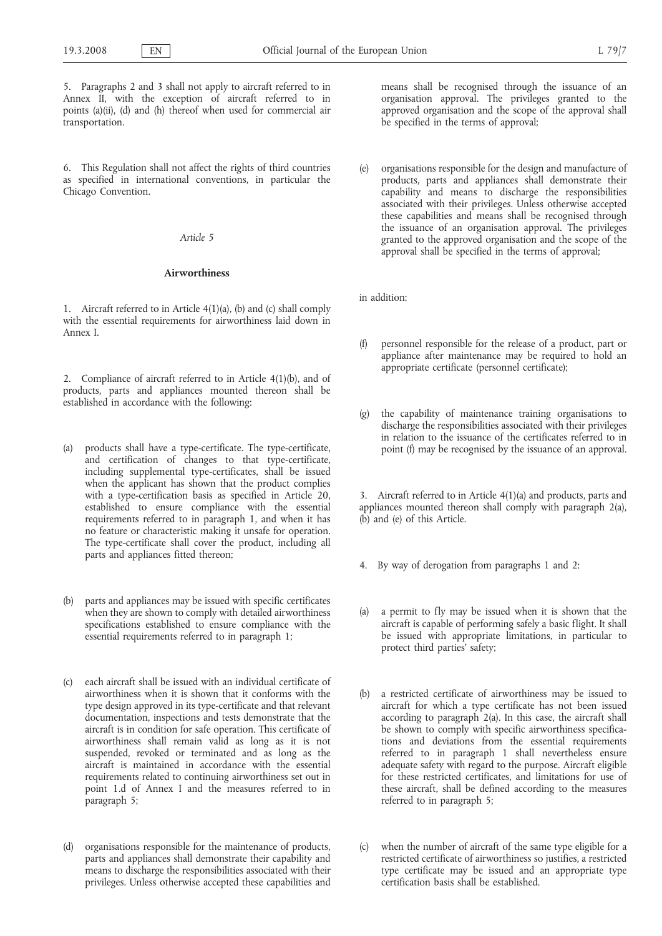5. Paragraphs 2 and 3 shall not apply to aircraft referred to in Annex II, with the exception of aircraft referred to in points (a)(ii), (d) and (h) thereof when used for commercial air transportation.

6. This Regulation shall not affect the rights of third countries as specified in international conventions, in particular the Chicago Convention.

## *Article 5*

### **Airworthiness**

1. Aircraft referred to in Article 4(1)(a), (b) and (c) shall comply with the essential requirements for airworthiness laid down in Annex I.

2. Compliance of aircraft referred to in Article 4(1)(b), and of products, parts and appliances mounted thereon shall be established in accordance with the following:

- (a) products shall have a type-certificate. The type-certificate, and certification of changes to that type-certificate, including supplemental type-certificates, shall be issued when the applicant has shown that the product complies with a type-certification basis as specified in Article 20, established to ensure compliance with the essential requirements referred to in paragraph 1, and when it has no feature or characteristic making it unsafe for operation. The type-certificate shall cover the product, including all parts and appliances fitted thereon;
- (b) parts and appliances may be issued with specific certificates when they are shown to comply with detailed airworthiness specifications established to ensure compliance with the essential requirements referred to in paragraph 1;
- each aircraft shall be issued with an individual certificate of airworthiness when it is shown that it conforms with the type design approved in its type-certificate and that relevant documentation, inspections and tests demonstrate that the aircraft is in condition for safe operation. This certificate of airworthiness shall remain valid as long as it is not suspended, revoked or terminated and as long as the aircraft is maintained in accordance with the essential requirements related to continuing airworthiness set out in point 1.d of Annex I and the measures referred to in paragraph 5;
- (d) organisations responsible for the maintenance of products, parts and appliances shall demonstrate their capability and means to discharge the responsibilities associated with their privileges. Unless otherwise accepted these capabilities and

means shall be recognised through the issuance of an organisation approval. The privileges granted to the approved organisation and the scope of the approval shall be specified in the terms of approval;

(e) organisations responsible for the design and manufacture of products, parts and appliances shall demonstrate their capability and means to discharge the responsibilities associated with their privileges. Unless otherwise accepted these capabilities and means shall be recognised through the issuance of an organisation approval. The privileges granted to the approved organisation and the scope of the approval shall be specified in the terms of approval;

in addition:

- (f) personnel responsible for the release of a product, part or appliance after maintenance may be required to hold an appropriate certificate (personnel certificate);
- the capability of maintenance training organisations to discharge the responsibilities associated with their privileges in relation to the issuance of the certificates referred to in point (f) may be recognised by the issuance of an approval.

3. Aircraft referred to in Article 4(1)(a) and products, parts and appliances mounted thereon shall comply with paragraph 2(a), (b) and (e) of this Article.

- 4. By way of derogation from paragraphs 1 and 2:
- (a) a permit to fly may be issued when it is shown that the aircraft is capable of performing safely a basic flight. It shall be issued with appropriate limitations, in particular to protect third parties' safety;
- (b) a restricted certificate of airworthiness may be issued to aircraft for which a type certificate has not been issued according to paragraph 2(a). In this case, the aircraft shall be shown to comply with specific airworthiness specifications and deviations from the essential requirements referred to in paragraph 1 shall nevertheless ensure adequate safety with regard to the purpose. Aircraft eligible for these restricted certificates, and limitations for use of these aircraft, shall be defined according to the measures referred to in paragraph 5;
- (c) when the number of aircraft of the same type eligible for a restricted certificate of airworthiness so justifies, a restricted type certificate may be issued and an appropriate type certification basis shall be established.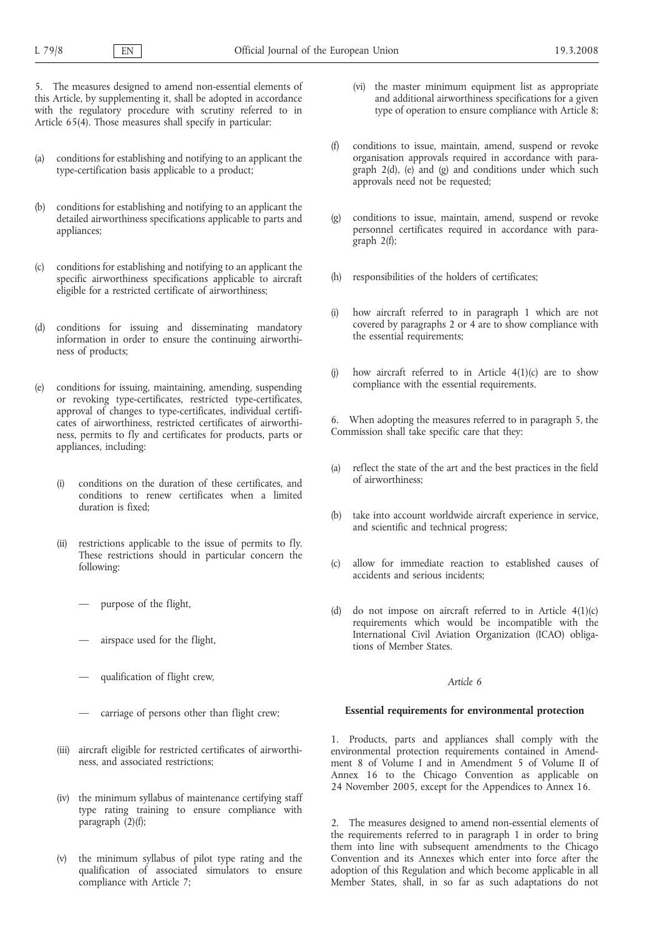5. The measures designed to amend non-essential elements of this Article, by supplementing it, shall be adopted in accordance with the regulatory procedure with scrutiny referred to in Article 65(4). Those measures shall specify in particular:

- (a) conditions for establishing and notifying to an applicant the type-certification basis applicable to a product;
- (b) conditions for establishing and notifying to an applicant the detailed airworthiness specifications applicable to parts and appliances;
- (c) conditions for establishing and notifying to an applicant the specific airworthiness specifications applicable to aircraft eligible for a restricted certificate of airworthiness;
- (d) conditions for issuing and disseminating mandatory information in order to ensure the continuing airworthiness of products;
- (e) conditions for issuing, maintaining, amending, suspending or revoking type-certificates, restricted type-certificates, approval of changes to type-certificates, individual certificates of airworthiness, restricted certificates of airworthiness, permits to fly and certificates for products, parts or appliances, including:
	- (i) conditions on the duration of these certificates, and conditions to renew certificates when a limited duration is fixed:
	- (ii) restrictions applicable to the issue of permits to fly. These restrictions should in particular concern the following:
		- purpose of the flight,
		- airspace used for the flight.
		- qualification of flight crew,
		- carriage of persons other than flight crew;
	- (iii) aircraft eligible for restricted certificates of airworthiness, and associated restrictions;
	- (iv) the minimum syllabus of maintenance certifying staff type rating training to ensure compliance with paragraph  $(2)(f)$ ;
	- (v) the minimum syllabus of pilot type rating and the qualification of associated simulators to ensure compliance with Article 7;
- (vi) the master minimum equipment list as appropriate and additional airworthiness specifications for a given type of operation to ensure compliance with Article 8;
- conditions to issue, maintain, amend, suspend or revoke organisation approvals required in accordance with paragraph 2(d), (e) and (g) and conditions under which such approvals need not be requested;
- (g) conditions to issue, maintain, amend, suspend or revoke personnel certificates required in accordance with paragraph 2(f);
- (h) responsibilities of the holders of certificates;
- (i) how aircraft referred to in paragraph 1 which are not covered by paragraphs 2 or 4 are to show compliance with the essential requirements;
- (j) how aircraft referred to in Article 4(1)(c) are to show compliance with the essential requirements.

6. When adopting the measures referred to in paragraph 5, the Commission shall take specific care that they:

- (a) reflect the state of the art and the best practices in the field of airworthiness;
- (b) take into account worldwide aircraft experience in service, and scientific and technical progress;
- (c) allow for immediate reaction to established causes of accidents and serious incidents;
- (d) do not impose on aircraft referred to in Article  $4(1)(c)$ requirements which would be incompatible with the International Civil Aviation Organization (ICAO) obligations of Member States.

## *Article 6*

### **Essential requirements for environmental protection**

1. Products, parts and appliances shall comply with the environmental protection requirements contained in Amendment 8 of Volume I and in Amendment 5 of Volume II of Annex 16 to the Chicago Convention as applicable on 24 November 2005, except for the Appendices to Annex 16.

2. The measures designed to amend non-essential elements of the requirements referred to in paragraph 1 in order to bring them into line with subsequent amendments to the Chicago Convention and its Annexes which enter into force after the adoption of this Regulation and which become applicable in all Member States, shall, in so far as such adaptations do not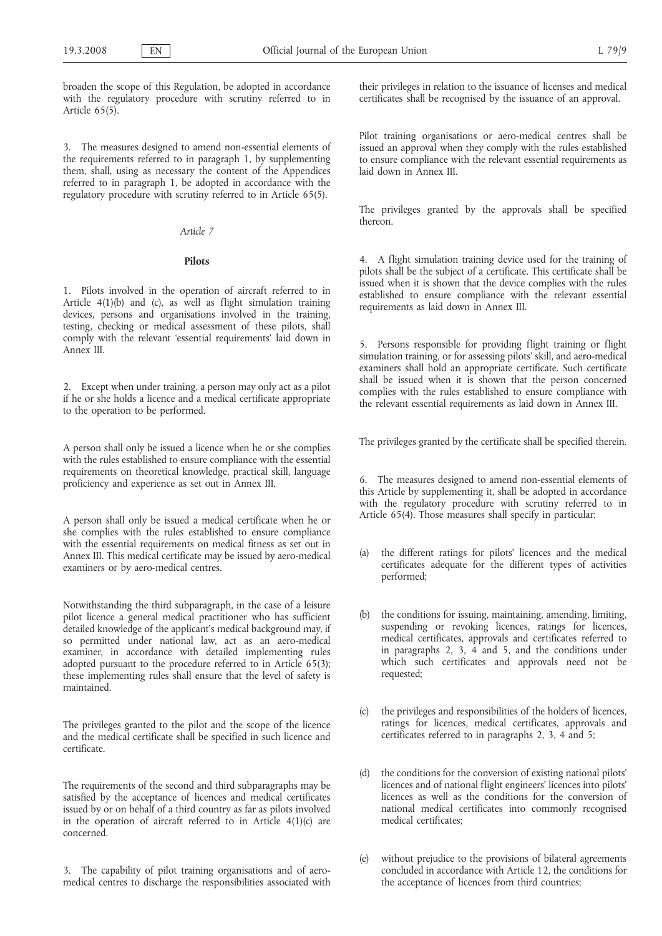broaden the scope of this Regulation, be adopted in accordance with the regulatory procedure with scrutiny referred to in Article 65(5).

3. The measures designed to amend non-essential elements of the requirements referred to in paragraph 1, by supplementing them, shall, using as necessary the content of the Appendices referred to in paragraph 1, be adopted in accordance with the regulatory procedure with scrutiny referred to in Article 65(5).

## *Article 7*

#### **Pilots**

1. Pilots involved in the operation of aircraft referred to in Article 4(1)(b) and (c), as well as flight simulation training devices, persons and organisations involved in the training, testing, checking or medical assessment of these pilots, shall comply with the relevant 'essential requirements' laid down in Annex III.

2. Except when under training, a person may only act as a pilot if he or she holds a licence and a medical certificate appropriate to the operation to be performed.

A person shall only be issued a licence when he or she complies with the rules established to ensure compliance with the essential requirements on theoretical knowledge, practical skill, language proficiency and experience as set out in Annex III.

A person shall only be issued a medical certificate when he or she complies with the rules established to ensure compliance with the essential requirements on medical fitness as set out in Annex III. This medical certificate may be issued by aero-medical examiners or by aero-medical centres.

Notwithstanding the third subparagraph, in the case of a leisure pilot licence a general medical practitioner who has sufficient detailed knowledge of the applicant's medical background may, if so permitted under national law, act as an aero-medical examiner, in accordance with detailed implementing rules adopted pursuant to the procedure referred to in Article  $65(3)$ ; these implementing rules shall ensure that the level of safety is maintained.

The privileges granted to the pilot and the scope of the licence and the medical certificate shall be specified in such licence and certificate.

The requirements of the second and third subparagraphs may be satisfied by the acceptance of licences and medical certificates issued by or on behalf of a third country as far as pilots involved in the operation of aircraft referred to in Article  $4(1)(c)$  are concerned.

3. The capability of pilot training organisations and of aeromedical centres to discharge the responsibilities associated with their privileges in relation to the issuance of licenses and medical certificates shall be recognised by the issuance of an approval.

Pilot training organisations or aero-medical centres shall be issued an approval when they comply with the rules established to ensure compliance with the relevant essential requirements as laid down in Annex III.

The privileges granted by the approvals shall be specified thereon.

4. A flight simulation training device used for the training of pilots shall be the subject of a certificate. This certificate shall be issued when it is shown that the device complies with the rules established to ensure compliance with the relevant essential requirements as laid down in Annex III.

5. Persons responsible for providing flight training or flight simulation training, or for assessing pilots' skill, and aero-medical examiners shall hold an appropriate certificate. Such certificate shall be issued when it is shown that the person concerned complies with the rules established to ensure compliance with the relevant essential requirements as laid down in Annex III.

The privileges granted by the certificate shall be specified therein.

6. The measures designed to amend non-essential elements of this Article by supplementing it, shall be adopted in accordance with the regulatory procedure with scrutiny referred to in Article 65(4). Those measures shall specify in particular:

- (a) the different ratings for pilots' licences and the medical certificates adequate for the different types of activities performed;
- (b) the conditions for issuing, maintaining, amending, limiting, suspending or revoking licences, ratings for licences, medical certificates, approvals and certificates referred to in paragraphs 2, 3,  $\hat{4}$  and 5, and the conditions under which such certificates and approvals need not be requested;
- (c) the privileges and responsibilities of the holders of licences, ratings for licences, medical certificates, approvals and certificates referred to in paragraphs 2, 3, 4 and 5;
- (d) the conditions for the conversion of existing national pilots' licences and of national flight engineers' licences into pilots' licences as well as the conditions for the conversion of national medical certificates into commonly recognised medical certificates;
- (e) without prejudice to the provisions of bilateral agreements concluded in accordance with Article 12, the conditions for the acceptance of licences from third countries;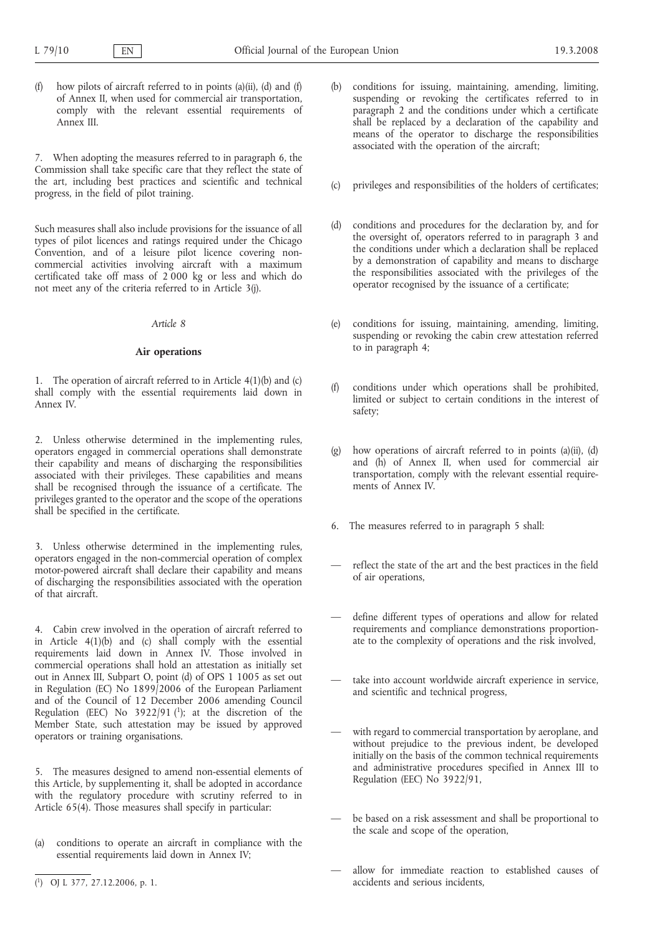(f) how pilots of aircraft referred to in points (a)(ii), (d) and (f) of Annex II, when used for commercial air transportation, comply with the relevant essential requirements of Annex III.

7. When adopting the measures referred to in paragraph 6, the Commission shall take specific care that they reflect the state of the art, including best practices and scientific and technical progress, in the field of pilot training.

Such measures shall also include provisions for the issuance of all types of pilot licences and ratings required under the Chicago Convention, and of a leisure pilot licence covering noncommercial activities involving aircraft with a maximum certificated take off mass of 2 000 kg or less and which do not meet any of the criteria referred to in Article 3(j).

### *Article 8*

## **Air operations**

1. The operation of aircraft referred to in Article 4(1)(b) and (c) shall comply with the essential requirements laid down in Annex IV.

2. Unless otherwise determined in the implementing rules, operators engaged in commercial operations shall demonstrate their capability and means of discharging the responsibilities associated with their privileges. These capabilities and means shall be recognised through the issuance of a certificate. The privileges granted to the operator and the scope of the operations shall be specified in the certificate.

3. Unless otherwise determined in the implementing rules, operators engaged in the non-commercial operation of complex motor-powered aircraft shall declare their capability and means of discharging the responsibilities associated with the operation of that aircraft.

4. Cabin crew involved in the operation of aircraft referred to in Article 4(1)(b) and (c) shall comply with the essential requirements laid down in Annex IV. Those involved in commercial operations shall hold an attestation as initially set out in Annex III, Subpart O, point (d) of OPS 1 1005 as set out in Regulation (EC) No 1899/2006 of the European Parliament and of the Council of 12 December 2006 amending Council Regulation (EEC) No  $3922/91$  (1); at the discretion of the Member State, such attestation may be issued by approved operators or training organisations.

5. The measures designed to amend non-essential elements of this Article, by supplementing it, shall be adopted in accordance with the regulatory procedure with scrutiny referred to in Article 65(4). Those measures shall specify in particular:

- (a) conditions to operate an aircraft in compliance with the essential requirements laid down in Annex IV;
- ( 1) OJ L 377, 27.12.2006, p. 1.
- (b) conditions for issuing, maintaining, amending, limiting, suspending or revoking the certificates referred to in paragraph 2 and the conditions under which a certificate shall be replaced by a declaration of the capability and means of the operator to discharge the responsibilities associated with the operation of the aircraft;
- (c) privileges and responsibilities of the holders of certificates;
- (d) conditions and procedures for the declaration by, and for the oversight of, operators referred to in paragraph 3 and the conditions under which a declaration shall be replaced by a demonstration of capability and means to discharge the responsibilities associated with the privileges of the operator recognised by the issuance of a certificate;
- (e) conditions for issuing, maintaining, amending, limiting, suspending or revoking the cabin crew attestation referred to in paragraph 4;
- (f) conditions under which operations shall be prohibited, limited or subject to certain conditions in the interest of safety;
- (g) how operations of aircraft referred to in points (a)(ii), (d) and (h) of Annex II, when used for commercial air transportation, comply with the relevant essential requirements of Annex IV.
- 6. The measures referred to in paragraph 5 shall:
- reflect the state of the art and the best practices in the field of air operations,
- define different types of operations and allow for related requirements and compliance demonstrations proportionate to the complexity of operations and the risk involved,
- take into account worldwide aircraft experience in service. and scientific and technical progress,
- with regard to commercial transportation by aeroplane, and without prejudice to the previous indent, be developed initially on the basis of the common technical requirements and administrative procedures specified in Annex III to Regulation (EEC) No 3922/91,
- be based on a risk assessment and shall be proportional to the scale and scope of the operation,
- allow for immediate reaction to established causes of accidents and serious incidents,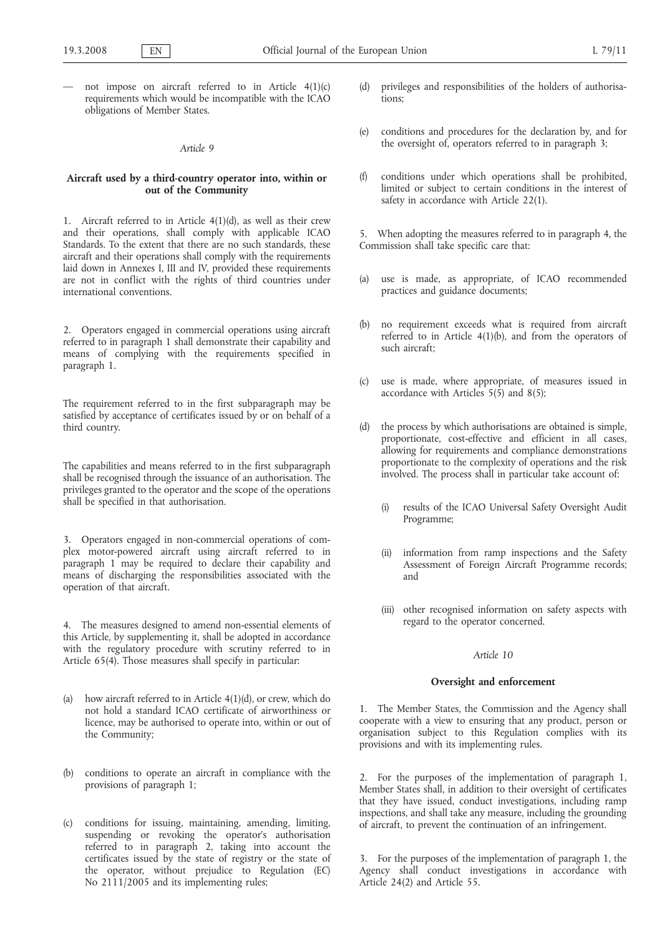not impose on aircraft referred to in Article  $4(1)(c)$ requirements which would be incompatible with the ICAO obligations of Member States.

### *Article 9*

## **Aircraft used by a third-country operator into, within or out of the Community**

1. Aircraft referred to in Article 4(1)(d), as well as their crew and their operations, shall comply with applicable ICAO Standards. To the extent that there are no such standards, these aircraft and their operations shall comply with the requirements laid down in Annexes I, III and IV, provided these requirements are not in conflict with the rights of third countries under international conventions.

2. Operators engaged in commercial operations using aircraft referred to in paragraph 1 shall demonstrate their capability and means of complying with the requirements specified in paragraph 1.

The requirement referred to in the first subparagraph may be satisfied by acceptance of certificates issued by or on behalf of a third country.

The capabilities and means referred to in the first subparagraph shall be recognised through the issuance of an authorisation. The privileges granted to the operator and the scope of the operations shall be specified in that authorisation.

3. Operators engaged in non-commercial operations of complex motor-powered aircraft using aircraft referred to in paragraph 1 may be required to declare their capability and means of discharging the responsibilities associated with the operation of that aircraft.

4. The measures designed to amend non-essential elements of this Article, by supplementing it, shall be adopted in accordance with the regulatory procedure with scrutiny referred to in Article 65(4). Those measures shall specify in particular:

- (a) how aircraft referred to in Article 4(1)(d), or crew, which do not hold a standard ICAO certificate of airworthiness or licence, may be authorised to operate into, within or out of the Community;
- (b) conditions to operate an aircraft in compliance with the provisions of paragraph 1;
- (c) conditions for issuing, maintaining, amending, limiting, suspending or revoking the operator's authorisation referred to in paragraph 2, taking into account the certificates issued by the state of registry or the state of the operator, without prejudice to Regulation (EC) No 2111/2005 and its implementing rules;
- privileges and responsibilities of the holders of authorisations;
- (e) conditions and procedures for the declaration by, and for the oversight of, operators referred to in paragraph 3;
- (f) conditions under which operations shall be prohibited, limited or subject to certain conditions in the interest of safety in accordance with Article 22(1).

5. When adopting the measures referred to in paragraph 4, the Commission shall take specific care that:

- (a) use is made, as appropriate, of ICAO recommended practices and guidance documents;
- (b) no requirement exceeds what is required from aircraft referred to in Article 4(1)(b), and from the operators of such aircraft;
- (c) use is made, where appropriate, of measures issued in accordance with Articles  $5(5)$  and  $8(5)$ ;
- (d) the process by which authorisations are obtained is simple, proportionate, cost-effective and efficient in all cases, allowing for requirements and compliance demonstrations proportionate to the complexity of operations and the risk involved. The process shall in particular take account of:
	- (i) results of the ICAO Universal Safety Oversight Audit Programme;
	- (ii) information from ramp inspections and the Safety Assessment of Foreign Aircraft Programme records; and
	- (iii) other recognised information on safety aspects with regard to the operator concerned.

## *Article 10*

## **Oversight and enforcement**

1. The Member States, the Commission and the Agency shall cooperate with a view to ensuring that any product, person or organisation subject to this Regulation complies with its provisions and with its implementing rules.

2. For the purposes of the implementation of paragraph 1, Member States shall, in addition to their oversight of certificates that they have issued, conduct investigations, including ramp inspections, and shall take any measure, including the grounding of aircraft, to prevent the continuation of an infringement.

3. For the purposes of the implementation of paragraph 1, the Agency shall conduct investigations in accordance with Article 24(2) and Article 55.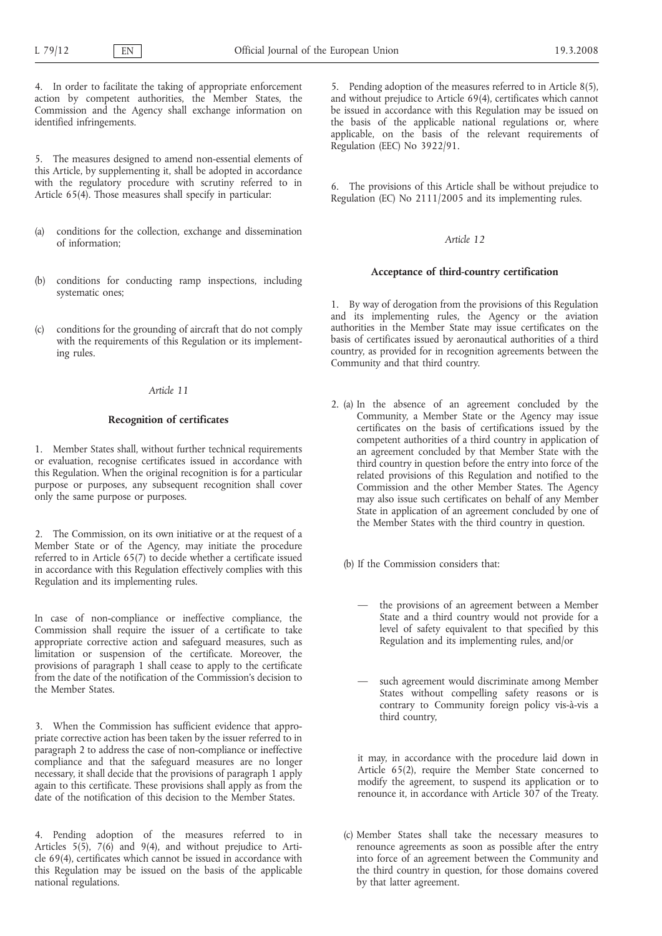4. In order to facilitate the taking of appropriate enforcement action by competent authorities, the Member States, the Commission and the Agency shall exchange information on identified infringements.

5. The measures designed to amend non-essential elements of this Article, by supplementing it, shall be adopted in accordance with the regulatory procedure with scrutiny referred to in Article 65(4). Those measures shall specify in particular:

- (a) conditions for the collection, exchange and dissemination of information;
- (b) conditions for conducting ramp inspections, including systematic ones;
- conditions for the grounding of aircraft that do not comply with the requirements of this Regulation or its implementing rules.

## *Article 11*

### **Recognition of certificates**

1. Member States shall, without further technical requirements or evaluation, recognise certificates issued in accordance with this Regulation. When the original recognition is for a particular purpose or purposes, any subsequent recognition shall cover only the same purpose or purposes.

2. The Commission, on its own initiative or at the request of a Member State or of the Agency, may initiate the procedure referred to in Article 65(7) to decide whether a certificate issued in accordance with this Regulation effectively complies with this Regulation and its implementing rules.

In case of non-compliance or ineffective compliance, the Commission shall require the issuer of a certificate to take appropriate corrective action and safeguard measures, such as limitation or suspension of the certificate. Moreover, the provisions of paragraph 1 shall cease to apply to the certificate from the date of the notification of the Commission's decision to the Member States.

3. When the Commission has sufficient evidence that appropriate corrective action has been taken by the issuer referred to in paragraph 2 to address the case of non-compliance or ineffective compliance and that the safeguard measures are no longer necessary, it shall decide that the provisions of paragraph 1 apply again to this certificate. These provisions shall apply as from the date of the notification of this decision to the Member States.

4. Pending adoption of the measures referred to in Articles  $5(5)$ ,  $7(6)$  and 9(4), and without prejudice to Article 69(4), certificates which cannot be issued in accordance with this Regulation may be issued on the basis of the applicable national regulations.

5. Pending adoption of the measures referred to in Article 8(5), and without prejudice to Article 69(4), certificates which cannot be issued in accordance with this Regulation may be issued on the basis of the applicable national regulations or, where applicable, on the basis of the relevant requirements of Regulation (EEC) No 3922/91.

6. The provisions of this Article shall be without prejudice to Regulation (EC) No 2111/2005 and its implementing rules.

## *Article 12*

## **Acceptance of third-country certification**

1. By way of derogation from the provisions of this Regulation and its implementing rules, the Agency or the aviation authorities in the Member State may issue certificates on the basis of certificates issued by aeronautical authorities of a third country, as provided for in recognition agreements between the Community and that third country.

- 2. (a) In the absence of an agreement concluded by the Community, a Member State or the Agency may issue certificates on the basis of certifications issued by the competent authorities of a third country in application of an agreement concluded by that Member State with the third country in question before the entry into force of the related provisions of this Regulation and notified to the Commission and the other Member States. The Agency may also issue such certificates on behalf of any Member State in application of an agreement concluded by one of the Member States with the third country in question.
	- (b) If the Commission considers that:
		- the provisions of an agreement between a Member State and a third country would not provide for a level of safety equivalent to that specified by this Regulation and its implementing rules, and/or
		- such agreement would discriminate among Member States without compelling safety reasons or is contrary to Community foreign policy vis-à-vis a third country,

it may, in accordance with the procedure laid down in Article 65(2), require the Member State concerned to modify the agreement, to suspend its application or to renounce it, in accordance with Article 307 of the Treaty.

(c) Member States shall take the necessary measures to renounce agreements as soon as possible after the entry into force of an agreement between the Community and the third country in question, for those domains covered by that latter agreement.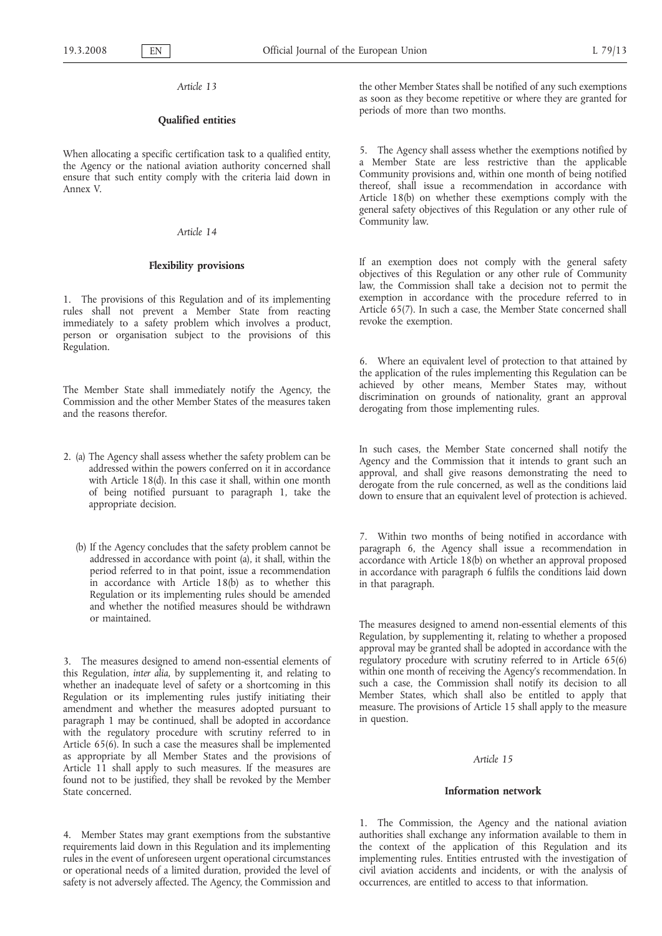### *Article 13*

#### **Qualified entities**

When allocating a specific certification task to a qualified entity, the Agency or the national aviation authority concerned shall ensure that such entity comply with the criteria laid down in Annex V.

### *Article 14*

## **Flexibility provisions**

1. The provisions of this Regulation and of its implementing rules shall not prevent a Member State from reacting immediately to a safety problem which involves a product, person or organisation subject to the provisions of this Regulation.

The Member State shall immediately notify the Agency, the Commission and the other Member States of the measures taken and the reasons therefor.

- 2. (a) The Agency shall assess whether the safety problem can be addressed within the powers conferred on it in accordance with Article 18(d). In this case it shall, within one month of being notified pursuant to paragraph 1, take the appropriate decision.
	- (b) If the Agency concludes that the safety problem cannot be addressed in accordance with point (a), it shall, within the period referred to in that point, issue a recommendation in accordance with Article 18(b) as to whether this Regulation or its implementing rules should be amended and whether the notified measures should be withdrawn or maintained.

3. The measures designed to amend non-essential elements of this Regulation, *inter alia*, by supplementing it, and relating to whether an inadequate level of safety or a shortcoming in this Regulation or its implementing rules justify initiating their amendment and whether the measures adopted pursuant to paragraph 1 may be continued, shall be adopted in accordance with the regulatory procedure with scrutiny referred to in Article 65(6). In such a case the measures shall be implemented as appropriate by all Member States and the provisions of Article 11 shall apply to such measures. If the measures are found not to be justified, they shall be revoked by the Member State concerned.

4. Member States may grant exemptions from the substantive requirements laid down in this Regulation and its implementing rules in the event of unforeseen urgent operational circumstances or operational needs of a limited duration, provided the level of safety is not adversely affected. The Agency, the Commission and

the other Member States shall be notified of any such exemptions as soon as they become repetitive or where they are granted for periods of more than two months.

5. The Agency shall assess whether the exemptions notified by a Member State are less restrictive than the applicable Community provisions and, within one month of being notified thereof, shall issue a recommendation in accordance with Article 18(b) on whether these exemptions comply with the general safety objectives of this Regulation or any other rule of Community law.

If an exemption does not comply with the general safety objectives of this Regulation or any other rule of Community law, the Commission shall take a decision not to permit the exemption in accordance with the procedure referred to in Article 65(7). In such a case, the Member State concerned shall revoke the exemption.

6. Where an equivalent level of protection to that attained by the application of the rules implementing this Regulation can be achieved by other means, Member States may, without discrimination on grounds of nationality, grant an approval derogating from those implementing rules.

In such cases, the Member State concerned shall notify the Agency and the Commission that it intends to grant such an approval, and shall give reasons demonstrating the need to derogate from the rule concerned, as well as the conditions laid down to ensure that an equivalent level of protection is achieved.

7. Within two months of being notified in accordance with paragraph 6, the Agency shall issue a recommendation in accordance with Article 18(b) on whether an approval proposed in accordance with paragraph 6 fulfils the conditions laid down in that paragraph.

The measures designed to amend non-essential elements of this Regulation, by supplementing it, relating to whether a proposed approval may be granted shall be adopted in accordance with the regulatory procedure with scrutiny referred to in Article 65(6) within one month of receiving the Agency's recommendation. In such a case, the Commission shall notify its decision to all Member States, which shall also be entitled to apply that measure. The provisions of Article 15 shall apply to the measure in question.

# *Article 15*

## **Information network**

1. The Commission, the Agency and the national aviation authorities shall exchange any information available to them in the context of the application of this Regulation and its implementing rules. Entities entrusted with the investigation of civil aviation accidents and incidents, or with the analysis of occurrences, are entitled to access to that information.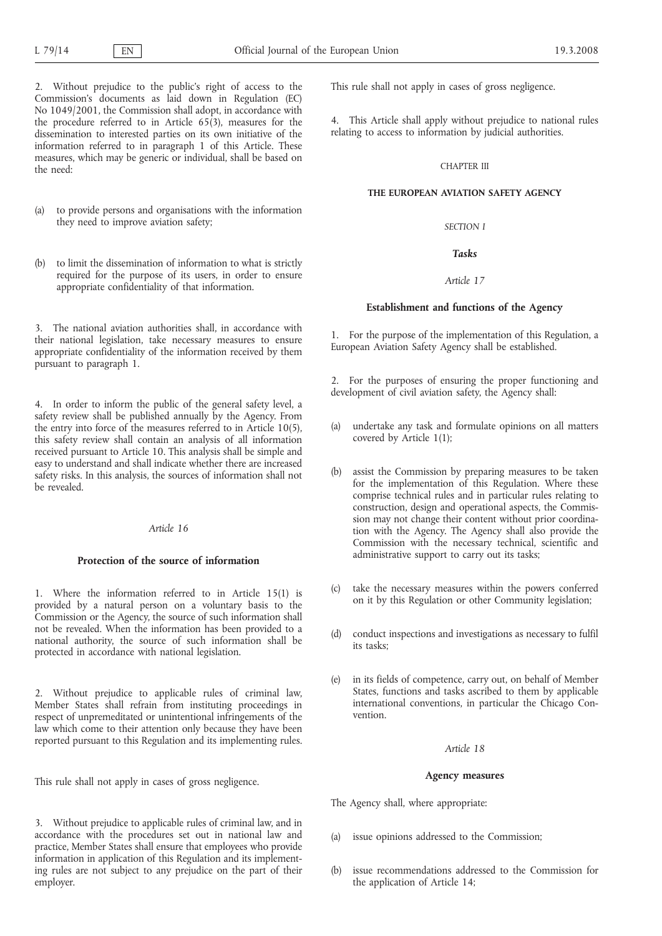2. Without prejudice to the public's right of access to the Commission's documents as laid down in Regulation (EC) No 1049/2001, the Commission shall adopt, in accordance with the procedure referred to in Article 65(3), measures for the dissemination to interested parties on its own initiative of the information referred to in paragraph 1 of this Article. These measures, which may be generic or individual, shall be based on the need:

- (a) to provide persons and organisations with the information they need to improve aviation safety;
- (b) to limit the dissemination of information to what is strictly required for the purpose of its users, in order to ensure appropriate confidentiality of that information.

3. The national aviation authorities shall, in accordance with their national legislation, take necessary measures to ensure appropriate confidentiality of the information received by them pursuant to paragraph 1.

4. In order to inform the public of the general safety level, a safety review shall be published annually by the Agency. From the entry into force of the measures referred to in Article 10(5), this safety review shall contain an analysis of all information received pursuant to Article 10. This analysis shall be simple and easy to understand and shall indicate whether there are increased safety risks. In this analysis, the sources of information shall not be revealed.

# *Article 16*

## **Protection of the source of information**

1. Where the information referred to in Article 15(1) is provided by a natural person on a voluntary basis to the Commission or the Agency, the source of such information shall not be revealed. When the information has been provided to a national authority, the source of such information shall be protected in accordance with national legislation.

2. Without prejudice to applicable rules of criminal law, Member States shall refrain from instituting proceedings in respect of unpremeditated or unintentional infringements of the law which come to their attention only because they have been reported pursuant to this Regulation and its implementing rules.

This rule shall not apply in cases of gross negligence.

3. Without prejudice to applicable rules of criminal law, and in accordance with the procedures set out in national law and practice, Member States shall ensure that employees who provide information in application of this Regulation and its implementing rules are not subject to any prejudice on the part of their employer.

This rule shall not apply in cases of gross negligence.

4. This Article shall apply without prejudice to national rules relating to access to information by judicial authorities.

## CHAPTER III

## **THE EUROPEAN AVIATION SAFETY AGENCY**

## *SECTION I*

## *Tasks*

## *Article 17*

### **Establishment and functions of the Agency**

1. For the purpose of the implementation of this Regulation, a European Aviation Safety Agency shall be established.

- 2. For the purposes of ensuring the proper functioning and development of civil aviation safety, the Agency shall:
- (a) undertake any task and formulate opinions on all matters covered by Article 1(1);
- (b) assist the Commission by preparing measures to be taken for the implementation of this Regulation. Where these comprise technical rules and in particular rules relating to construction, design and operational aspects, the Commission may not change their content without prior coordination with the Agency. The Agency shall also provide the Commission with the necessary technical, scientific and administrative support to carry out its tasks;
- (c) take the necessary measures within the powers conferred on it by this Regulation or other Community legislation;
- (d) conduct inspections and investigations as necessary to fulfil its tasks;
- (e) in its fields of competence, carry out, on behalf of Member States, functions and tasks ascribed to them by applicable international conventions, in particular the Chicago Convention.

## *Article 18*

### **Agency measures**

The Agency shall, where appropriate:

- (a) issue opinions addressed to the Commission;
- (b) issue recommendations addressed to the Commission for the application of Article 14;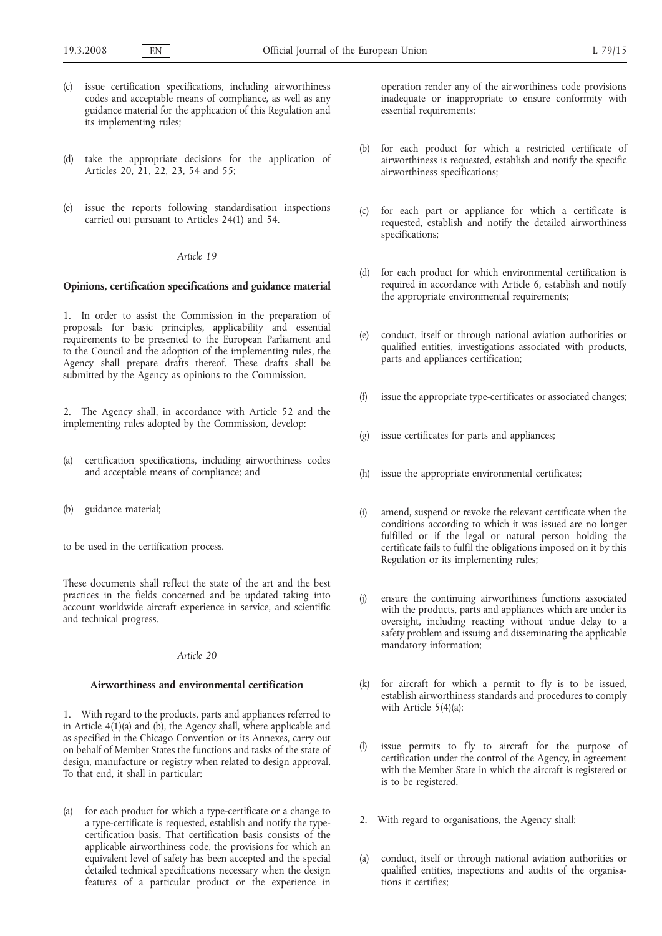- (c) issue certification specifications, including airworthiness codes and acceptable means of compliance, as well as any guidance material for the application of this Regulation and its implementing rules;
- (d) take the appropriate decisions for the application of Articles 20, 21, 22, 23, 54 and 55;
- (e) issue the reports following standardisation inspections carried out pursuant to Articles 24(1) and 54.

## *Article 19*

## **Opinions, certification specifications and guidance material**

1. In order to assist the Commission in the preparation of proposals for basic principles, applicability and essential requirements to be presented to the European Parliament and to the Council and the adoption of the implementing rules, the Agency shall prepare drafts thereof. These drafts shall be submitted by the Agency as opinions to the Commission.

2. The Agency shall, in accordance with Article 52 and the implementing rules adopted by the Commission, develop:

- (a) certification specifications, including airworthiness codes and acceptable means of compliance; and
- (b) guidance material;
- to be used in the certification process.

These documents shall reflect the state of the art and the best practices in the fields concerned and be updated taking into account worldwide aircraft experience in service, and scientific and technical progress.

### *Article 20*

### **Airworthiness and environmental certification**

1. With regard to the products, parts and appliances referred to in Article  $4(1)(a)$  and  $(b)$ , the Agency shall, where applicable and as specified in the Chicago Convention or its Annexes, carry out on behalf of Member States the functions and tasks of the state of design, manufacture or registry when related to design approval. To that end, it shall in particular:

(a) for each product for which a type-certificate or a change to a type-certificate is requested, establish and notify the typecertification basis. That certification basis consists of the applicable airworthiness code, the provisions for which an equivalent level of safety has been accepted and the special detailed technical specifications necessary when the design features of a particular product or the experience in

operation render any of the airworthiness code provisions inadequate or inappropriate to ensure conformity with essential requirements;

- (b) for each product for which a restricted certificate of airworthiness is requested, establish and notify the specific airworthiness specifications;
- (c) for each part or appliance for which a certificate is requested, establish and notify the detailed airworthiness specifications;
- (d) for each product for which environmental certification is required in accordance with Article 6, establish and notify the appropriate environmental requirements;
- (e) conduct, itself or through national aviation authorities or qualified entities, investigations associated with products, parts and appliances certification;
- (f) issue the appropriate type-certificates or associated changes;
- (g) issue certificates for parts and appliances;
- (h) issue the appropriate environmental certificates;
- (i) amend, suspend or revoke the relevant certificate when the conditions according to which it was issued are no longer fulfilled or if the legal or natural person holding the certificate fails to fulfil the obligations imposed on it by this Regulation or its implementing rules;
- (j) ensure the continuing airworthiness functions associated with the products, parts and appliances which are under its oversight, including reacting without undue delay to a safety problem and issuing and disseminating the applicable mandatory information;
- (k) for aircraft for which a permit to fly is to be issued, establish airworthiness standards and procedures to comply with Article 5(4)(a);
- (l) issue permits to fly to aircraft for the purpose of certification under the control of the Agency, in agreement with the Member State in which the aircraft is registered or is to be registered.
- 2. With regard to organisations, the Agency shall:
- (a) conduct, itself or through national aviation authorities or qualified entities, inspections and audits of the organisations it certifies;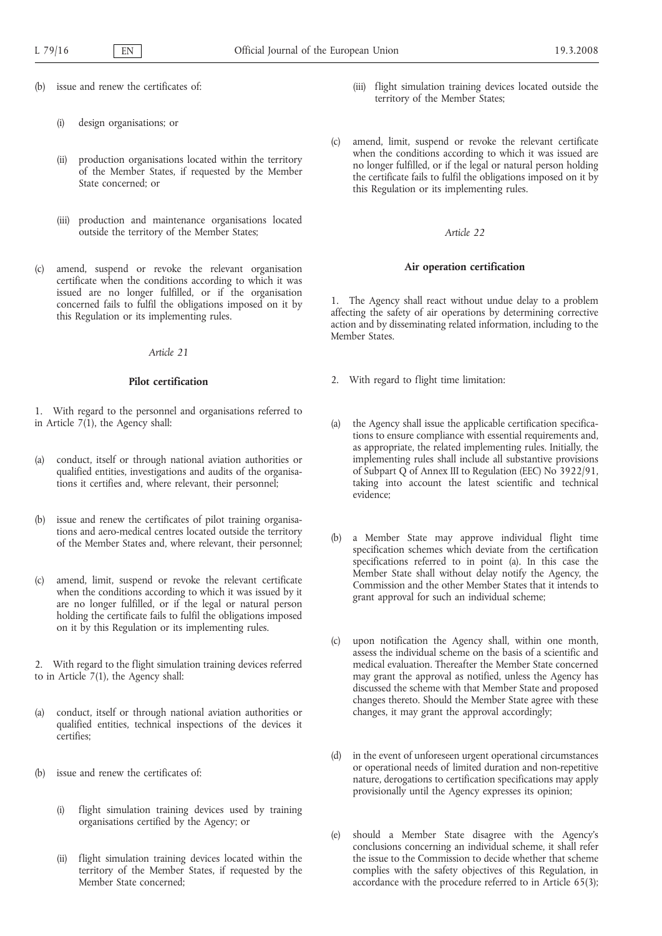- (b) issue and renew the certificates of:
	- (i) design organisations; or
	- (ii) production organisations located within the territory of the Member States, if requested by the Member State concerned; or
	- (iii) production and maintenance organisations located outside the territory of the Member States;
- (c) amend, suspend or revoke the relevant organisation certificate when the conditions according to which it was issued are no longer fulfilled, or if the organisation concerned fails to fulfil the obligations imposed on it by this Regulation or its implementing rules.

#### *Article 21*

## **Pilot certification**

1. With regard to the personnel and organisations referred to in Article  $7(1)$ , the Agency shall:

- (a) conduct, itself or through national aviation authorities or qualified entities, investigations and audits of the organisations it certifies and, where relevant, their personnel;
- (b) issue and renew the certificates of pilot training organisations and aero-medical centres located outside the territory of the Member States and, where relevant, their personnel;
- (c) amend, limit, suspend or revoke the relevant certificate when the conditions according to which it was issued by it are no longer fulfilled, or if the legal or natural person holding the certificate fails to fulfil the obligations imposed on it by this Regulation or its implementing rules.

2. With regard to the flight simulation training devices referred to in Article 7(1), the Agency shall:

- (a) conduct, itself or through national aviation authorities or qualified entities, technical inspections of the devices it certifies;
- (b) issue and renew the certificates of:
	- (i) flight simulation training devices used by training organisations certified by the Agency; or
	- (ii) flight simulation training devices located within the territory of the Member States, if requested by the Member State concerned;
- (iii) flight simulation training devices located outside the territory of the Member States;
- (c) amend, limit, suspend or revoke the relevant certificate when the conditions according to which it was issued are no longer fulfilled, or if the legal or natural person holding the certificate fails to fulfil the obligations imposed on it by this Regulation or its implementing rules.

#### *Article 22*

#### **Air operation certification**

1. The Agency shall react without undue delay to a problem affecting the safety of air operations by determining corrective action and by disseminating related information, including to the Member States.

- 2. With regard to flight time limitation:
- (a) the Agency shall issue the applicable certification specifications to ensure compliance with essential requirements and, as appropriate, the related implementing rules. Initially, the implementing rules shall include all substantive provisions of Subpart Q of Annex III to Regulation (EEC) No 3922/91, taking into account the latest scientific and technical evidence;
- (b) a Member State may approve individual flight time specification schemes which deviate from the certification specifications referred to in point (a). In this case the Member State shall without delay notify the Agency, the Commission and the other Member States that it intends to grant approval for such an individual scheme;
- (c) upon notification the Agency shall, within one month, assess the individual scheme on the basis of a scientific and medical evaluation. Thereafter the Member State concerned may grant the approval as notified, unless the Agency has discussed the scheme with that Member State and proposed changes thereto. Should the Member State agree with these changes, it may grant the approval accordingly;
- (d) in the event of unforeseen urgent operational circumstances or operational needs of limited duration and non-repetitive nature, derogations to certification specifications may apply provisionally until the Agency expresses its opinion;
- (e) should a Member State disagree with the Agency's conclusions concerning an individual scheme, it shall refer the issue to the Commission to decide whether that scheme complies with the safety objectives of this Regulation, in accordance with the procedure referred to in Article 65(3);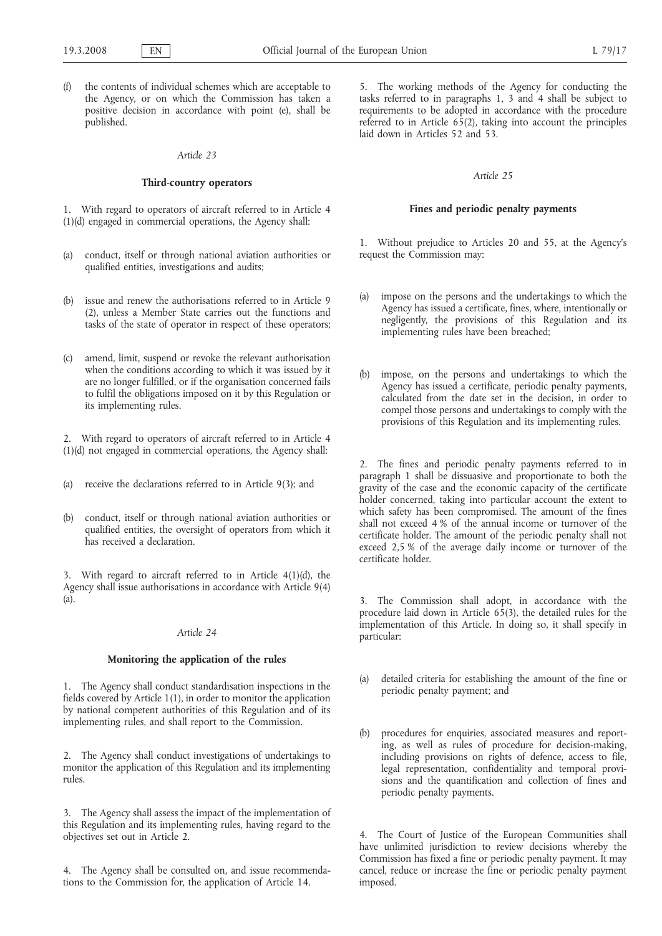the contents of individual schemes which are acceptable to the Agency, or on which the Commission has taken a positive decision in accordance with point (e), shall be published.

## *Article 23*

#### **Third-country operators**

1. With regard to operators of aircraft referred to in Article 4 (1)(d) engaged in commercial operations, the Agency shall:

- (a) conduct, itself or through national aviation authorities or qualified entities, investigations and audits;
- (b) issue and renew the authorisations referred to in Article 9 (2), unless a Member State carries out the functions and tasks of the state of operator in respect of these operators;
- (c) amend, limit, suspend or revoke the relevant authorisation when the conditions according to which it was issued by it are no longer fulfilled, or if the organisation concerned fails to fulfil the obligations imposed on it by this Regulation or its implementing rules.

2. With regard to operators of aircraft referred to in Article 4 (1)(d) not engaged in commercial operations, the Agency shall:

- (a) receive the declarations referred to in Article 9(3); and
- (b) conduct, itself or through national aviation authorities or qualified entities, the oversight of operators from which it has received a declaration.

3. With regard to aircraft referred to in Article 4(1)(d), the Agency shall issue authorisations in accordance with Article 9(4) (a).

## *Article 24*

## **Monitoring the application of the rules**

1. The Agency shall conduct standardisation inspections in the fields covered by Article 1(1), in order to monitor the application by national competent authorities of this Regulation and of its implementing rules, and shall report to the Commission.

2. The Agency shall conduct investigations of undertakings to monitor the application of this Regulation and its implementing rules.

3. The Agency shall assess the impact of the implementation of this Regulation and its implementing rules, having regard to the objectives set out in Article 2.

4. The Agency shall be consulted on, and issue recommendations to the Commission for, the application of Article 14.

5. The working methods of the Agency for conducting the tasks referred to in paragraphs 1, 3 and 4 shall be subject to requirements to be adopted in accordance with the procedure referred to in Article  $6\bar{5}(2)$ , taking into account the principles laid down in Articles 52 and 53.

## *Article 25*

### **Fines and periodic penalty payments**

1. Without prejudice to Articles 20 and 55, at the Agency's request the Commission may:

- (a) impose on the persons and the undertakings to which the Agency has issued a certificate, fines, where, intentionally or negligently, the provisions of this Regulation and its implementing rules have been breached;
- (b) impose, on the persons and undertakings to which the Agency has issued a certificate, periodic penalty payments, calculated from the date set in the decision, in order to compel those persons and undertakings to comply with the provisions of this Regulation and its implementing rules.

2. The fines and periodic penalty payments referred to in paragraph 1 shall be dissuasive and proportionate to both the gravity of the case and the economic capacity of the certificate holder concerned, taking into particular account the extent to which safety has been compromised. The amount of the fines shall not exceed 4 % of the annual income or turnover of the certificate holder. The amount of the periodic penalty shall not exceed 2,5 % of the average daily income or turnover of the certificate holder.

3. The Commission shall adopt, in accordance with the procedure laid down in Article  $65(3)$ , the detailed rules for the implementation of this Article. In doing so, it shall specify in particular:

- (a) detailed criteria for establishing the amount of the fine or periodic penalty payment; and
- (b) procedures for enquiries, associated measures and reporting, as well as rules of procedure for decision-making, including provisions on rights of defence, access to file, legal representation, confidentiality and temporal provisions and the quantification and collection of fines and periodic penalty payments.

4. The Court of Justice of the European Communities shall have unlimited jurisdiction to review decisions whereby the Commission has fixed a fine or periodic penalty payment. It may cancel, reduce or increase the fine or periodic penalty payment imposed.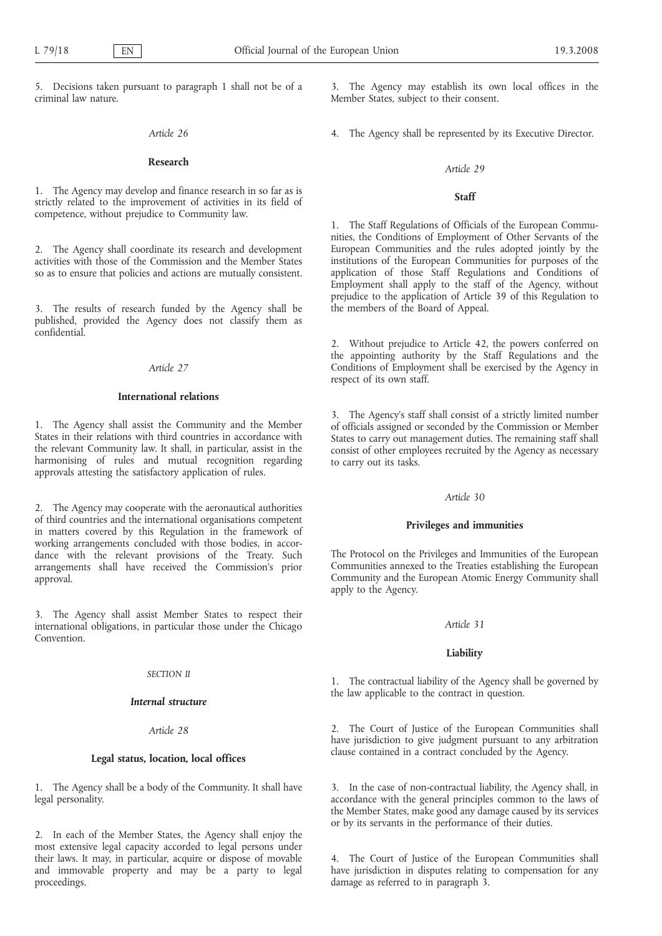5. Decisions taken pursuant to paragraph 1 shall not be of a criminal law nature.

## *Article 26*

## **Research**

1. The Agency may develop and finance research in so far as is strictly related to the improvement of activities in its field of competence, without prejudice to Community law.

2. The Agency shall coordinate its research and development activities with those of the Commission and the Member States so as to ensure that policies and actions are mutually consistent.

3. The results of research funded by the Agency shall be published, provided the Agency does not classify them as confidential.

### *Article 27*

## **International relations**

1. The Agency shall assist the Community and the Member States in their relations with third countries in accordance with the relevant Community law. It shall, in particular, assist in the harmonising of rules and mutual recognition regarding approvals attesting the satisfactory application of rules.

2. The Agency may cooperate with the aeronautical authorities of third countries and the international organisations competent in matters covered by this Regulation in the framework of working arrangements concluded with those bodies, in accordance with the relevant provisions of the Treaty. Such arrangements shall have received the Commission's prior approval.

3. The Agency shall assist Member States to respect their international obligations, in particular those under the Chicago Convention.

#### *SECTION II*

## *Internal structure*

#### *Article 28*

# **Legal status, location, local offices**

1. The Agency shall be a body of the Community. It shall have legal personality.

2. In each of the Member States, the Agency shall enjoy the most extensive legal capacity accorded to legal persons under their laws. It may, in particular, acquire or dispose of movable and immovable property and may be a party to legal proceedings.

3. The Agency may establish its own local offices in the Member States, subject to their consent.

4. The Agency shall be represented by its Executive Director.

## *Article 29*

## **Staff**

1. The Staff Regulations of Officials of the European Communities, the Conditions of Employment of Other Servants of the European Communities and the rules adopted jointly by the institutions of the European Communities for purposes of the application of those Staff Regulations and Conditions of Employment shall apply to the staff of the Agency, without prejudice to the application of Article 39 of this Regulation to the members of the Board of Appeal.

2. Without prejudice to Article 42, the powers conferred on the appointing authority by the Staff Regulations and the Conditions of Employment shall be exercised by the Agency in respect of its own staff.

3. The Agency's staff shall consist of a strictly limited number of officials assigned or seconded by the Commission or Member States to carry out management duties. The remaining staff shall consist of other employees recruited by the Agency as necessary to carry out its tasks.

## *Article 30*

#### **Privileges and immunities**

The Protocol on the Privileges and Immunities of the European Communities annexed to the Treaties establishing the European Community and the European Atomic Energy Community shall apply to the Agency.

## *Article 31*

### **Liability**

1. The contractual liability of the Agency shall be governed by the law applicable to the contract in question.

2. The Court of Justice of the European Communities shall have jurisdiction to give judgment pursuant to any arbitration clause contained in a contract concluded by the Agency.

3. In the case of non-contractual liability, the Agency shall, in accordance with the general principles common to the laws of the Member States, make good any damage caused by its services or by its servants in the performance of their duties.

4. The Court of Justice of the European Communities shall have jurisdiction in disputes relating to compensation for any damage as referred to in paragraph 3.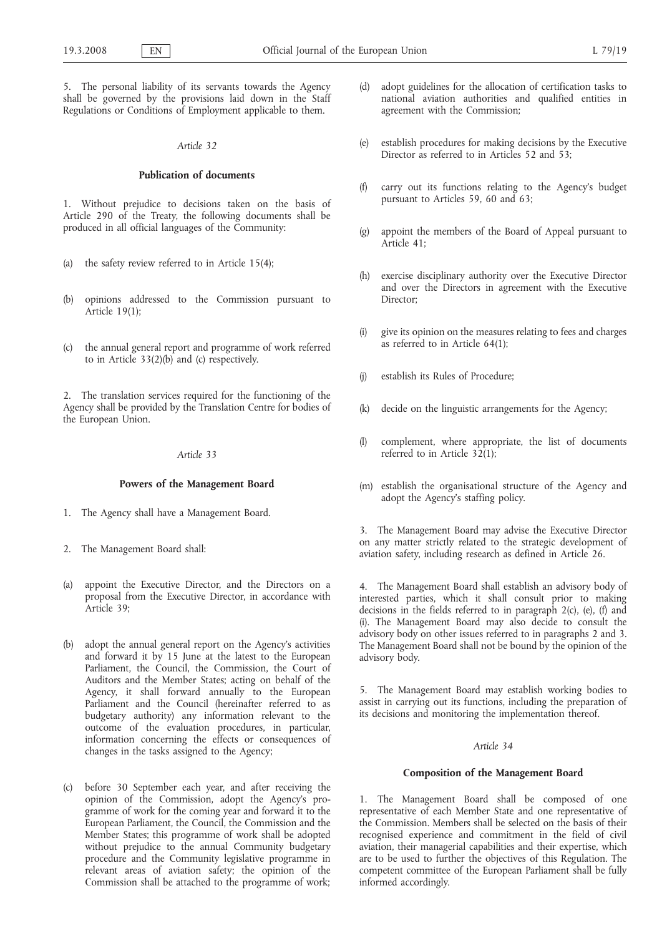5. The personal liability of its servants towards the Agency shall be governed by the provisions laid down in the Staff Regulations or Conditions of Employment applicable to them.

#### *Article 32*

### **Publication of documents**

1. Without prejudice to decisions taken on the basis of Article 290 of the Treaty, the following documents shall be produced in all official languages of the Community:

- (a) the safety review referred to in Article 15(4);
- (b) opinions addressed to the Commission pursuant to Article 19(1);
- (c) the annual general report and programme of work referred to in Article  $33(2)(b)$  and (c) respectively.

2. The translation services required for the functioning of the Agency shall be provided by the Translation Centre for bodies of the European Union.

### *Article 33*

### **Powers of the Management Board**

- 1. The Agency shall have a Management Board.
- 2. The Management Board shall:
- (a) appoint the Executive Director, and the Directors on a proposal from the Executive Director, in accordance with Article 39;
- (b) adopt the annual general report on the Agency's activities and forward it by 15 June at the latest to the European Parliament, the Council, the Commission, the Court of Auditors and the Member States; acting on behalf of the Agency, it shall forward annually to the European Parliament and the Council (hereinafter referred to as budgetary authority) any information relevant to the outcome of the evaluation procedures, in particular, information concerning the effects or consequences of changes in the tasks assigned to the Agency;
- (c) before 30 September each year, and after receiving the opinion of the Commission, adopt the Agency's programme of work for the coming year and forward it to the European Parliament, the Council, the Commission and the Member States; this programme of work shall be adopted without prejudice to the annual Community budgetary procedure and the Community legislative programme in relevant areas of aviation safety; the opinion of the Commission shall be attached to the programme of work;
- adopt guidelines for the allocation of certification tasks to national aviation authorities and qualified entities in agreement with the Commission;
- (e) establish procedures for making decisions by the Executive Director as referred to in Articles 52 and 53:
- (f) carry out its functions relating to the Agency's budget pursuant to Articles 59, 60 and 63;
- (g) appoint the members of the Board of Appeal pursuant to Article 41;
- (h) exercise disciplinary authority over the Executive Director and over the Directors in agreement with the Executive Director;
- (i) give its opinion on the measures relating to fees and charges as referred to in Article 64(1);
- (j) establish its Rules of Procedure;
- (k) decide on the linguistic arrangements for the Agency;
- (l) complement, where appropriate, the list of documents referred to in Article  $32(1)$ ;
- (m) establish the organisational structure of the Agency and adopt the Agency's staffing policy.

3. The Management Board may advise the Executive Director on any matter strictly related to the strategic development of aviation safety, including research as defined in Article 26.

4. The Management Board shall establish an advisory body of interested parties, which it shall consult prior to making decisions in the fields referred to in paragraph  $2(c)$ , (e), (f) and (i). The Management Board may also decide to consult the advisory body on other issues referred to in paragraphs 2 and 3. The Management Board shall not be bound by the opinion of the advisory body.

5. The Management Board may establish working bodies to assist in carrying out its functions, including the preparation of its decisions and monitoring the implementation thereof.

## *Article 34*

# **Composition of the Management Board**

1. The Management Board shall be composed of one representative of each Member State and one representative of the Commission. Members shall be selected on the basis of their recognised experience and commitment in the field of civil aviation, their managerial capabilities and their expertise, which are to be used to further the objectives of this Regulation. The competent committee of the European Parliament shall be fully informed accordingly.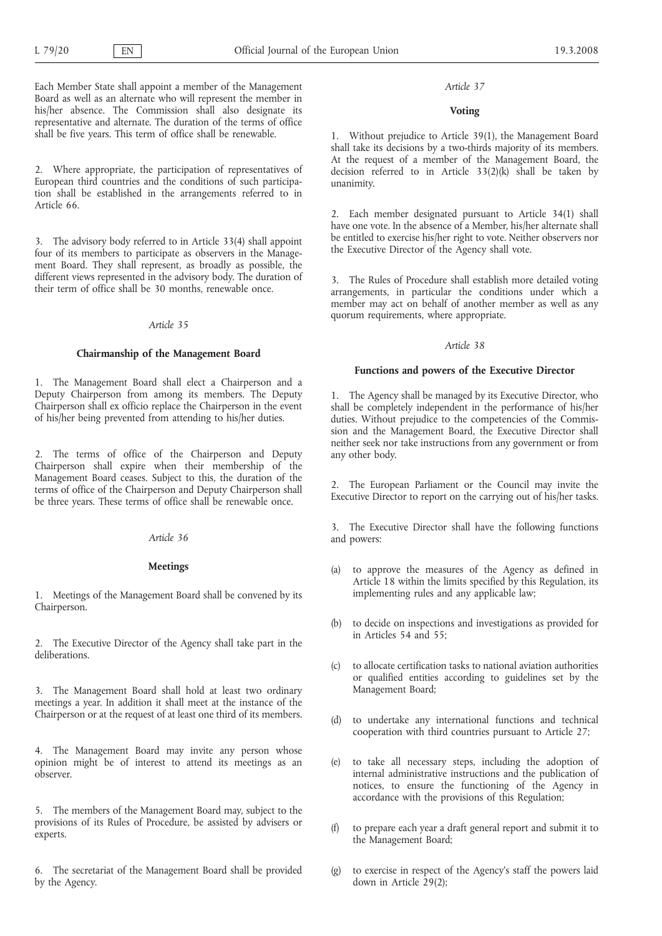Each Member State shall appoint a member of the Management Board as well as an alternate who will represent the member in his/her absence. The Commission shall also designate its representative and alternate. The duration of the terms of office shall be five years. This term of office shall be renewable.

2. Where appropriate, the participation of representatives of European third countries and the conditions of such participation shall be established in the arrangements referred to in Article 66.

3. The advisory body referred to in Article 33(4) shall appoint four of its members to participate as observers in the Management Board. They shall represent, as broadly as possible, the different views represented in the advisory body. The duration of their term of office shall be 30 months, renewable once.

## *Article 35*

### **Chairmanship of the Management Board**

1. The Management Board shall elect a Chairperson and a Deputy Chairperson from among its members. The Deputy Chairperson shall ex officio replace the Chairperson in the event of his/her being prevented from attending to his/her duties.

2. The terms of office of the Chairperson and Deputy Chairperson shall expire when their membership of the Management Board ceases. Subject to this, the duration of the terms of office of the Chairperson and Deputy Chairperson shall be three years. These terms of office shall be renewable once.

## *Article 36*

#### **Meetings**

1. Meetings of the Management Board shall be convened by its Chairperson.

2. The Executive Director of the Agency shall take part in the deliberations.

3. The Management Board shall hold at least two ordinary meetings a year. In addition it shall meet at the instance of the Chairperson or at the request of at least one third of its members.

4. The Management Board may invite any person whose opinion might be of interest to attend its meetings as an observer.

5. The members of the Management Board may, subject to the provisions of its Rules of Procedure, be assisted by advisers or experts.

6. The secretariat of the Management Board shall be provided by the Agency.

## *Article 37*

#### **Voting**

1. Without prejudice to Article 39(1), the Management Board shall take its decisions by a two-thirds majority of its members. At the request of a member of the Management Board, the decision referred to in Article 33(2)(k) shall be taken by unanimity.

2. Each member designated pursuant to Article 34(1) shall have one vote. In the absence of a Member, his/her alternate shall be entitled to exercise his/her right to vote. Neither observers nor the Executive Director of the Agency shall vote.

3. The Rules of Procedure shall establish more detailed voting arrangements, in particular the conditions under which a member may act on behalf of another member as well as any quorum requirements, where appropriate.

## *Article 38*

### **Functions and powers of the Executive Director**

1. The Agency shall be managed by its Executive Director, who shall be completely independent in the performance of his/her duties. Without prejudice to the competencies of the Commission and the Management Board, the Executive Director shall neither seek nor take instructions from any government or from any other body.

2. The European Parliament or the Council may invite the Executive Director to report on the carrying out of his/her tasks.

3. The Executive Director shall have the following functions and powers:

- (a) to approve the measures of the Agency as defined in Article 18 within the limits specified by this Regulation, its implementing rules and any applicable law;
- (b) to decide on inspections and investigations as provided for in Articles 54 and 55;
- (c) to allocate certification tasks to national aviation authorities or qualified entities according to guidelines set by the Management Board;
- (d) to undertake any international functions and technical cooperation with third countries pursuant to Article 27;
- (e) to take all necessary steps, including the adoption of internal administrative instructions and the publication of notices, to ensure the functioning of the Agency in accordance with the provisions of this Regulation;
- (f) to prepare each year a draft general report and submit it to the Management Board;
- (g) to exercise in respect of the Agency's staff the powers laid down in Article  $29(2)$ ;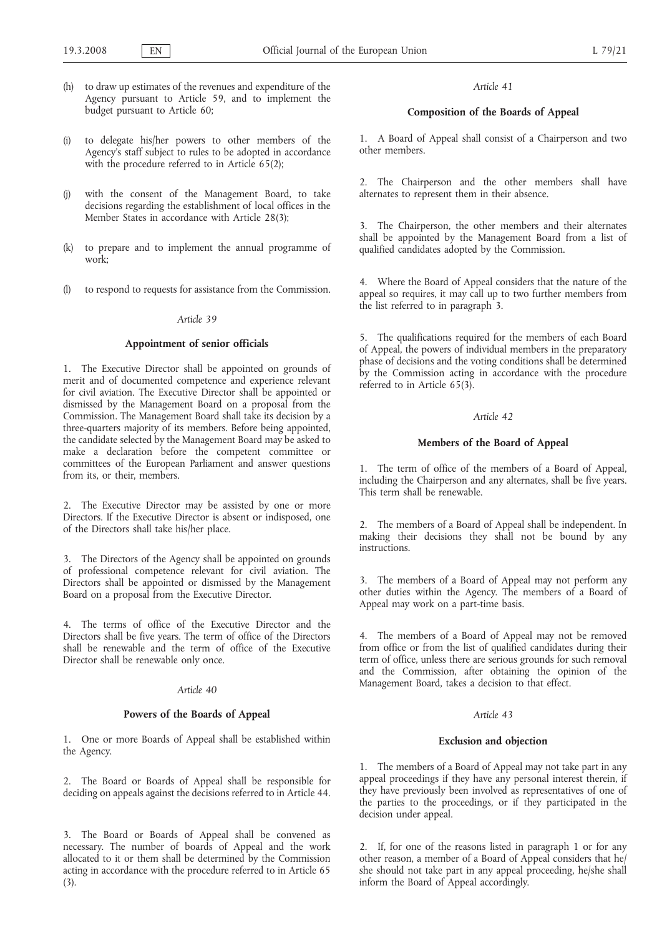- (h) to draw up estimates of the revenues and expenditure of the Agency pursuant to Article 59, and to implement the budget pursuant to Article 60;
- to delegate his/her powers to other members of the Agency's staff subject to rules to be adopted in accordance with the procedure referred to in Article 65(2);
- (j) with the consent of the Management Board, to take decisions regarding the establishment of local offices in the Member States in accordance with Article 28(3);
- (k) to prepare and to implement the annual programme of work;
- (l) to respond to requests for assistance from the Commission.

#### *Article 39*

### **Appointment of senior officials**

1. The Executive Director shall be appointed on grounds of merit and of documented competence and experience relevant for civil aviation. The Executive Director shall be appointed or dismissed by the Management Board on a proposal from the Commission. The Management Board shall take its decision by a three-quarters majority of its members. Before being appointed, the candidate selected by the Management Board may be asked to make a declaration before the competent committee or committees of the European Parliament and answer questions from its, or their, members.

2. The Executive Director may be assisted by one or more Directors. If the Executive Director is absent or indisposed, one of the Directors shall take his/her place.

3. The Directors of the Agency shall be appointed on grounds of professional competence relevant for civil aviation. The Directors shall be appointed or dismissed by the Management Board on a proposal from the Executive Director.

4. The terms of office of the Executive Director and the Directors shall be five years. The term of office of the Directors shall be renewable and the term of office of the Executive Director shall be renewable only once.

### *Article 40*

### **Powers of the Boards of Appeal**

1. One or more Boards of Appeal shall be established within the Agency.

2. The Board or Boards of Appeal shall be responsible for deciding on appeals against the decisions referred to in Article 44.

## *Article 41*

## **Composition of the Boards of Appeal**

1. A Board of Appeal shall consist of a Chairperson and two other members.

2. The Chairperson and the other members shall have alternates to represent them in their absence.

3. The Chairperson, the other members and their alternates shall be appointed by the Management Board from a list of qualified candidates adopted by the Commission.

4. Where the Board of Appeal considers that the nature of the appeal so requires, it may call up to two further members from the list referred to in paragraph 3.

5. The qualifications required for the members of each Board of Appeal, the powers of individual members in the preparatory phase of decisions and the voting conditions shall be determined by the Commission acting in accordance with the procedure referred to in Article 65(3).

#### *Article 42*

## **Members of the Board of Appeal**

1. The term of office of the members of a Board of Appeal, including the Chairperson and any alternates, shall be five years. This term shall be renewable.

2. The members of a Board of Appeal shall be independent. In making their decisions they shall not be bound by any instructions.

3. The members of a Board of Appeal may not perform any other duties within the Agency. The members of a Board of Appeal may work on a part-time basis.

4. The members of a Board of Appeal may not be removed from office or from the list of qualified candidates during their term of office, unless there are serious grounds for such removal and the Commission, after obtaining the opinion of the Management Board, takes a decision to that effect.

## *Article 43*

### **Exclusion and objection**

1. The members of a Board of Appeal may not take part in any appeal proceedings if they have any personal interest therein, if they have previously been involved as representatives of one of the parties to the proceedings, or if they participated in the decision under appeal.

2. If, for one of the reasons listed in paragraph 1 or for any other reason, a member of a Board of Appeal considers that he/ she should not take part in any appeal proceeding, he/she shall inform the Board of Appeal accordingly.

<sup>3.</sup> The Board or Boards of Appeal shall be convened as necessary. The number of boards of Appeal and the work allocated to it or them shall be determined by the Commission acting in accordance with the procedure referred to in Article 65 (3).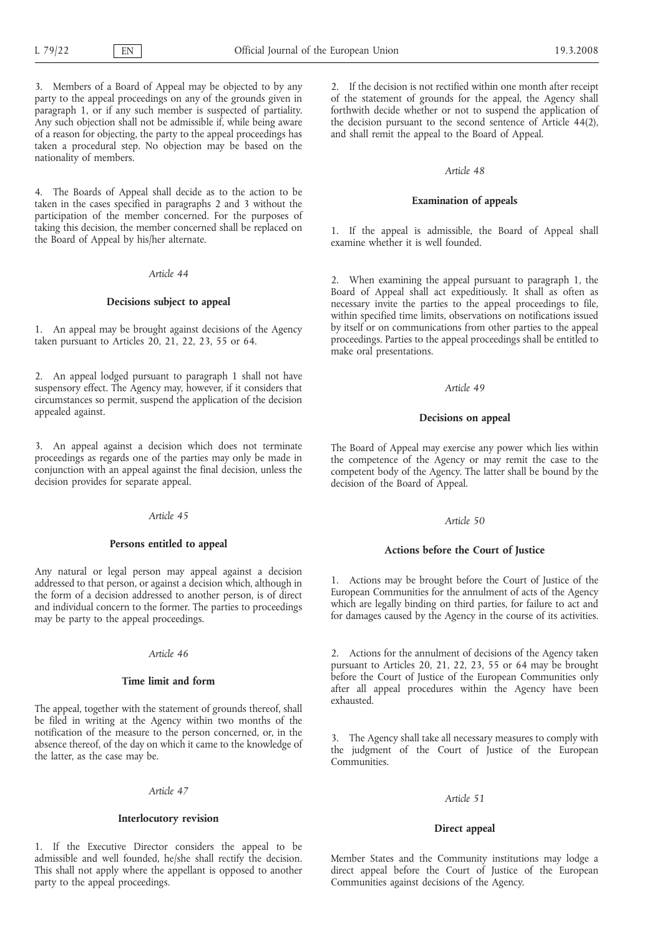3. Members of a Board of Appeal may be objected to by any party to the appeal proceedings on any of the grounds given in paragraph 1, or if any such member is suspected of partiality. Any such objection shall not be admissible if, while being aware of a reason for objecting, the party to the appeal proceedings has taken a procedural step. No objection may be based on the nationality of members.

4. The Boards of Appeal shall decide as to the action to be taken in the cases specified in paragraphs 2 and 3 without the participation of the member concerned. For the purposes of taking this decision, the member concerned shall be replaced on the Board of Appeal by his/her alternate.

## *Article 44*

## **Decisions subject to appeal**

1. An appeal may be brought against decisions of the Agency taken pursuant to Articles 20, 21, 22, 23, 55 or 64.

2. An appeal lodged pursuant to paragraph 1 shall not have suspensory effect. The Agency may, however, if it considers that circumstances so permit, suspend the application of the decision appealed against.

3. An appeal against a decision which does not terminate proceedings as regards one of the parties may only be made in conjunction with an appeal against the final decision, unless the decision provides for separate appeal.

## *Article 45*

## **Persons entitled to appeal**

Any natural or legal person may appeal against a decision addressed to that person, or against a decision which, although in the form of a decision addressed to another person, is of direct and individual concern to the former. The parties to proceedings may be party to the appeal proceedings.

### *Article 46*

## **Time limit and form**

The appeal, together with the statement of grounds thereof, shall be filed in writing at the Agency within two months of the notification of the measure to the person concerned, or, in the absence thereof, of the day on which it came to the knowledge of the latter, as the case may be.

# *Article 47*

## **Interlocutory revision**

1. If the Executive Director considers the appeal to be admissible and well founded, he/she shall rectify the decision. This shall not apply where the appellant is opposed to another party to the appeal proceedings.

2. If the decision is not rectified within one month after receipt of the statement of grounds for the appeal, the Agency shall forthwith decide whether or not to suspend the application of the decision pursuant to the second sentence of Article 44(2), and shall remit the appeal to the Board of Appeal.

## *Article 48*

## **Examination of appeals**

1. If the appeal is admissible, the Board of Appeal shall examine whether it is well founded.

2. When examining the appeal pursuant to paragraph 1, the Board of Appeal shall act expeditiously. It shall as often as necessary invite the parties to the appeal proceedings to file, within specified time limits, observations on notifications issued by itself or on communications from other parties to the appeal proceedings. Parties to the appeal proceedings shall be entitled to make oral presentations.

#### *Article 49*

### **Decisions on appeal**

The Board of Appeal may exercise any power which lies within the competence of the Agency or may remit the case to the competent body of the Agency. The latter shall be bound by the decision of the Board of Appeal.

### *Article 50*

### **Actions before the Court of Justice**

1. Actions may be brought before the Court of Justice of the European Communities for the annulment of acts of the Agency which are legally binding on third parties, for failure to act and for damages caused by the Agency in the course of its activities.

2. Actions for the annulment of decisions of the Agency taken pursuant to Articles 20, 21, 22, 23, 55 or 64 may be brought before the Court of Justice of the European Communities only after all appeal procedures within the Agency have been exhausted.

3. The Agency shall take all necessary measures to comply with the judgment of the Court of Justice of the European Communities.

## *Article 51*

### **Direct appeal**

Member States and the Community institutions may lodge a direct appeal before the Court of Justice of the European Communities against decisions of the Agency.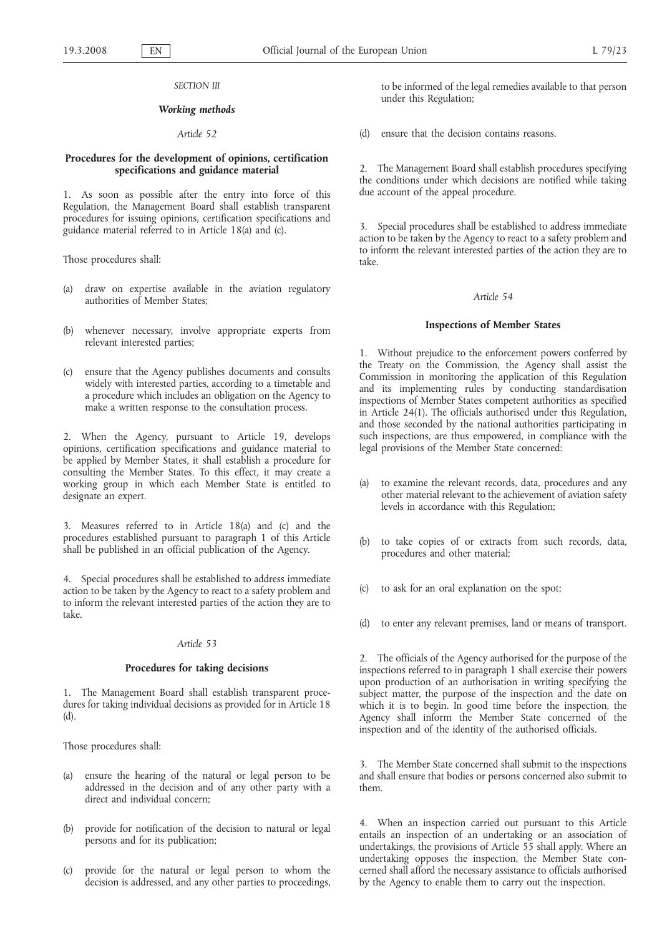#### *SECTION III*

## *Working methods*

## *Article 52*

## **Procedures for the development of opinions, certification specifications and guidance material**

1. As soon as possible after the entry into force of this Regulation, the Management Board shall establish transparent procedures for issuing opinions, certification specifications and guidance material referred to in Article 18(a) and (c).

Those procedures shall:

- draw on expertise available in the aviation regulatory authorities of Member States;
- (b) whenever necessary, involve appropriate experts from relevant interested parties;
- (c) ensure that the Agency publishes documents and consults widely with interested parties, according to a timetable and a procedure which includes an obligation on the Agency to make a written response to the consultation process.

2. When the Agency, pursuant to Article 19, develops opinions, certification specifications and guidance material to be applied by Member States, it shall establish a procedure for consulting the Member States. To this effect, it may create a working group in which each Member State is entitled to designate an expert.

3. Measures referred to in Article 18(a) and (c) and the procedures established pursuant to paragraph 1 of this Article shall be published in an official publication of the Agency.

4. Special procedures shall be established to address immediate action to be taken by the Agency to react to a safety problem and to inform the relevant interested parties of the action they are to take.

#### *Article 53*

### **Procedures for taking decisions**

1. The Management Board shall establish transparent procedures for taking individual decisions as provided for in Article 18 (d).

Those procedures shall:

- (a) ensure the hearing of the natural or legal person to be addressed in the decision and of any other party with a direct and individual concern;
- (b) provide for notification of the decision to natural or legal persons and for its publication;
- (c) provide for the natural or legal person to whom the decision is addressed, and any other parties to proceedings,

to be informed of the legal remedies available to that person under this Regulation;

(d) ensure that the decision contains reasons.

2. The Management Board shall establish procedures specifying the conditions under which decisions are notified while taking due account of the appeal procedure.

3. Special procedures shall be established to address immediate action to be taken by the Agency to react to a safety problem and to inform the relevant interested parties of the action they are to take.

## *Article 54*

## **Inspections of Member States**

1. Without prejudice to the enforcement powers conferred by the Treaty on the Commission, the Agency shall assist the Commission in monitoring the application of this Regulation and its implementing rules by conducting standardisation inspections of Member States competent authorities as specified in Article 24(1). The officials authorised under this Regulation, and those seconded by the national authorities participating in such inspections, are thus empowered, in compliance with the legal provisions of the Member State concerned:

- (a) to examine the relevant records, data, procedures and any other material relevant to the achievement of aviation safety levels in accordance with this Regulation;
- (b) to take copies of or extracts from such records, data, procedures and other material;
- (c) to ask for an oral explanation on the spot;
- (d) to enter any relevant premises, land or means of transport.

2. The officials of the Agency authorised for the purpose of the inspections referred to in paragraph 1 shall exercise their powers upon production of an authorisation in writing specifying the subject matter, the purpose of the inspection and the date on which it is to begin. In good time before the inspection, the Agency shall inform the Member State concerned of the inspection and of the identity of the authorised officials.

3. The Member State concerned shall submit to the inspections and shall ensure that bodies or persons concerned also submit to them.

4. When an inspection carried out pursuant to this Article entails an inspection of an undertaking or an association of undertakings, the provisions of Article 55 shall apply. Where an undertaking opposes the inspection, the Member State concerned shall afford the necessary assistance to officials authorised by the Agency to enable them to carry out the inspection.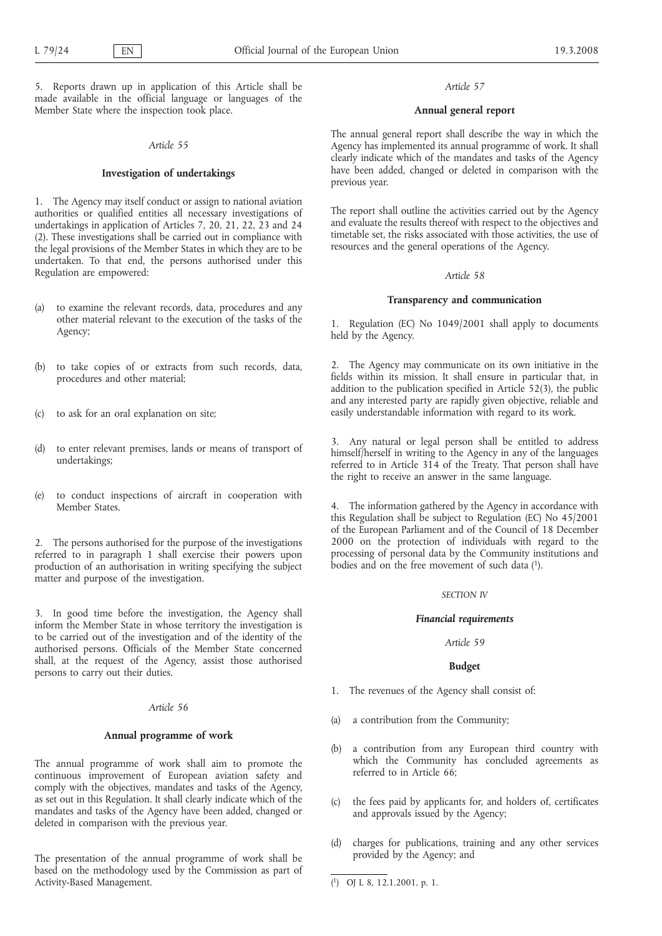5. Reports drawn up in application of this Article shall be made available in the official language or languages of the Member State where the inspection took place.

## *Article 55*

#### **Investigation of undertakings**

1. The Agency may itself conduct or assign to national aviation authorities or qualified entities all necessary investigations of undertakings in application of Articles 7, 20, 21, 22, 23 and 24 (2). These investigations shall be carried out in compliance with the legal provisions of the Member States in which they are to be undertaken. To that end, the persons authorised under this Regulation are empowered:

- (a) to examine the relevant records, data, procedures and any other material relevant to the execution of the tasks of the Agency;
- (b) to take copies of or extracts from such records, data, procedures and other material;
- (c) to ask for an oral explanation on site;
- (d) to enter relevant premises, lands or means of transport of undertakings;
- (e) to conduct inspections of aircraft in cooperation with Member States.

2. The persons authorised for the purpose of the investigations referred to in paragraph 1 shall exercise their powers upon production of an authorisation in writing specifying the subject matter and purpose of the investigation.

3. In good time before the investigation, the Agency shall inform the Member State in whose territory the investigation is to be carried out of the investigation and of the identity of the authorised persons. Officials of the Member State concerned shall, at the request of the Agency, assist those authorised persons to carry out their duties.

#### *Article 56*

## **Annual programme of work**

The annual programme of work shall aim to promote the continuous improvement of European aviation safety and comply with the objectives, mandates and tasks of the Agency, as set out in this Regulation. It shall clearly indicate which of the mandates and tasks of the Agency have been added, changed or deleted in comparison with the previous year.

The presentation of the annual programme of work shall be based on the methodology used by the Commission as part of Activity-Based Management.

## *Article 57*

## **Annual general report**

The annual general report shall describe the way in which the Agency has implemented its annual programme of work. It shall clearly indicate which of the mandates and tasks of the Agency have been added, changed or deleted in comparison with the previous year.

The report shall outline the activities carried out by the Agency and evaluate the results thereof with respect to the objectives and timetable set, the risks associated with those activities, the use of resources and the general operations of the Agency.

## *Article 58*

#### **Transparency and communication**

1. Regulation (EC) No 1049/2001 shall apply to documents held by the Agency.

2. The Agency may communicate on its own initiative in the fields within its mission. It shall ensure in particular that, in addition to the publication specified in Article 52(3), the public and any interested party are rapidly given objective, reliable and easily understandable information with regard to its work.

3. Any natural or legal person shall be entitled to address himself/herself in writing to the Agency in any of the languages referred to in Article 314 of the Treaty. That person shall have the right to receive an answer in the same language.

4. The information gathered by the Agency in accordance with this Regulation shall be subject to Regulation (EC) No 45/2001 of the European Parliament and of the Council of 18 December 2000 on the protection of individuals with regard to the processing of personal data by the Community institutions and bodies and on the free movement of such data (1).

## *SECTION IV*

### *Financial requirements*

## *Article 59*

## **Budget**

- 1. The revenues of the Agency shall consist of:
- (a) a contribution from the Community;
- (b) a contribution from any European third country with which the Community has concluded agreements as referred to in Article 66;
- (c) the fees paid by applicants for, and holders of, certificates and approvals issued by the Agency;
- (d) charges for publications, training and any other services provided by the Agency; and

<sup>(</sup> 1) OJ L 8, 12.1.2001, p. 1.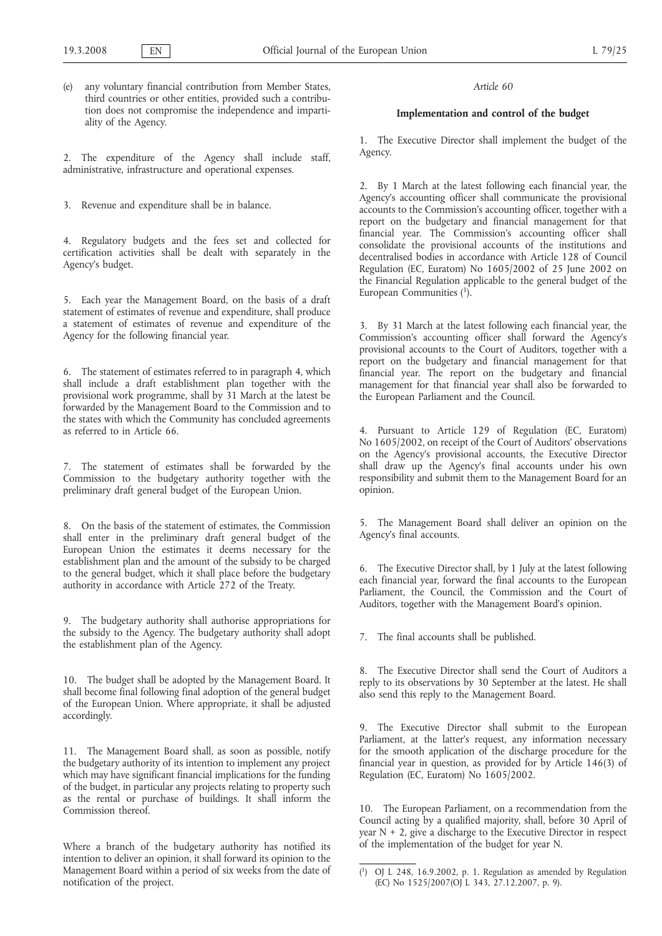(e) any voluntary financial contribution from Member States, third countries or other entities, provided such a contribution does not compromise the independence and impartiality of the Agency.

2. The expenditure of the Agency shall include staff, administrative, infrastructure and operational expenses.

3. Revenue and expenditure shall be in balance.

4. Regulatory budgets and the fees set and collected for certification activities shall be dealt with separately in the Agency's budget.

5. Each year the Management Board, on the basis of a draft statement of estimates of revenue and expenditure, shall produce a statement of estimates of revenue and expenditure of the Agency for the following financial year.

6. The statement of estimates referred to in paragraph 4, which shall include a draft establishment plan together with the provisional work programme, shall by 31 March at the latest be forwarded by the Management Board to the Commission and to the states with which the Community has concluded agreements as referred to in Article 66.

7. The statement of estimates shall be forwarded by the Commission to the budgetary authority together with the preliminary draft general budget of the European Union.

8. On the basis of the statement of estimates, the Commission shall enter in the preliminary draft general budget of the European Union the estimates it deems necessary for the establishment plan and the amount of the subsidy to be charged to the general budget, which it shall place before the budgetary authority in accordance with Article 272 of the Treaty.

9. The budgetary authority shall authorise appropriations for the subsidy to the Agency. The budgetary authority shall adopt the establishment plan of the Agency.

10. The budget shall be adopted by the Management Board. It shall become final following final adoption of the general budget of the European Union. Where appropriate, it shall be adjusted accordingly.

11. The Management Board shall, as soon as possible, notify the budgetary authority of its intention to implement any project which may have significant financial implications for the funding of the budget, in particular any projects relating to property such as the rental or purchase of buildings. It shall inform the Commission thereof.

Where a branch of the budgetary authority has notified its intention to deliver an opinion, it shall forward its opinion to the Management Board within a period of six weeks from the date of notification of the project.

#### *Article 60*

## **Implementation and control of the budget**

1. The Executive Director shall implement the budget of the Agency.

2. By 1 March at the latest following each financial year, the Agency's accounting officer shall communicate the provisional accounts to the Commission's accounting officer, together with a report on the budgetary and financial management for that financial year. The Commission's accounting officer shall consolidate the provisional accounts of the institutions and decentralised bodies in accordance with Article 128 of Council Regulation (EC, Euratom) No 1605/2002 of 25 June 2002 on the Financial Regulation applicable to the general budget of the European Communities  $(1)$ .

3. By 31 March at the latest following each financial year, the Commission's accounting officer shall forward the Agency's provisional accounts to the Court of Auditors, together with a report on the budgetary and financial management for that financial year. The report on the budgetary and financial management for that financial year shall also be forwarded to the European Parliament and the Council.

4. Pursuant to Article 129 of Regulation (EC, Euratom) No 1605/2002, on receipt of the Court of Auditors' observations on the Agency's provisional accounts, the Executive Director shall draw up the Agency's final accounts under his own responsibility and submit them to the Management Board for an opinion.

5. The Management Board shall deliver an opinion on the Agency's final accounts.

6. The Executive Director shall, by 1 July at the latest following each financial year, forward the final accounts to the European Parliament, the Council, the Commission and the Court of Auditors, together with the Management Board's opinion.

7. The final accounts shall be published.

8. The Executive Director shall send the Court of Auditors a reply to its observations by 30 September at the latest. He shall also send this reply to the Management Board.

9. The Executive Director shall submit to the European Parliament, at the latter's request, any information necessary for the smooth application of the discharge procedure for the financial year in question, as provided for by Article 146(3) of Regulation (EC, Euratom) No 1605/2002.

10. The European Parliament, on a recommendation from the Council acting by a qualified majority, shall, before 30 April of year  $N + 2$ , give a discharge to the Executive Director in respect of the implementation of the budget for year N.

 $(1)$ 1) OJ L 248, 16.9.2002, p. 1. Regulation as amended by Regulation (EC) No 1525/2007(OJ L 343, 27.12.2007, p. 9).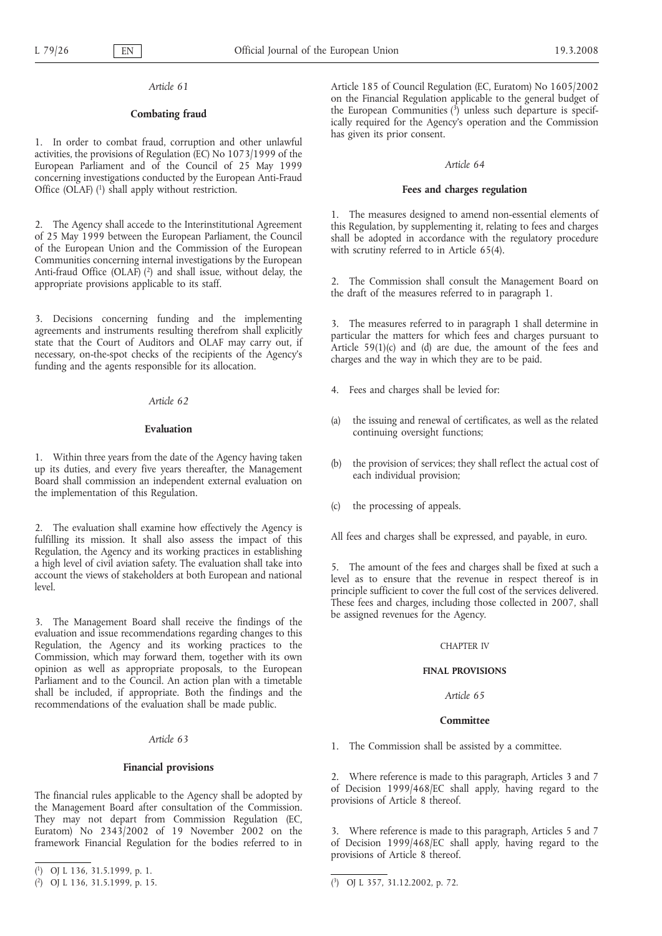## *Article 61*

## **Combating fraud**

1. In order to combat fraud, corruption and other unlawful activities, the provisions of Regulation (EC) No 1073/1999 of the European Parliament and of the Council of 25 May 1999 concerning investigations conducted by the European Anti-Fraud Office (OLAF)  $(1)$  shall apply without restriction.

2. The Agency shall accede to the Interinstitutional Agreement of 25 May 1999 between the European Parliament, the Council of the European Union and the Commission of the European Communities concerning internal investigations by the European Anti-fraud Office (OLAF) (2) and shall issue, without delay, the appropriate provisions applicable to its staff.

3. Decisions concerning funding and the implementing agreements and instruments resulting therefrom shall explicitly state that the Court of Auditors and OLAF may carry out, if necessary, on-the-spot checks of the recipients of the Agency's funding and the agents responsible for its allocation.

## *Article 62*

#### **Evaluation**

1. Within three years from the date of the Agency having taken up its duties, and every five years thereafter, the Management Board shall commission an independent external evaluation on the implementation of this Regulation.

2. The evaluation shall examine how effectively the Agency is fulfilling its mission. It shall also assess the impact of this Regulation, the Agency and its working practices in establishing a high level of civil aviation safety. The evaluation shall take into account the views of stakeholders at both European and national level.

3. The Management Board shall receive the findings of the evaluation and issue recommendations regarding changes to this Regulation, the Agency and its working practices to the Commission, which may forward them, together with its own opinion as well as appropriate proposals, to the European Parliament and to the Council. An action plan with a timetable shall be included, if appropriate. Both the findings and the recommendations of the evaluation shall be made public.

## *Article 63*

### **Financial provisions**

The financial rules applicable to the Agency shall be adopted by the Management Board after consultation of the Commission. They may not depart from Commission Regulation (EC, Euratom) No 2343/2002 of 19 November 2002 on the framework Financial Regulation for the bodies referred to in

Article 185 of Council Regulation (EC, Euratom) No 1605/2002 on the Financial Regulation applicable to the general budget of the European Communities  $\binom{3}{2}$  unless such departure is specifically required for the Agency's operation and the Commission has given its prior consent.

### *Article 64*

### **Fees and charges regulation**

1. The measures designed to amend non-essential elements of this Regulation, by supplementing it, relating to fees and charges shall be adopted in accordance with the regulatory procedure with scrutiny referred to in Article 65(4).

2. The Commission shall consult the Management Board on the draft of the measures referred to in paragraph 1.

3. The measures referred to in paragraph 1 shall determine in particular the matters for which fees and charges pursuant to Article 59(1)(c) and (d) are due, the amount of the fees and charges and the way in which they are to be paid.

- 4. Fees and charges shall be levied for:
- (a) the issuing and renewal of certificates, as well as the related continuing oversight functions;
- (b) the provision of services; they shall reflect the actual cost of each individual provision;
- (c) the processing of appeals.

All fees and charges shall be expressed, and payable, in euro.

5. The amount of the fees and charges shall be fixed at such a level as to ensure that the revenue in respect thereof is in principle sufficient to cover the full cost of the services delivered. These fees and charges, including those collected in 2007, shall be assigned revenues for the Agency.

#### CHAPTER IV

### **FINAL PROVISIONS**

### *Article 65*

#### **Committee**

1. The Commission shall be assisted by a committee.

2. Where reference is made to this paragraph, Articles 3 and 7 of Decision 1999/468/EC shall apply, having regard to the provisions of Article 8 thereof.

3. Where reference is made to this paragraph, Articles 5 and 7 of Decision 1999/468/EC shall apply, having regard to the provisions of Article 8 thereof.

<sup>(</sup> 1) OJ L 136, 31.5.1999, p. 1.

<sup>(</sup> 2) OJ L 136, 31.5.1999, p. 15. (

<sup>3)</sup> OJ L 357, 31.12.2002, p. 72.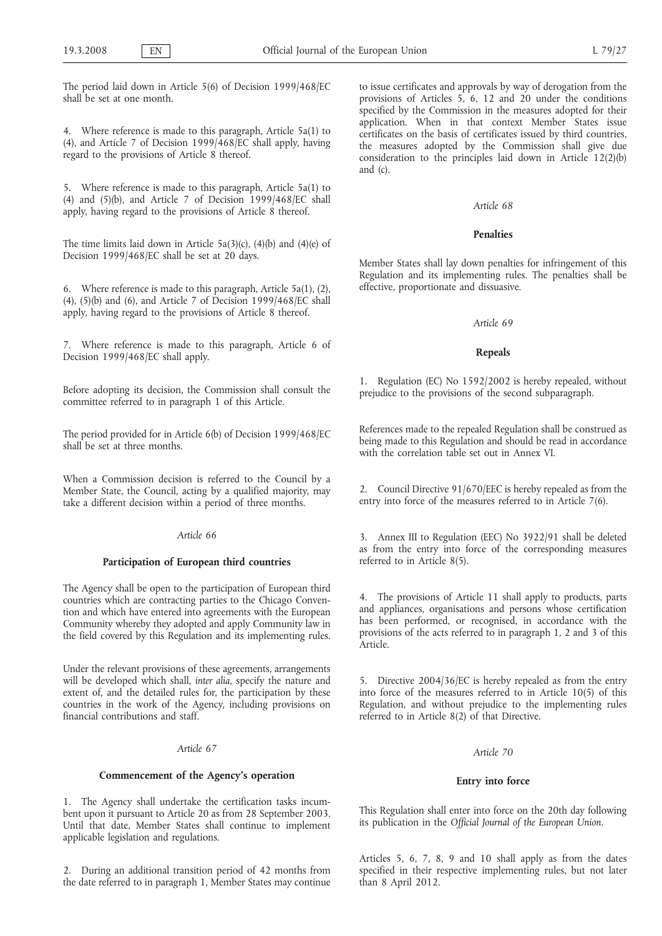The period laid down in Article 5(6) of Decision 1999/468/EC shall be set at one month.

4. Where reference is made to this paragraph, Article 5a(1) to (4), and Article 7 of Decision 1999/468/EC shall apply, having regard to the provisions of Article 8 thereof.

5. Where reference is made to this paragraph, Article 5a(1) to (4) and (5)(b), and Article 7 of Decision 1999/468/EC shall apply, having regard to the provisions of Article 8 thereof.

The time limits laid down in Article 5a(3)(c), (4)(b) and (4)(e) of Decision 1999/468/EC shall be set at 20 days.

6. Where reference is made to this paragraph, Article 5a(1), (2), (4), (5)(b) and (6), and Article 7 of Decision 1999/468/EC shall apply, having regard to the provisions of Article 8 thereof.

7. Where reference is made to this paragraph, Article 6 of Decision 1999/468/EC shall apply.

Before adopting its decision, the Commission shall consult the committee referred to in paragraph 1 of this Article.

The period provided for in Article 6(b) of Decision 1999/468/EC shall be set at three months.

When a Commission decision is referred to the Council by a Member State, the Council, acting by a qualified majority, may take a different decision within a period of three months.

#### *Article 66*

### **Participation of European third countries**

The Agency shall be open to the participation of European third countries which are contracting parties to the Chicago Convention and which have entered into agreements with the European Community whereby they adopted and apply Community law in the field covered by this Regulation and its implementing rules.

Under the relevant provisions of these agreements, arrangements will be developed which shall, *inter alia*, specify the nature and extent of, and the detailed rules for, the participation by these countries in the work of the Agency, including provisions on financial contributions and staff.

## *Article 67*

## **Commencement of the Agency's operation**

1. The Agency shall undertake the certification tasks incumbent upon it pursuant to Article 20 as from 28 September 2003. Until that date, Member States shall continue to implement applicable legislation and regulations.

2. During an additional transition period of 42 months from the date referred to in paragraph 1, Member States may continue to issue certificates and approvals by way of derogation from the provisions of Articles 5, 6, 12 and 20 under the conditions specified by the Commission in the measures adopted for their application. When in that context Member States issue certificates on the basis of certificates issued by third countries, the measures adopted by the Commission shall give due consideration to the principles laid down in Article 12(2)(b) and (c).

#### *Article 68*

### **Penalties**

Member States shall lay down penalties for infringement of this Regulation and its implementing rules. The penalties shall be effective, proportionate and dissuasive.

### *Article 69*

#### **Repeals**

1. Regulation (EC) No 1592/2002 is hereby repealed, without prejudice to the provisions of the second subparagraph.

References made to the repealed Regulation shall be construed as being made to this Regulation and should be read in accordance with the correlation table set out in Annex VI.

2. Council Directive 91/670/EEC is hereby repealed as from the entry into force of the measures referred to in Article 7(6).

3. Annex III to Regulation (EEC) No 3922/91 shall be deleted as from the entry into force of the corresponding measures referred to in Article 8(5).

4. The provisions of Article 11 shall apply to products, parts and appliances, organisations and persons whose certification has been performed, or recognised, in accordance with the provisions of the acts referred to in paragraph 1, 2 and 3 of this Article.

5. Directive 2004/36/EC is hereby repealed as from the entry into force of the measures referred to in Article 10(5) of this Regulation, and without prejudice to the implementing rules referred to in Article 8(2) of that Directive.

## *Article 70*

## **Entry into force**

This Regulation shall enter into force on the 20th day following its publication in the *Official Journal of the European Union*.

Articles 5, 6, 7, 8, 9 and 10 shall apply as from the dates specified in their respective implementing rules, but not later than 8 April 2012.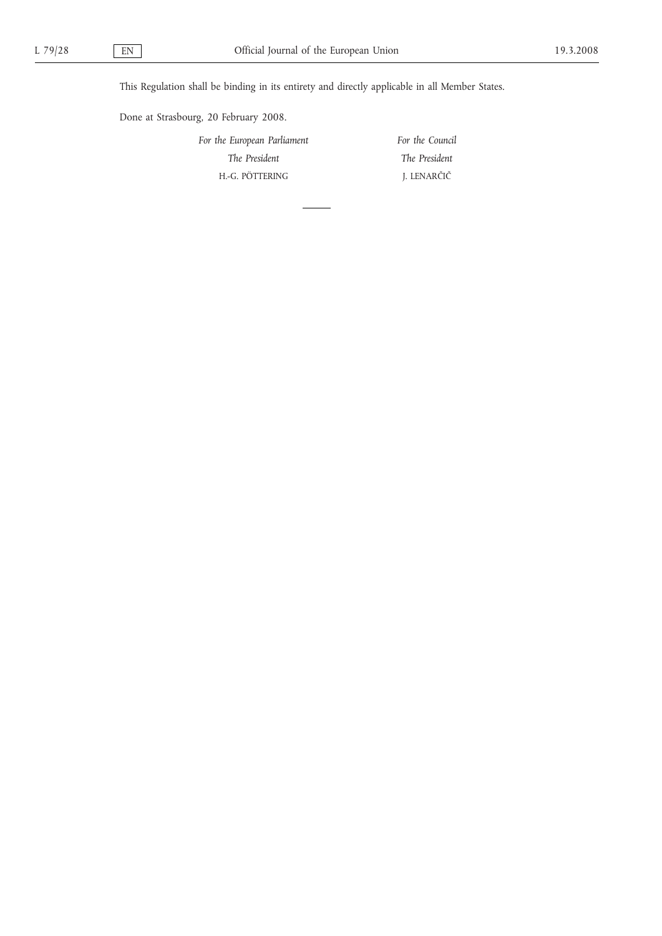This Regulation shall be binding in its entirety and directly applicable in all Member States.

Done at Strasbourg, 20 February 2008.

*For the European Parliament The President* H.-G. PÖTTERING *For the Council The President* J. LENARČIČ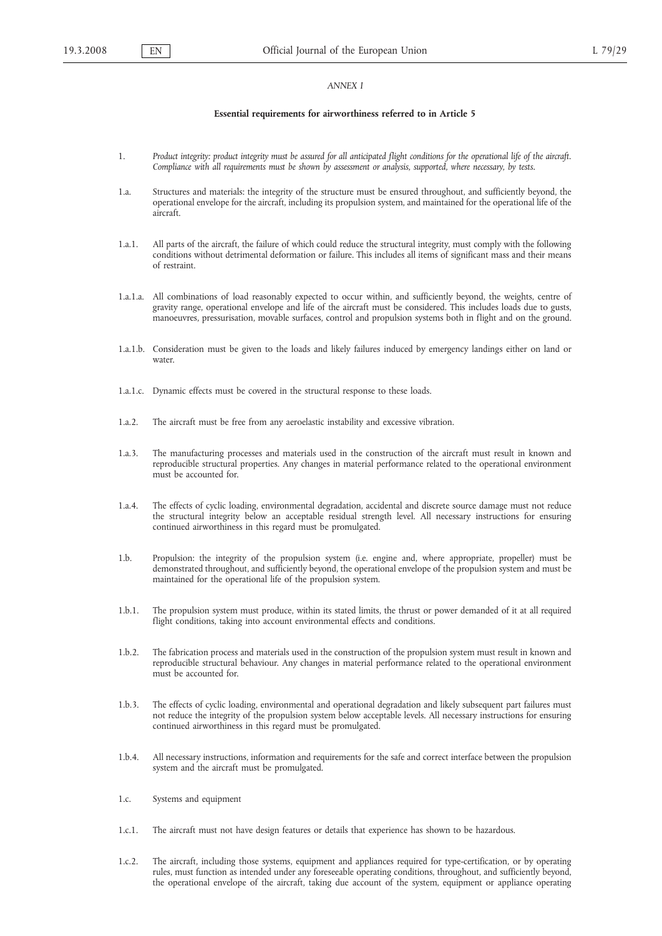#### *ANNEX I*

#### **Essential requirements for airworthiness referred to in Article 5**

- 1. *Product integrity: product integrity must be assured for all anticipated flight conditions for the operational life of the aircraft. Compliance with all requirements must be shown by assessment or analysis, supported, where necessary, by tests.*
- 1.a. Structures and materials: the integrity of the structure must be ensured throughout, and sufficiently beyond, the operational envelope for the aircraft, including its propulsion system, and maintained for the operational life of the aircraft.
- 1.a.1. All parts of the aircraft, the failure of which could reduce the structural integrity, must comply with the following conditions without detrimental deformation or failure. This includes all items of significant mass and their means of restraint.
- 1.a.1.a. All combinations of load reasonably expected to occur within, and sufficiently beyond, the weights, centre of gravity range, operational envelope and life of the aircraft must be considered. This includes loads due to gusts, manoeuvres, pressurisation, movable surfaces, control and propulsion systems both in flight and on the ground.
- 1.a.1.b. Consideration must be given to the loads and likely failures induced by emergency landings either on land or water.
- 1.a.1.c. Dynamic effects must be covered in the structural response to these loads.
- 1.a.2. The aircraft must be free from any aeroelastic instability and excessive vibration.
- 1.a.3. The manufacturing processes and materials used in the construction of the aircraft must result in known and reproducible structural properties. Any changes in material performance related to the operational environment must be accounted for.
- 1.a.4. The effects of cyclic loading, environmental degradation, accidental and discrete source damage must not reduce the structural integrity below an acceptable residual strength level. All necessary instructions for ensuring continued airworthiness in this regard must be promulgated.
- 1.b. Propulsion: the integrity of the propulsion system (i.e. engine and, where appropriate, propeller) must be demonstrated throughout, and sufficiently beyond, the operational envelope of the propulsion system and must be maintained for the operational life of the propulsion system.
- 1.b.1. The propulsion system must produce, within its stated limits, the thrust or power demanded of it at all required flight conditions, taking into account environmental effects and conditions.
- 1.b.2. The fabrication process and materials used in the construction of the propulsion system must result in known and reproducible structural behaviour. Any changes in material performance related to the operational environment must be accounted for.
- 1.b.3. The effects of cyclic loading, environmental and operational degradation and likely subsequent part failures must not reduce the integrity of the propulsion system below acceptable levels. All necessary instructions for ensuring continued airworthiness in this regard must be promulgated.
- 1.b.4. All necessary instructions, information and requirements for the safe and correct interface between the propulsion system and the aircraft must be promulgated.
- 1.c. Systems and equipment
- 1.c.1. The aircraft must not have design features or details that experience has shown to be hazardous.
- 1.c.2. The aircraft, including those systems, equipment and appliances required for type-certification, or by operating rules, must function as intended under any foreseeable operating conditions, throughout, and sufficiently beyond, the operational envelope of the aircraft, taking due account of the system, equipment or appliance operating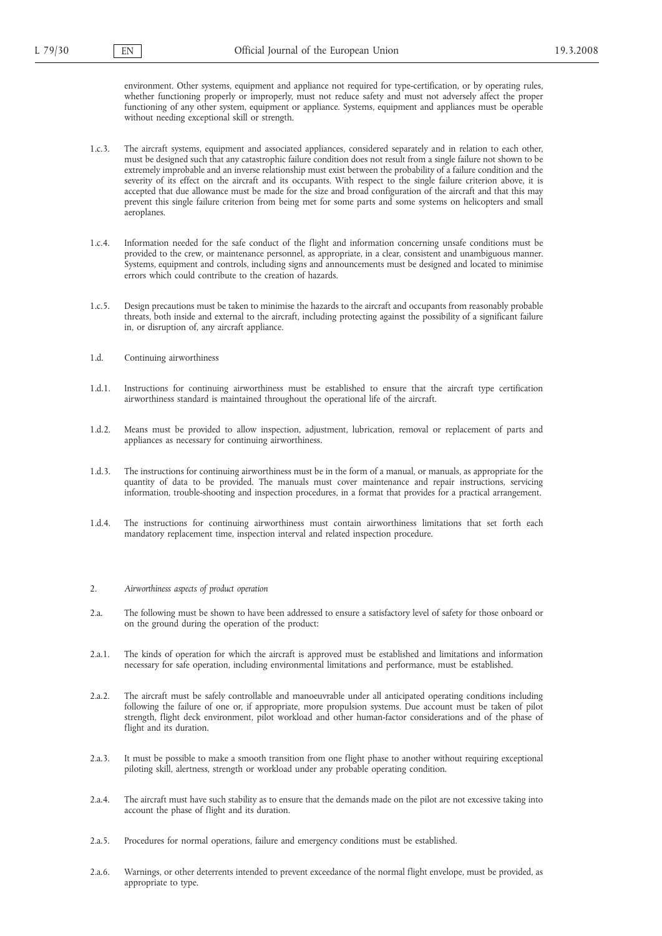environment. Other systems, equipment and appliance not required for type-certification, or by operating rules, whether functioning properly or improperly, must not reduce safety and must not adversely affect the proper functioning of any other system, equipment or appliance. Systems, equipment and appliances must be operable without needing exceptional skill or strength.

- 1.c.3. The aircraft systems, equipment and associated appliances, considered separately and in relation to each other, must be designed such that any catastrophic failure condition does not result from a single failure not shown to be extremely improbable and an inverse relationship must exist between the probability of a failure condition and the severity of its effect on the aircraft and its occupants. With respect to the single failure criterion above, it is accepted that due allowance must be made for the size and broad configuration of the aircraft and that this may prevent this single failure criterion from being met for some parts and some systems on helicopters and small aeroplanes.
- 1.c.4. Information needed for the safe conduct of the flight and information concerning unsafe conditions must be provided to the crew, or maintenance personnel, as appropriate, in a clear, consistent and unambiguous manner. Systems, equipment and controls, including signs and announcements must be designed and located to minimise errors which could contribute to the creation of hazards.
- 1.c.5. Design precautions must be taken to minimise the hazards to the aircraft and occupants from reasonably probable threats, both inside and external to the aircraft, including protecting against the possibility of a significant failure in, or disruption of, any aircraft appliance.
- 1.d. Continuing airworthiness
- 1.d.1. Instructions for continuing airworthiness must be established to ensure that the aircraft type certification airworthiness standard is maintained throughout the operational life of the aircraft.
- 1.d.2. Means must be provided to allow inspection, adjustment, lubrication, removal or replacement of parts and appliances as necessary for continuing airworthiness.
- 1.d.3. The instructions for continuing airworthiness must be in the form of a manual, or manuals, as appropriate for the quantity of data to be provided. The manuals must cover maintenance and repair instructions, servicing information, trouble-shooting and inspection procedures, in a format that provides for a practical arrangement.
- 1.d.4. The instructions for continuing airworthiness must contain airworthiness limitations that set forth each mandatory replacement time, inspection interval and related inspection procedure.

### 2. *Airworthiness aspects of product operation*

- 2.a. The following must be shown to have been addressed to ensure a satisfactory level of safety for those onboard or on the ground during the operation of the product:
- 2.a.1. The kinds of operation for which the aircraft is approved must be established and limitations and information necessary for safe operation, including environmental limitations and performance, must be established.
- 2.a.2. The aircraft must be safely controllable and manoeuvrable under all anticipated operating conditions including following the failure of one or, if appropriate, more propulsion systems. Due account must be taken of pilot strength, flight deck environment, pilot workload and other human-factor considerations and of the phase of flight and its duration.
- 2.a.3. It must be possible to make a smooth transition from one flight phase to another without requiring exceptional piloting skill, alertness, strength or workload under any probable operating condition.
- 2.a.4. The aircraft must have such stability as to ensure that the demands made on the pilot are not excessive taking into account the phase of flight and its duration.
- 2.a.5. Procedures for normal operations, failure and emergency conditions must be established.
- 2.a.6. Warnings, or other deterrents intended to prevent exceedance of the normal flight envelope, must be provided, as appropriate to type.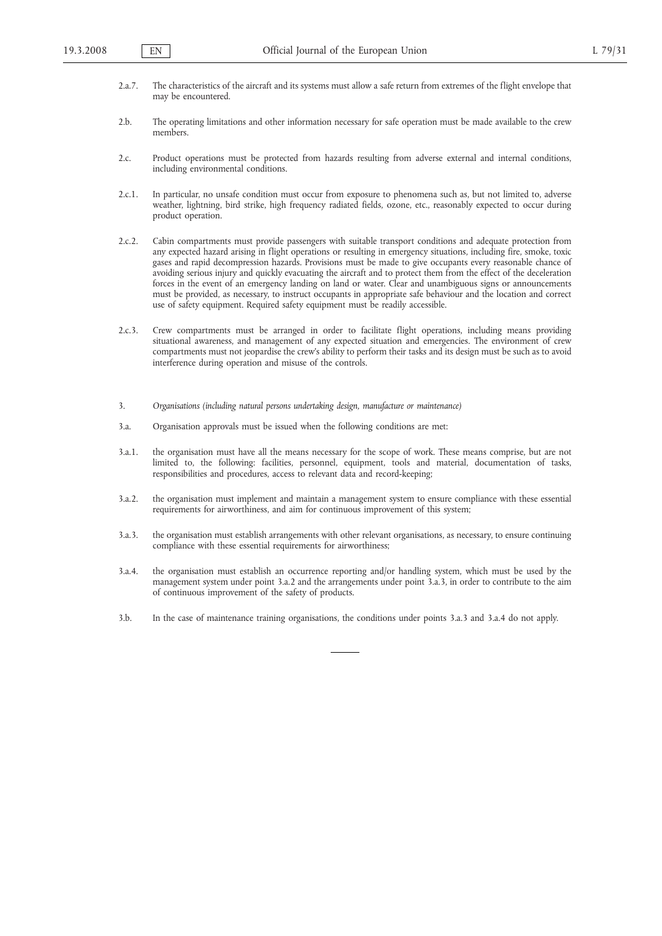- 2.a.7. The characteristics of the aircraft and its systems must allow a safe return from extremes of the flight envelope that may be encountered.
- 2.b. The operating limitations and other information necessary for safe operation must be made available to the crew members.
- 2.c. Product operations must be protected from hazards resulting from adverse external and internal conditions, including environmental conditions.
- 2.c.1. In particular, no unsafe condition must occur from exposure to phenomena such as, but not limited to, adverse weather, lightning, bird strike, high frequency radiated fields, ozone, etc., reasonably expected to occur during product operation.
- 2.c.2. Cabin compartments must provide passengers with suitable transport conditions and adequate protection from any expected hazard arising in flight operations or resulting in emergency situations, including fire, smoke, toxic gases and rapid decompression hazards. Provisions must be made to give occupants every reasonable chance of avoiding serious injury and quickly evacuating the aircraft and to protect them from the effect of the deceleration forces in the event of an emergency landing on land or water. Clear and unambiguous signs or announcements must be provided, as necessary, to instruct occupants in appropriate safe behaviour and the location and correct use of safety equipment. Required safety equipment must be readily accessible.
- 2.c.3. Crew compartments must be arranged in order to facilitate flight operations, including means providing situational awareness, and management of any expected situation and emergencies. The environment of crew compartments must not jeopardise the crew's ability to perform their tasks and its design must be such as to avoid interference during operation and misuse of the controls.
- 3. *Organisations (including natural persons undertaking design, manufacture or maintenance)*
- 3.a. Organisation approvals must be issued when the following conditions are met:
- 3.a.1. the organisation must have all the means necessary for the scope of work. These means comprise, but are not limited to, the following: facilities, personnel, equipment, tools and material, documentation of tasks, responsibilities and procedures, access to relevant data and record-keeping;
- 3.a.2. the organisation must implement and maintain a management system to ensure compliance with these essential requirements for airworthiness, and aim for continuous improvement of this system;
- 3.a.3. the organisation must establish arrangements with other relevant organisations, as necessary, to ensure continuing compliance with these essential requirements for airworthiness;
- 3.a.4. the organisation must establish an occurrence reporting and/or handling system, which must be used by the management system under point 3.a.2 and the arrangements under point 3.a.3, in order to contribute to the aim of continuous improvement of the safety of products.
- 3.b. In the case of maintenance training organisations, the conditions under points 3.a.3 and 3.a.4 do not apply.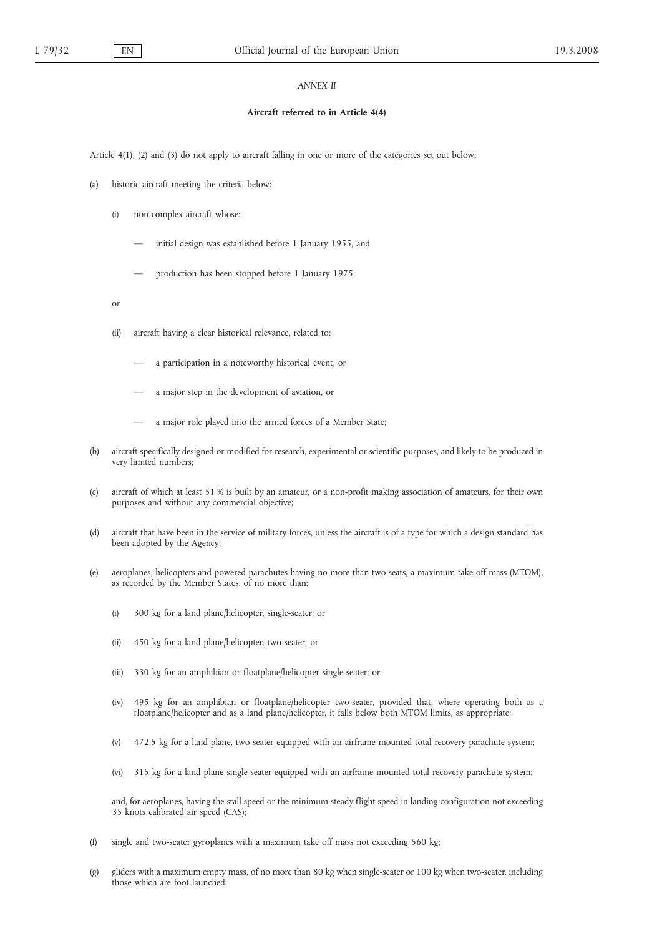#### *ANNEX II*

### **Aircraft referred to in Article 4(4)**

Article 4(1), (2) and (3) do not apply to aircraft falling in one or more of the categories set out below:

- (a) historic aircraft meeting the criteria below:
	- (i) non-complex aircraft whose:
		- initial design was established before 1 January 1955, and
		- production has been stopped before 1 January 1975;

or

- (ii) aircraft having a clear historical relevance, related to:
	- a participation in a noteworthy historical event, or
	- a major step in the development of aviation, or
	- a major role played into the armed forces of a Member State;
- (b) aircraft specifically designed or modified for research, experimental or scientific purposes, and likely to be produced in very limited numbers;
- (c) aircraft of which at least 51 % is built by an amateur, or a non-profit making association of amateurs, for their own purposes and without any commercial objective;
- (d) aircraft that have been in the service of military forces, unless the aircraft is of a type for which a design standard has been adopted by the Agency;
- (e) aeroplanes, helicopters and powered parachutes having no more than two seats, a maximum take-off mass (MTOM), as recorded by the Member States, of no more than:
	- (i) 300 kg for a land plane/helicopter, single-seater; or
	- (ii) 450 kg for a land plane/helicopter, two-seater; or
	- (iii) 330 kg for an amphibian or floatplane/helicopter single-seater; or
	- (iv) 495 kg for an amphibian or floatplane/helicopter two-seater, provided that, where operating both as a floatplane/helicopter and as a land plane/helicopter, it falls below both MTOM limits, as appropriate;
	- (v) 472,5 kg for a land plane, two-seater equipped with an airframe mounted total recovery parachute system;
	- (vi) 315 kg for a land plane single-seater equipped with an airframe mounted total recovery parachute system;

and, for aeroplanes, having the stall speed or the minimum steady flight speed in landing configuration not exceeding 35 knots calibrated air speed (CAS);

(f) single and two-seater gyroplanes with a maximum take off mass not exceeding 560 kg;

(g) gliders with a maximum empty mass, of no more than 80 kg when single-seater or 100 kg when two-seater, including those which are foot launched;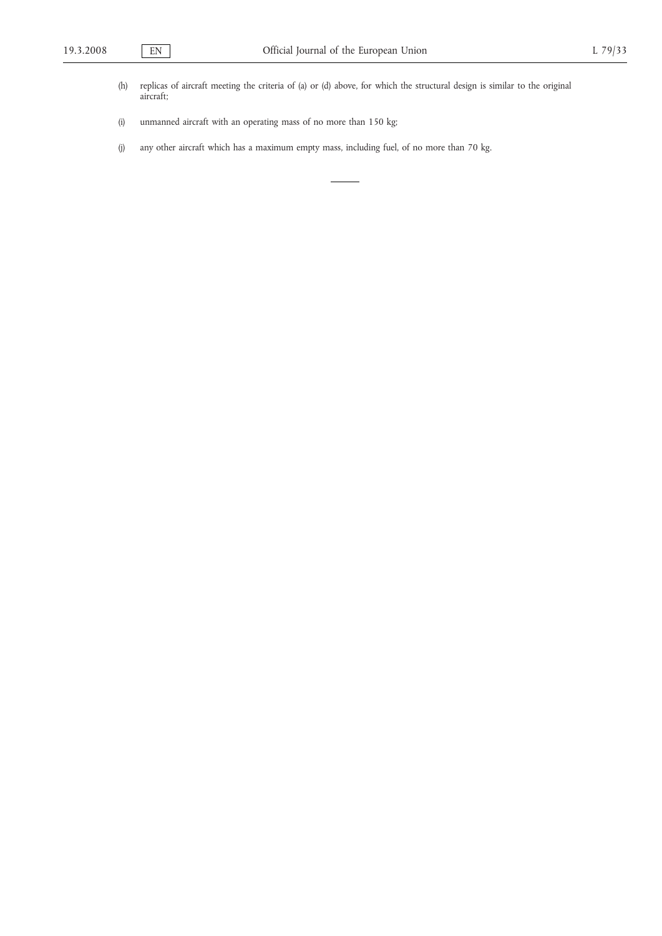- (h) replicas of aircraft meeting the criteria of (a) or (d) above, for which the structural design is similar to the original aircraft;
- (i) unmanned aircraft with an operating mass of no more than 150 kg;
- (j) any other aircraft which has a maximum empty mass, including fuel, of no more than 70 kg.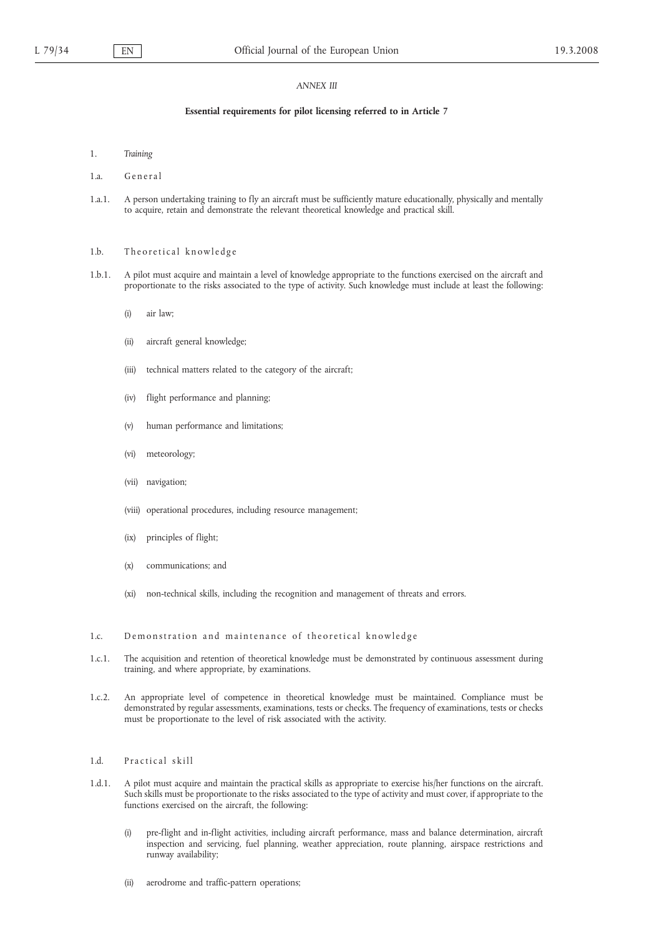#### *ANNEX III*

## **Essential requirements for pilot licensing referred to in Article 7**

- 1. *Training*
- 1.a. General
- 1.a.1. A person undertaking training to fly an aircraft must be sufficiently mature educationally, physically and mentally to acquire, retain and demonstrate the relevant theoretical knowledge and practical skill.
- 1.b. Theoretical knowledge
- 1.b.1. A pilot must acquire and maintain a level of knowledge appropriate to the functions exercised on the aircraft and proportionate to the risks associated to the type of activity. Such knowledge must include at least the following:
	- (i) air law;
	- (ii) aircraft general knowledge;
	- (iii) technical matters related to the category of the aircraft;
	- (iv) flight performance and planning;
	- (v) human performance and limitations;
	- (vi) meteorology;
	- (vii) navigation;
	- (viii) operational procedures, including resource management;
	- (ix) principles of flight;
	- (x) communications; and
	- (xi) non-technical skills, including the recognition and management of threats and errors.
- 1.c. Demonstration and maintenance of theoretical knowledge
- 1.c.1. The acquisition and retention of theoretical knowledge must be demonstrated by continuous assessment during training, and where appropriate, by examinations.
- 1.c.2. An appropriate level of competence in theoretical knowledge must be maintained. Compliance must be demonstrated by regular assessments, examinations, tests or checks. The frequency of examinations, tests or checks must be proportionate to the level of risk associated with the activity.

## 1.d. Practical skill

- 1.d.1. A pilot must acquire and maintain the practical skills as appropriate to exercise his/her functions on the aircraft. Such skills must be proportionate to the risks associated to the type of activity and must cover, if appropriate to the functions exercised on the aircraft, the following:
	- (i) pre-flight and in-flight activities, including aircraft performance, mass and balance determination, aircraft inspection and servicing, fuel planning, weather appreciation, route planning, airspace restrictions and runway availability;
	- (ii) aerodrome and traffic-pattern operations;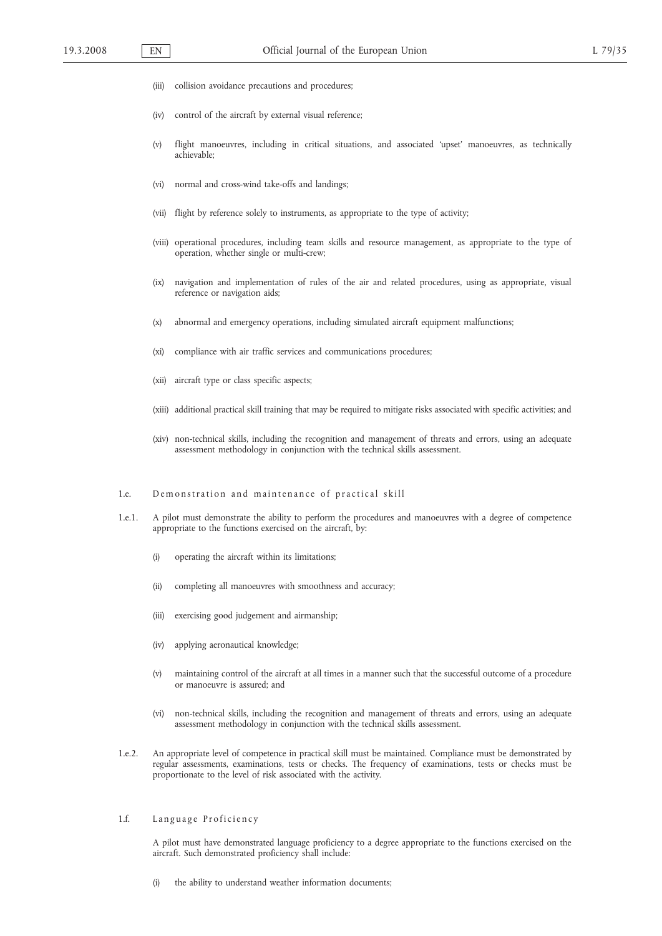- (iii) collision avoidance precautions and procedures;
- (iv) control of the aircraft by external visual reference;
- (v) flight manoeuvres, including in critical situations, and associated 'upset' manoeuvres, as technically achievable;
- (vi) normal and cross-wind take-offs and landings;
- (vii) flight by reference solely to instruments, as appropriate to the type of activity;
- (viii) operational procedures, including team skills and resource management, as appropriate to the type of operation, whether single or multi-crew;
- (ix) navigation and implementation of rules of the air and related procedures, using as appropriate, visual reference or navigation aids;
- (x) abnormal and emergency operations, including simulated aircraft equipment malfunctions;
- (xi) compliance with air traffic services and communications procedures;
- (xii) aircraft type or class specific aspects;
- (xiii) additional practical skill training that may be required to mitigate risks associated with specific activities; and
- (xiv) non-technical skills, including the recognition and management of threats and errors, using an adequate assessment methodology in conjunction with the technical skills assessment.
- 1.e. Demonstration and maintenance of practical skill
- 1.e.1. A pilot must demonstrate the ability to perform the procedures and manoeuvres with a degree of competence appropriate to the functions exercised on the aircraft, by:
	- (i) operating the aircraft within its limitations;
	- (ii) completing all manoeuvres with smoothness and accuracy;
	- (iii) exercising good judgement and airmanship;
	- (iv) applying aeronautical knowledge;
	- (v) maintaining control of the aircraft at all times in a manner such that the successful outcome of a procedure or manoeuvre is assured; and
	- (vi) non-technical skills, including the recognition and management of threats and errors, using an adequate assessment methodology in conjunction with the technical skills assessment.
- 1.e.2. An appropriate level of competence in practical skill must be maintained. Compliance must be demonstrated by regular assessments, examinations, tests or checks. The frequency of examinations, tests or checks must be proportionate to the level of risk associated with the activity.

### 1.f. Language Proficiency

A pilot must have demonstrated language proficiency to a degree appropriate to the functions exercised on the aircraft. Such demonstrated proficiency shall include:

(i) the ability to understand weather information documents;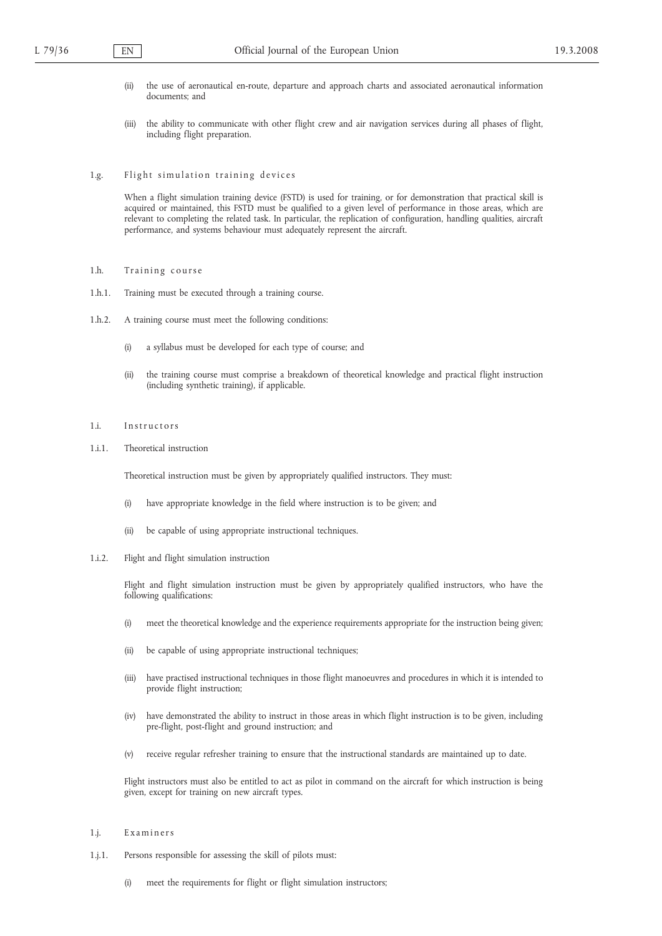- (ii) the use of aeronautical en-route, departure and approach charts and associated aeronautical information documents; and
- (iii) the ability to communicate with other flight crew and air navigation services during all phases of flight, including flight preparation.
- 1.g. Flight simulation training devices

When a flight simulation training device (FSTD) is used for training, or for demonstration that practical skill is acquired or maintained, this FSTD must be qualified to a given level of performance in those areas, which are relevant to completing the related task. In particular, the replication of configuration, handling qualities, aircraft performance, and systems behaviour must adequately represent the aircraft.

- 1.h. Training course
- 1.h.1. Training must be executed through a training course.
- 1.h.2. A training course must meet the following conditions:
	- (i) a syllabus must be developed for each type of course; and
	- (ii) the training course must comprise a breakdown of theoretical knowledge and practical flight instruction (including synthetic training), if applicable.

#### 1.i. Instructors

1.i.1. Theoretical instruction

Theoretical instruction must be given by appropriately qualified instructors. They must:

- (i) have appropriate knowledge in the field where instruction is to be given; and
- (ii) be capable of using appropriate instructional techniques.
- 1.i.2. Flight and flight simulation instruction

Flight and flight simulation instruction must be given by appropriately qualified instructors, who have the following qualifications:

- (i) meet the theoretical knowledge and the experience requirements appropriate for the instruction being given;
- (ii) be capable of using appropriate instructional techniques;
- (iii) have practised instructional techniques in those flight manoeuvres and procedures in which it is intended to provide flight instruction;
- (iv) have demonstrated the ability to instruct in those areas in which flight instruction is to be given, including pre-flight, post-flight and ground instruction; and
- (v) receive regular refresher training to ensure that the instructional standards are maintained up to date.

Flight instructors must also be entitled to act as pilot in command on the aircraft for which instruction is being given, except for training on new aircraft types.

## 1.j. Examiners

- 1.j.1. Persons responsible for assessing the skill of pilots must:
	- (i) meet the requirements for flight or flight simulation instructors;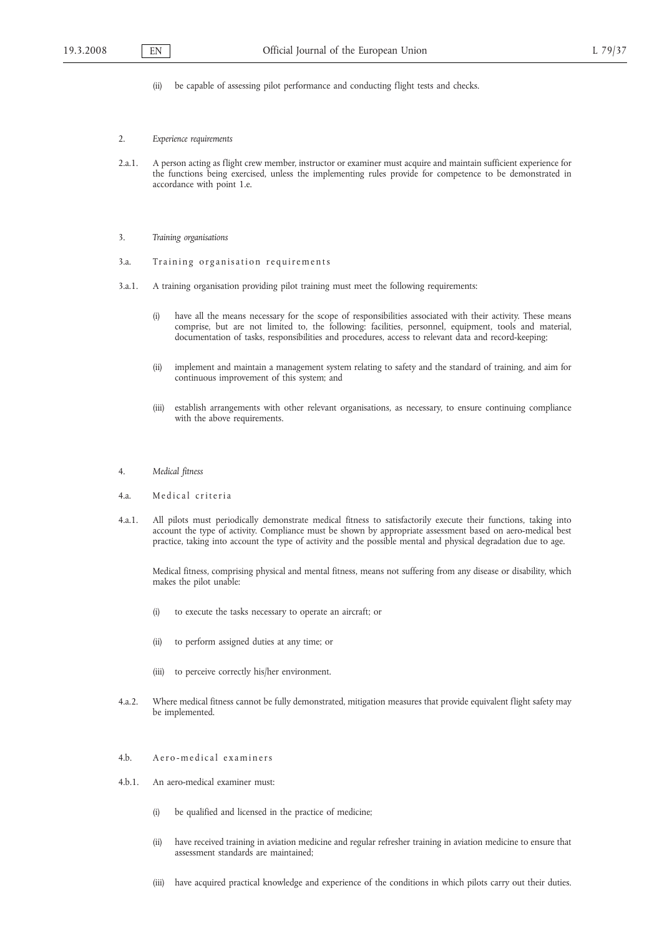- (ii) be capable of assessing pilot performance and conducting flight tests and checks.
- 2. *Experience requirements*
- 2.a.1. A person acting as flight crew member, instructor or examiner must acquire and maintain sufficient experience for the functions being exercised, unless the implementing rules provide for competence to be demonstrated in accordance with point 1.e.
- 3. *Training organisations*
- 3.a. Training organisation requirements
- 3.a.1. A training organisation providing pilot training must meet the following requirements:
	- (i) have all the means necessary for the scope of responsibilities associated with their activity. These means comprise, but are not limited to, the following: facilities, personnel, equipment, tools and material, documentation of tasks, responsibilities and procedures, access to relevant data and record-keeping;
	- (ii) implement and maintain a management system relating to safety and the standard of training, and aim for continuous improvement of this system; and
	- (iii) establish arrangements with other relevant organisations, as necessary, to ensure continuing compliance with the above requirements.
- 4. *Medical fitness*
- 4.a. Medical criteria
- 4.a.1. All pilots must periodically demonstrate medical fitness to satisfactorily execute their functions, taking into account the type of activity. Compliance must be shown by appropriate assessment based on aero-medical best practice, taking into account the type of activity and the possible mental and physical degradation due to age.

Medical fitness, comprising physical and mental fitness, means not suffering from any disease or disability, which makes the pilot unable:

- (i) to execute the tasks necessary to operate an aircraft; or
- (ii) to perform assigned duties at any time; or
- (iii) to perceive correctly his/her environment.
- 4.a.2. Where medical fitness cannot be fully demonstrated, mitigation measures that provide equivalent flight safety may be implemented.

### 4.b. Aero-medical examiners

- 4.b.1. An aero-medical examiner must:
	- (i) be qualified and licensed in the practice of medicine;
	- (ii) have received training in aviation medicine and regular refresher training in aviation medicine to ensure that assessment standards are maintained;
	- (iii) have acquired practical knowledge and experience of the conditions in which pilots carry out their duties.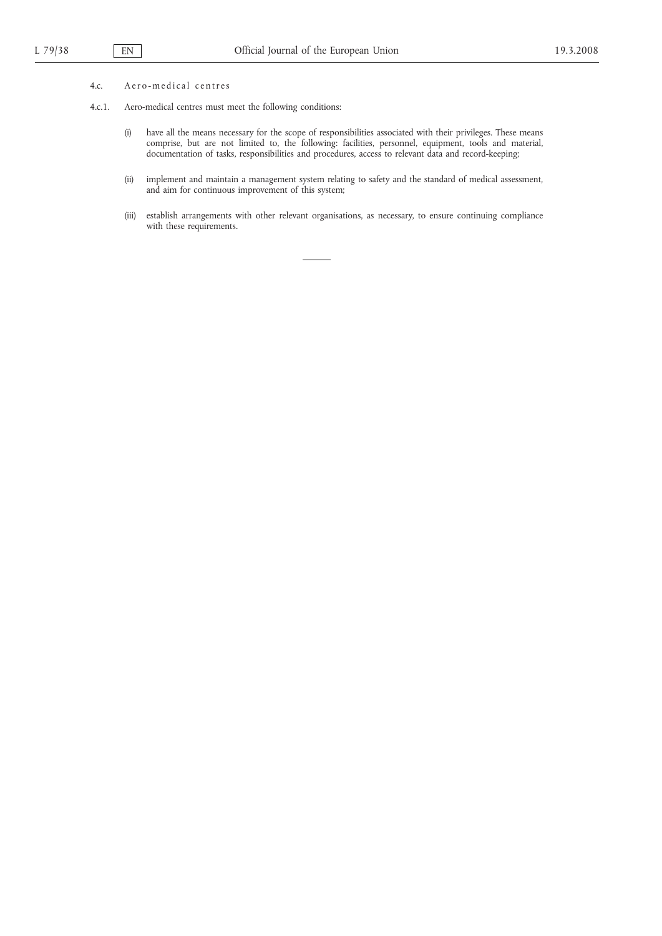- 4.c. Aero-medical centres
- 4.c.1. Aero-medical centres must meet the following conditions:
	- (i) have all the means necessary for the scope of responsibilities associated with their privileges. These means comprise, but are not limited to, the following: facilities, personnel, equipment, tools and material, documentation of tasks, responsibilities and procedures, access to relevant data and record-keeping;
	- (ii) implement and maintain a management system relating to safety and the standard of medical assessment, and aim for continuous improvement of this system;
	- (iii) establish arrangements with other relevant organisations, as necessary, to ensure continuing compliance with these requirements.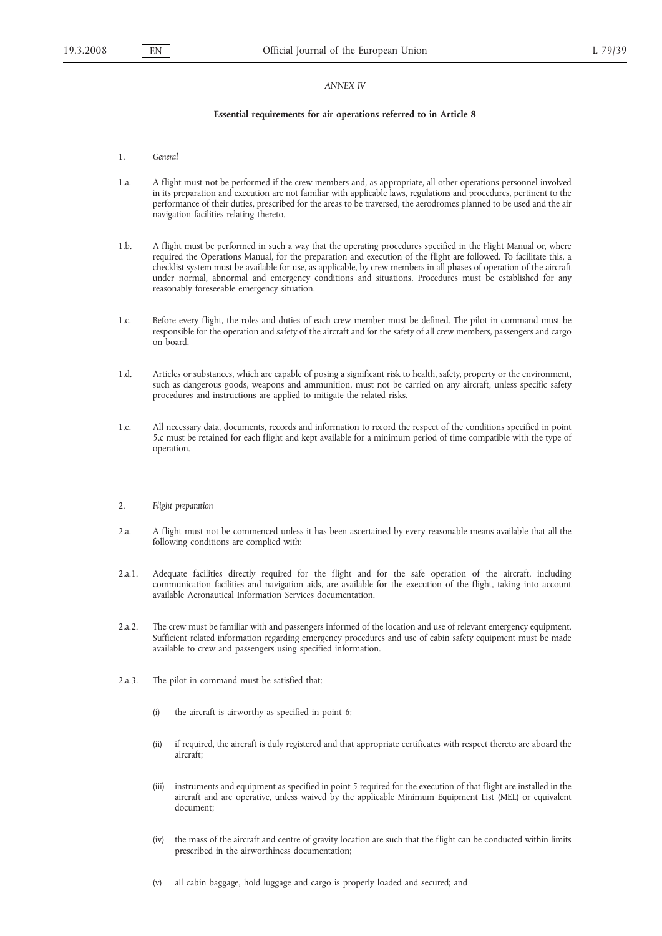#### *ANNEX IV*

### **Essential requirements for air operations referred to in Article 8**

- 1. *General*
- 1.a. A flight must not be performed if the crew members and, as appropriate, all other operations personnel involved in its preparation and execution are not familiar with applicable laws, regulations and procedures, pertinent to the performance of their duties, prescribed for the areas to be traversed, the aerodromes planned to be used and the air navigation facilities relating thereto.
- 1.b. A flight must be performed in such a way that the operating procedures specified in the Flight Manual or, where required the Operations Manual, for the preparation and execution of the flight are followed. To facilitate this, a checklist system must be available for use, as applicable, by crew members in all phases of operation of the aircraft under normal, abnormal and emergency conditions and situations. Procedures must be established for any reasonably foreseeable emergency situation.
- 1.c. Before every flight, the roles and duties of each crew member must be defined. The pilot in command must be responsible for the operation and safety of the aircraft and for the safety of all crew members, passengers and cargo on board.
- 1.d. Articles or substances, which are capable of posing a significant risk to health, safety, property or the environment, such as dangerous goods, weapons and ammunition, must not be carried on any aircraft, unless specific safety procedures and instructions are applied to mitigate the related risks.
- 1.e. All necessary data, documents, records and information to record the respect of the conditions specified in point 5.c must be retained for each flight and kept available for a minimum period of time compatible with the type of operation.

## 2. *Flight preparation*

- 2.a. A flight must not be commenced unless it has been ascertained by every reasonable means available that all the following conditions are complied with:
- 2.a.1. Adequate facilities directly required for the flight and for the safe operation of the aircraft, including communication facilities and navigation aids, are available for the execution of the flight, taking into account available Aeronautical Information Services documentation.
- 2.a.2. The crew must be familiar with and passengers informed of the location and use of relevant emergency equipment. Sufficient related information regarding emergency procedures and use of cabin safety equipment must be made available to crew and passengers using specified information.
- 2.a.3. The pilot in command must be satisfied that:
	- (i) the aircraft is airworthy as specified in point 6;
	- (ii) if required, the aircraft is duly registered and that appropriate certificates with respect thereto are aboard the aircraft;
	- (iii) instruments and equipment as specified in point 5 required for the execution of that flight are installed in the aircraft and are operative, unless waived by the applicable Minimum Equipment List (MEL) or equivalent document;
	- (iv) the mass of the aircraft and centre of gravity location are such that the flight can be conducted within limits prescribed in the airworthiness documentation;
	- (v) all cabin baggage, hold luggage and cargo is properly loaded and secured; and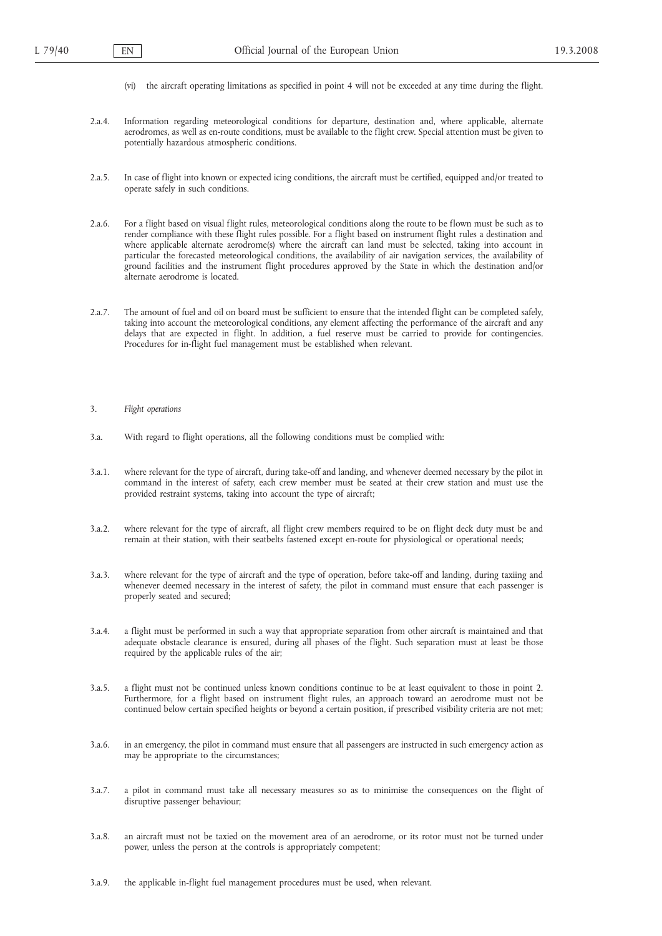- (vi) the aircraft operating limitations as specified in point 4 will not be exceeded at any time during the flight.
- 2.a.4. Information regarding meteorological conditions for departure, destination and, where applicable, alternate aerodromes, as well as en-route conditions, must be available to the flight crew. Special attention must be given to potentially hazardous atmospheric conditions.
- 2.a.5. In case of flight into known or expected icing conditions, the aircraft must be certified, equipped and/or treated to operate safely in such conditions.
- 2.a.6. For a flight based on visual flight rules, meteorological conditions along the route to be flown must be such as to render compliance with these flight rules possible. For a flight based on instrument flight rules a destination and where applicable alternate aerodrome(s) where the aircraft can land must be selected, taking into account in particular the forecasted meteorological conditions, the availability of air navigation services, the availability of ground facilities and the instrument flight procedures approved by the State in which the destination and/or alternate aerodrome is located.
- 2.a.7. The amount of fuel and oil on board must be sufficient to ensure that the intended flight can be completed safely, taking into account the meteorological conditions, any element affecting the performance of the aircraft and any delays that are expected in flight. In addition, a fuel reserve must be carried to provide for contingencies. Procedures for in-flight fuel management must be established when relevant.

## 3. *Flight operations*

- 3.a. With regard to flight operations, all the following conditions must be complied with:
- 3.a.1. where relevant for the type of aircraft, during take-off and landing, and whenever deemed necessary by the pilot in command in the interest of safety, each crew member must be seated at their crew station and must use the provided restraint systems, taking into account the type of aircraft;
- 3.a.2. where relevant for the type of aircraft, all flight crew members required to be on flight deck duty must be and remain at their station, with their seatbelts fastened except en-route for physiological or operational needs;
- 3.a.3. where relevant for the type of aircraft and the type of operation, before take-off and landing, during taxiing and whenever deemed necessary in the interest of safety, the pilot in command must ensure that each passenger is properly seated and secured;
- 3.a.4. a flight must be performed in such a way that appropriate separation from other aircraft is maintained and that adequate obstacle clearance is ensured, during all phases of the flight. Such separation must at least be those required by the applicable rules of the air;
- 3.a.5. a flight must not be continued unless known conditions continue to be at least equivalent to those in point 2. Furthermore, for a flight based on instrument flight rules, an approach toward an aerodrome must not be continued below certain specified heights or beyond a certain position, if prescribed visibility criteria are not met;
- 3.a.6. in an emergency, the pilot in command must ensure that all passengers are instructed in such emergency action as may be appropriate to the circumstances;
- 3.a.7. a pilot in command must take all necessary measures so as to minimise the consequences on the flight of disruptive passenger behaviour;
- 3.a.8. an aircraft must not be taxied on the movement area of an aerodrome, or its rotor must not be turned under power, unless the person at the controls is appropriately competent;
- 3.a.9. the applicable in-flight fuel management procedures must be used, when relevant.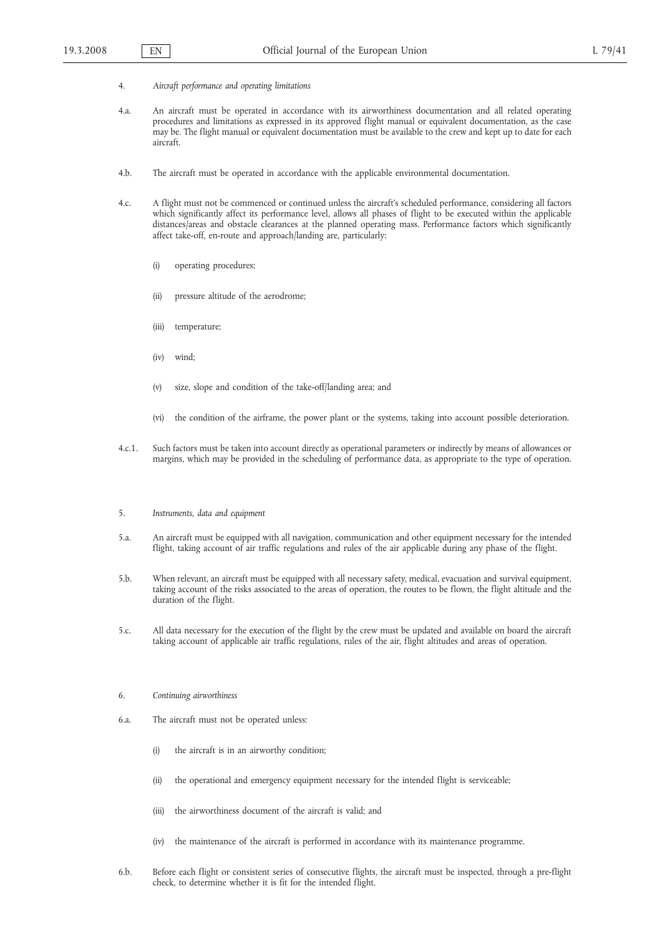- 4. *Aircraft performance and operating limitations*
- 4.a. An aircraft must be operated in accordance with its airworthiness documentation and all related operating procedures and limitations as expressed in its approved flight manual or equivalent documentation, as the case may be. The flight manual or equivalent documentation must be available to the crew and kept up to date for each aircraft.
- 4.b. The aircraft must be operated in accordance with the applicable environmental documentation.
- 4.c. A flight must not be commenced or continued unless the aircraft's scheduled performance, considering all factors which significantly affect its performance level, allows all phases of flight to be executed within the applicable distances/areas and obstacle clearances at the planned operating mass. Performance factors which significantly affect take-off, en-route and approach/landing are, particularly:
	- (i) operating procedures;
	- (ii) pressure altitude of the aerodrome;
	- (iii) temperature;
	- (iv) wind;
	- (v) size, slope and condition of the take-off/landing area; and
	- (vi) the condition of the airframe, the power plant or the systems, taking into account possible deterioration.
- 4.c.1. Such factors must be taken into account directly as operational parameters or indirectly by means of allowances or margins, which may be provided in the scheduling of performance data, as appropriate to the type of operation.

### 5. *Instruments, data and equipment*

- 5.a. An aircraft must be equipped with all navigation, communication and other equipment necessary for the intended flight, taking account of air traffic regulations and rules of the air applicable during any phase of the flight.
- 5.b. When relevant, an aircraft must be equipped with all necessary safety, medical, evacuation and survival equipment, taking account of the risks associated to the areas of operation, the routes to be flown, the flight altitude and the duration of the flight.
- 5.c. All data necessary for the execution of the flight by the crew must be updated and available on board the aircraft taking account of applicable air traffic regulations, rules of the air, flight altitudes and areas of operation.

#### 6. *Continuing airworthiness*

- 6.a. The aircraft must not be operated unless:
	- (i) the aircraft is in an airworthy condition;
	- (ii) the operational and emergency equipment necessary for the intended flight is serviceable;
	- (iii) the airworthiness document of the aircraft is valid; and
	- (iv) the maintenance of the aircraft is performed in accordance with its maintenance programme.
- 6.b. Before each flight or consistent series of consecutive flights, the aircraft must be inspected, through a pre-flight check, to determine whether it is fit for the intended flight.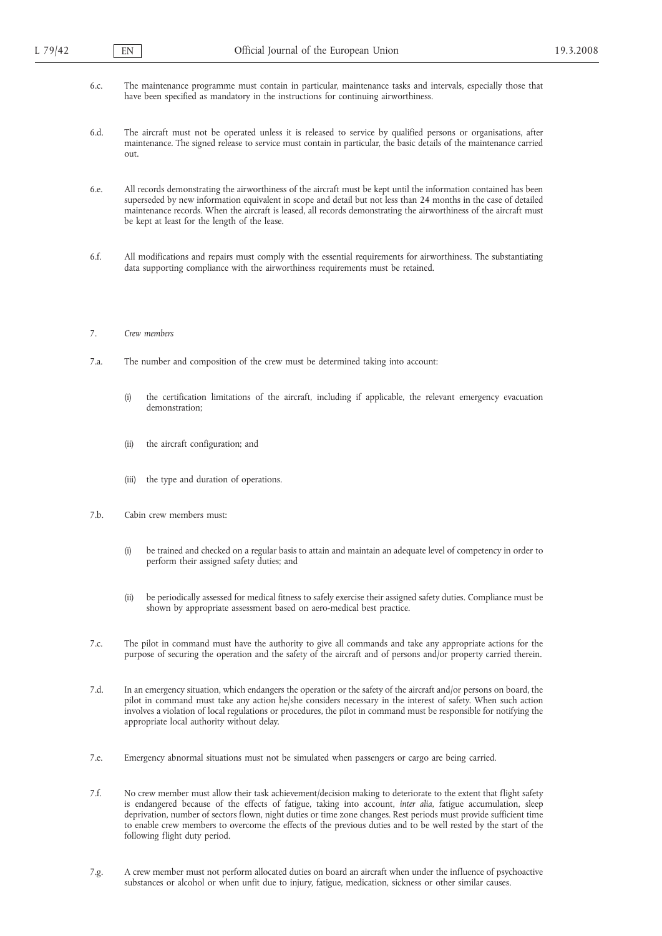- 6.c. The maintenance programme must contain in particular, maintenance tasks and intervals, especially those that have been specified as mandatory in the instructions for continuing airworthiness.
- 6.d. The aircraft must not be operated unless it is released to service by qualified persons or organisations, after maintenance. The signed release to service must contain in particular, the basic details of the maintenance carried out.
- 6.e. All records demonstrating the airworthiness of the aircraft must be kept until the information contained has been superseded by new information equivalent in scope and detail but not less than 24 months in the case of detailed maintenance records. When the aircraft is leased, all records demonstrating the airworthiness of the aircraft must be kept at least for the length of the lease.
- 6.f. All modifications and repairs must comply with the essential requirements for airworthiness. The substantiating data supporting compliance with the airworthiness requirements must be retained.
- 7. *Crew members*
- 7.a. The number and composition of the crew must be determined taking into account:
	- (i) the certification limitations of the aircraft, including if applicable, the relevant emergency evacuation demonstration;
	- (ii) the aircraft configuration; and
	- (iii) the type and duration of operations.
- 7.b. Cabin crew members must:
	- (i) be trained and checked on a regular basis to attain and maintain an adequate level of competency in order to perform their assigned safety duties; and
	- (ii) be periodically assessed for medical fitness to safely exercise their assigned safety duties. Compliance must be shown by appropriate assessment based on aero-medical best practice.
- 7.c. The pilot in command must have the authority to give all commands and take any appropriate actions for the purpose of securing the operation and the safety of the aircraft and of persons and/or property carried therein.
- 7.d. In an emergency situation, which endangers the operation or the safety of the aircraft and/or persons on board, the pilot in command must take any action he/she considers necessary in the interest of safety. When such action involves a violation of local regulations or procedures, the pilot in command must be responsible for notifying the appropriate local authority without delay.
- 7.e. Emergency abnormal situations must not be simulated when passengers or cargo are being carried.
- 7.f. No crew member must allow their task achievement/decision making to deteriorate to the extent that flight safety is endangered because of the effects of fatigue, taking into account, *inter alia*, fatigue accumulation, sleep deprivation, number of sectors flown, night duties or time zone changes. Rest periods must provide sufficient time to enable crew members to overcome the effects of the previous duties and to be well rested by the start of the following flight duty period.
- 7.g. A crew member must not perform allocated duties on board an aircraft when under the influence of psychoactive substances or alcohol or when unfit due to injury, fatigue, medication, sickness or other similar causes.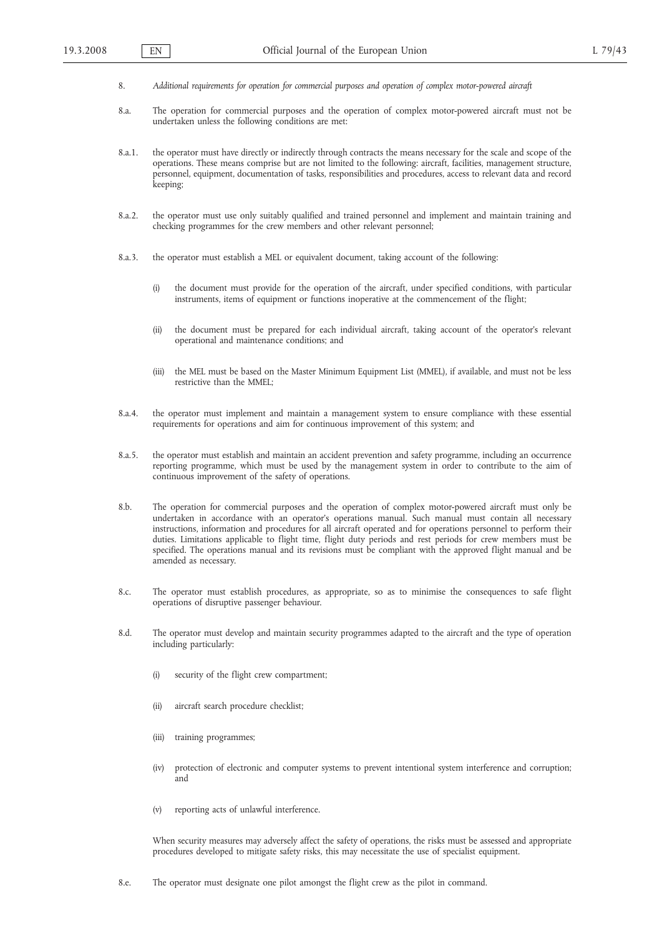- 8. *Additional requirements for operation for commercial purposes and operation of complex motor-powered aircraft*
- 8.a. The operation for commercial purposes and the operation of complex motor-powered aircraft must not be undertaken unless the following conditions are met:
- 8.a.1. the operator must have directly or indirectly through contracts the means necessary for the scale and scope of the operations. These means comprise but are not limited to the following: aircraft, facilities, management structure, personnel, equipment, documentation of tasks, responsibilities and procedures, access to relevant data and record keeping;
- 8.a.2. the operator must use only suitably qualified and trained personnel and implement and maintain training and checking programmes for the crew members and other relevant personnel;
- 8.a.3. the operator must establish a MEL or equivalent document, taking account of the following:
	- (i) the document must provide for the operation of the aircraft, under specified conditions, with particular instruments, items of equipment or functions inoperative at the commencement of the flight;
	- (ii) the document must be prepared for each individual aircraft, taking account of the operator's relevant operational and maintenance conditions; and
	- (iii) the MEL must be based on the Master Minimum Equipment List (MMEL), if available, and must not be less restrictive than the MMEL;
- 8.a.4. the operator must implement and maintain a management system to ensure compliance with these essential requirements for operations and aim for continuous improvement of this system; and
- 8.a.5. the operator must establish and maintain an accident prevention and safety programme, including an occurrence reporting programme, which must be used by the management system in order to contribute to the aim of continuous improvement of the safety of operations.
- 8.b. The operation for commercial purposes and the operation of complex motor-powered aircraft must only be undertaken in accordance with an operator's operations manual. Such manual must contain all necessary instructions, information and procedures for all aircraft operated and for operations personnel to perform their duties. Limitations applicable to flight time, flight duty periods and rest periods for crew members must be specified. The operations manual and its revisions must be compliant with the approved flight manual and be amended as necessary.
- 8.c. The operator must establish procedures, as appropriate, so as to minimise the consequences to safe flight operations of disruptive passenger behaviour.
- 8.d. The operator must develop and maintain security programmes adapted to the aircraft and the type of operation including particularly:
	- (i) security of the flight crew compartment;
	- (ii) aircraft search procedure checklist;
	- (iii) training programmes;
	- (iv) protection of electronic and computer systems to prevent intentional system interference and corruption; and
	- (v) reporting acts of unlawful interference.

When security measures may adversely affect the safety of operations, the risks must be assessed and appropriate procedures developed to mitigate safety risks, this may necessitate the use of specialist equipment.

8.e. The operator must designate one pilot amongst the flight crew as the pilot in command.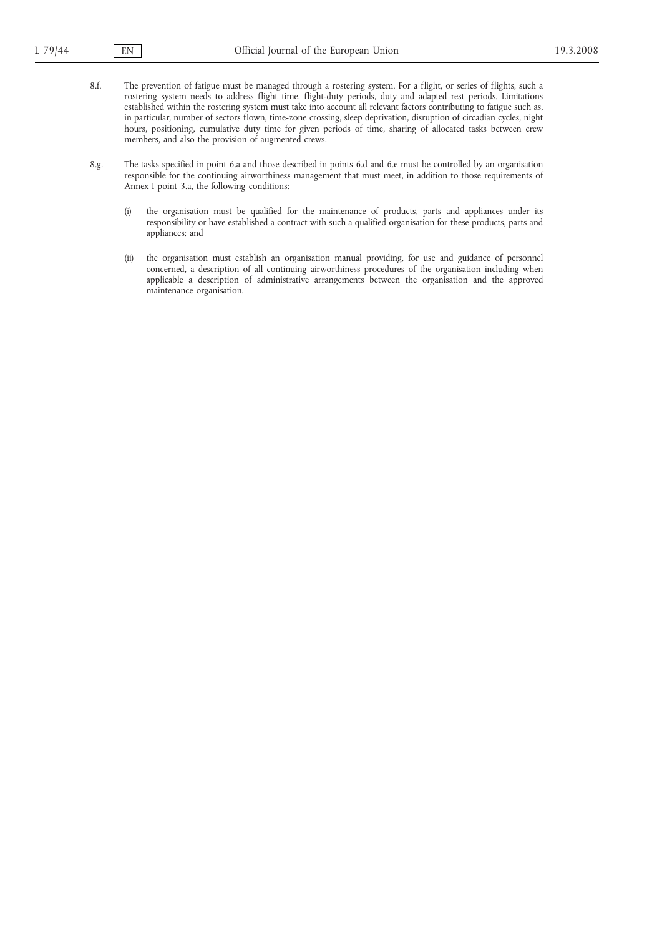- 8.f. The prevention of fatigue must be managed through a rostering system. For a flight, or series of flights, such a rostering system needs to address flight time, flight-duty periods, duty and adapted rest periods. Limitations established within the rostering system must take into account all relevant factors contributing to fatigue such as, in particular, number of sectors flown, time-zone crossing, sleep deprivation, disruption of circadian cycles, night hours, positioning, cumulative duty time for given periods of time, sharing of allocated tasks between crew members, and also the provision of augmented crews.
- 8.g. The tasks specified in point 6.a and those described in points 6.d and 6.e must be controlled by an organisation responsible for the continuing airworthiness management that must meet, in addition to those requirements of Annex I point 3.a, the following conditions:
	- (i) the organisation must be qualified for the maintenance of products, parts and appliances under its responsibility or have established a contract with such a qualified organisation for these products, parts and appliances; and
	- (ii) the organisation must establish an organisation manual providing, for use and guidance of personnel concerned, a description of all continuing airworthiness procedures of the organisation including when applicable a description of administrative arrangements between the organisation and the approved maintenance organisation.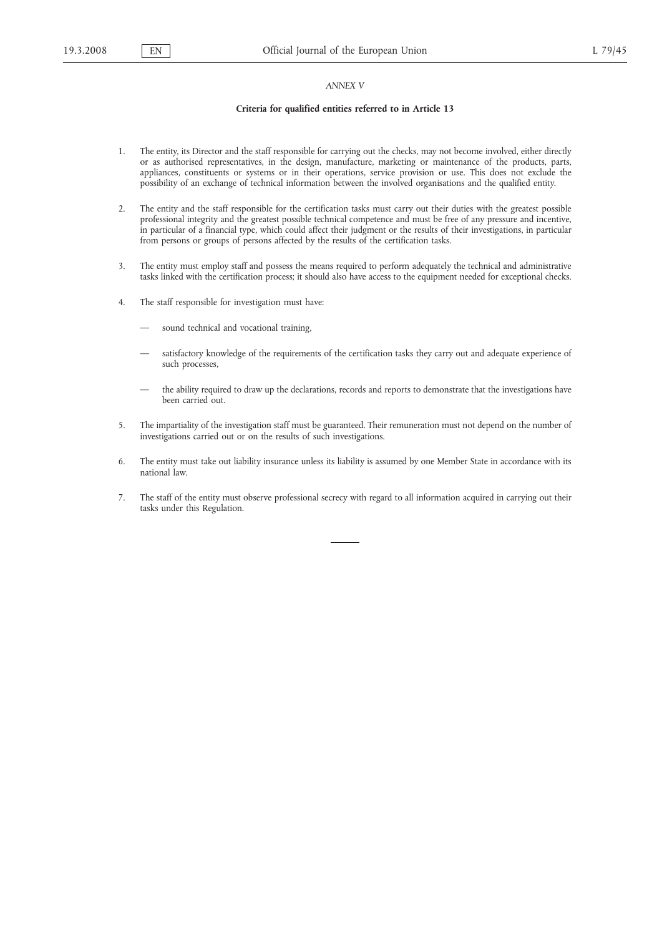#### *ANNEX V*

## **Criteria for qualified entities referred to in Article 13**

- 1. The entity, its Director and the staff responsible for carrying out the checks, may not become involved, either directly or as authorised representatives, in the design, manufacture, marketing or maintenance of the products, parts, appliances, constituents or systems or in their operations, service provision or use. This does not exclude the possibility of an exchange of technical information between the involved organisations and the qualified entity.
- 2. The entity and the staff responsible for the certification tasks must carry out their duties with the greatest possible professional integrity and the greatest possible technical competence and must be free of any pressure and incentive, in particular of a financial type, which could affect their judgment or the results of their investigations, in particular from persons or groups of persons affected by the results of the certification tasks.
- 3. The entity must employ staff and possess the means required to perform adequately the technical and administrative tasks linked with the certification process; it should also have access to the equipment needed for exceptional checks.
- 4. The staff responsible for investigation must have:
	- sound technical and vocational training,
	- satisfactory knowledge of the requirements of the certification tasks they carry out and adequate experience of such processes,
	- the ability required to draw up the declarations, records and reports to demonstrate that the investigations have been carried out.
- 5. The impartiality of the investigation staff must be guaranteed. Their remuneration must not depend on the number of investigations carried out or on the results of such investigations.
- 6. The entity must take out liability insurance unless its liability is assumed by one Member State in accordance with its national law.
- 7. The staff of the entity must observe professional secrecy with regard to all information acquired in carrying out their tasks under this Regulation.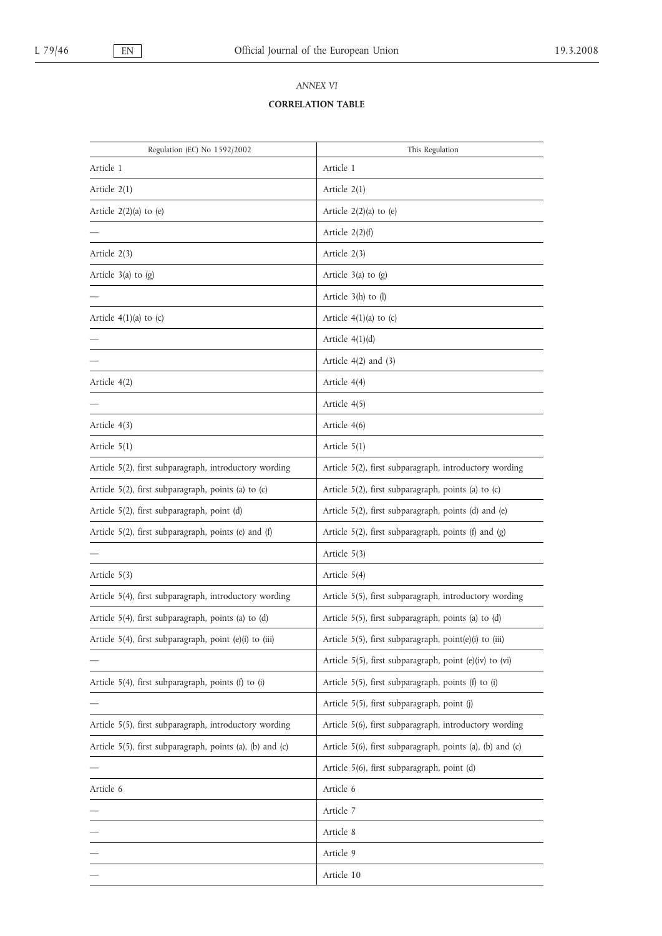# *ANNEX VI*

# **CORRELATION TABLE**

| Regulation (EC) No 1592/2002                              | This Regulation                                           |
|-----------------------------------------------------------|-----------------------------------------------------------|
| Article 1                                                 | Article 1                                                 |
| Article 2(1)                                              | Article $2(1)$                                            |
| Article $2(2)(a)$ to (e)                                  | Article $2(2)(a)$ to (e)                                  |
|                                                           | Article $2(2)(f)$                                         |
| Article $2(3)$                                            | Article $2(3)$                                            |
| Article $3(a)$ to $(g)$                                   | Article $3(a)$ to $(g)$                                   |
|                                                           | Article $3(h)$ to $(l)$                                   |
| Article $4(1)(a)$ to (c)                                  | Article $4(1)(a)$ to (c)                                  |
|                                                           | Article $4(1)(d)$                                         |
|                                                           | Article $4(2)$ and $(3)$                                  |
| Article 4(2)                                              | Article 4(4)                                              |
|                                                           | Article 4(5)                                              |
| Article 4(3)                                              | Article 4(6)                                              |
| Article $5(1)$                                            | Article $5(1)$                                            |
| Article 5(2), first subparagraph, introductory wording    | Article 5(2), first subparagraph, introductory wording    |
| Article 5(2), first subparagraph, points (a) to (c)       | Article 5(2), first subparagraph, points (a) to (c)       |
| Article 5(2), first subparagraph, point (d)               | Article 5(2), first subparagraph, points (d) and (e)      |
| Article 5(2), first subparagraph, points (e) and (f)      | Article 5(2), first subparagraph, points (f) and (g)      |
|                                                           | Article 5(3)                                              |
| Article $5(3)$                                            | Article 5(4)                                              |
| Article 5(4), first subparagraph, introductory wording    | Article 5(5), first subparagraph, introductory wording    |
| Article 5(4), first subparagraph, points (a) to (d)       | Article 5(5), first subparagraph, points (a) to (d)       |
| Article 5(4), first subparagraph, point (e)(i) to (iii)   | Article 5(5), first subparagraph, point(e)(i) to (iii)    |
|                                                           | Article 5(5), first subparagraph, point (e)(iv) to (vi)   |
| Article 5(4), first subparagraph, points (f) to (i)       | Article 5(5), first subparagraph, points (f) to (i)       |
|                                                           | Article 5(5), first subparagraph, point (j)               |
| Article 5(5), first subparagraph, introductory wording    | Article 5(6), first subparagraph, introductory wording    |
| Article 5(5), first subparagraph, points (a), (b) and (c) | Article 5(6), first subparagraph, points (a), (b) and (c) |
|                                                           | Article 5(6), first subparagraph, point (d)               |
| Article 6                                                 | Article 6                                                 |
|                                                           | Article 7                                                 |
|                                                           | Article 8                                                 |
|                                                           | Article 9                                                 |
|                                                           | Article 10                                                |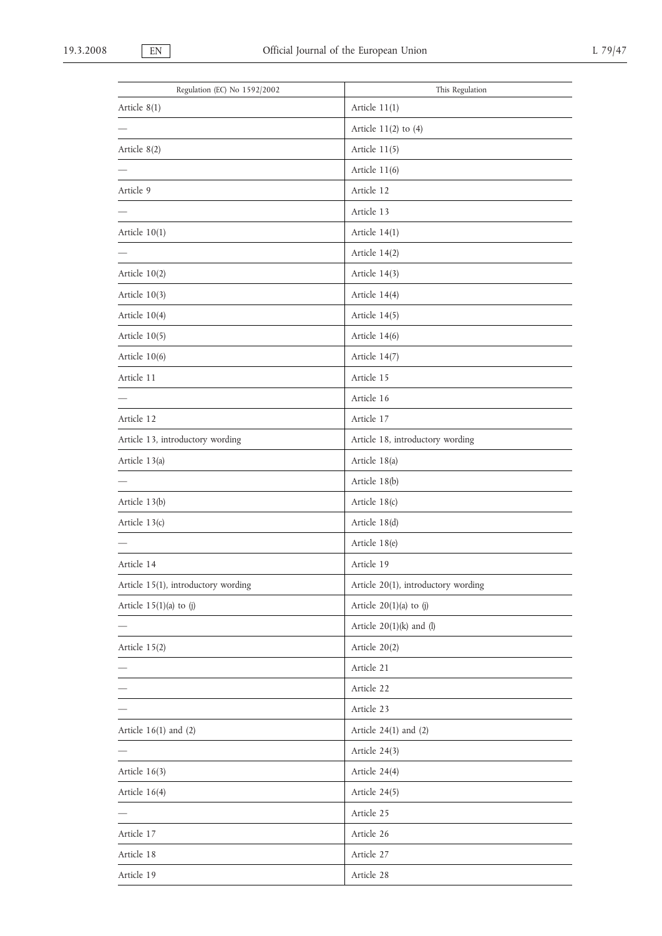| Regulation (EC) No 1592/2002        | This Regulation                     |
|-------------------------------------|-------------------------------------|
| Article $8(1)$                      | Article $11(1)$                     |
|                                     | Article $11(2)$ to $(4)$            |
| Article $8(2)$                      | Article 11(5)                       |
|                                     | Article 11(6)                       |
| Article 9                           | Article 12                          |
|                                     | Article 13                          |
| Article $10(1)$                     | Article $14(1)$                     |
|                                     | Article 14(2)                       |
| Article $10(2)$                     | Article 14(3)                       |
| Article $10(3)$                     | Article 14(4)                       |
| Article $10(4)$                     | Article 14(5)                       |
| Article $10(5)$                     | Article 14(6)                       |
| Article $10(6)$                     | Article 14(7)                       |
| Article 11                          | Article 15                          |
|                                     | Article 16                          |
| Article 12                          | Article 17                          |
| Article 13, introductory wording    | Article 18, introductory wording    |
| Article 13(a)                       | Article 18(a)                       |
|                                     | Article 18(b)                       |
| Article 13(b)                       | Article 18(c)                       |
| Article 13(c)                       | Article 18(d)                       |
|                                     | Article 18(e)                       |
| Article 14                          | Article 19                          |
| Article 15(1), introductory wording | Article 20(1), introductory wording |
| Article $15(1)(a)$ to $(j)$         | Article $20(1)(a)$ to $(j)$         |
|                                     | Article $20(1)(k)$ and $(l)$        |
| Article 15(2)                       | Article 20(2)                       |
|                                     | Article 21                          |
|                                     | Article 22                          |
|                                     | Article 23                          |
| Article $16(1)$ and $(2)$           | Article $24(1)$ and $(2)$           |
|                                     | Article 24(3)                       |
| Article $16(3)$                     | Article 24(4)                       |
| Article 16(4)                       | Article 24(5)                       |
|                                     | Article 25                          |
| Article 17                          | Article 26                          |
| Article 18                          | Article 27                          |
| Article 19                          | Article 28                          |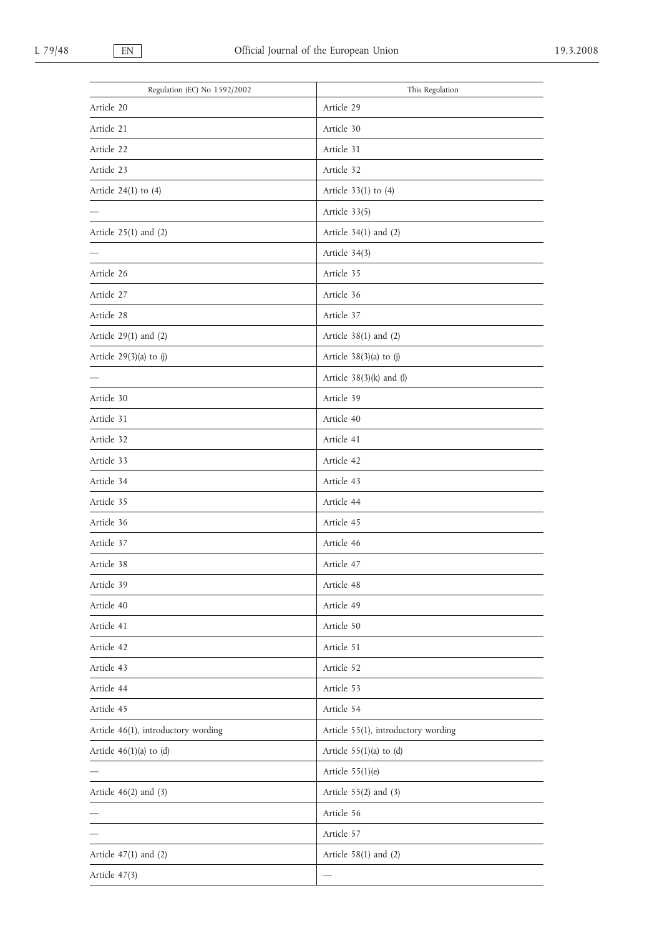| Regulation (EC) No 1592/2002        | This Regulation                     |
|-------------------------------------|-------------------------------------|
| Article 20                          | Article 29                          |
| Article 21                          | Article 30                          |
| Article 22                          | Article 31                          |
| Article 23                          | Article 32                          |
| Article $24(1)$ to $(4)$            | Article $33(1)$ to $(4)$            |
|                                     | Article 33(5)                       |
| Article $25(1)$ and $(2)$           | Article $34(1)$ and $(2)$           |
|                                     | Article 34(3)                       |
| Article 26                          | Article 35                          |
| Article 27                          | Article 36                          |
| Article 28                          | Article 37                          |
| Article $29(1)$ and $(2)$           | Article $38(1)$ and $(2)$           |
| Article $29(3)(a)$ to $(j)$         | Article $38(3)(a)$ to $(j)$         |
|                                     | Article $38(3)(k)$ and (l)          |
| Article 30                          | Article 39                          |
| Article 31                          | Article 40                          |
| Article 32                          | Article 41                          |
| Article 33                          | Article 42                          |
| Article 34                          | Article 43                          |
| Article 35                          | Article 44                          |
| Article 36                          | Article 45                          |
| Article 37                          | Article 46                          |
| Article 38                          | Article 47                          |
| Article 39                          | Article 48                          |
| Article 40                          | Article 49                          |
| Article 41                          | Article 50                          |
| Article 42                          | Article 51                          |
| Article 43                          | Article 52                          |
| Article 44                          | Article 53                          |
| Article 45                          | Article 54                          |
| Article 46(1), introductory wording | Article 55(1), introductory wording |
| Article $46(1)(a)$ to $(d)$         | Article $55(1)(a)$ to (d)           |
|                                     | Article $55(1)(e)$                  |
| Article $46(2)$ and $(3)$           | Article $55(2)$ and $(3)$           |
|                                     | Article 56                          |
|                                     | Article 57                          |
| Article $47(1)$ and $(2)$           | Article $58(1)$ and $(2)$           |
| Article 47(3)                       |                                     |